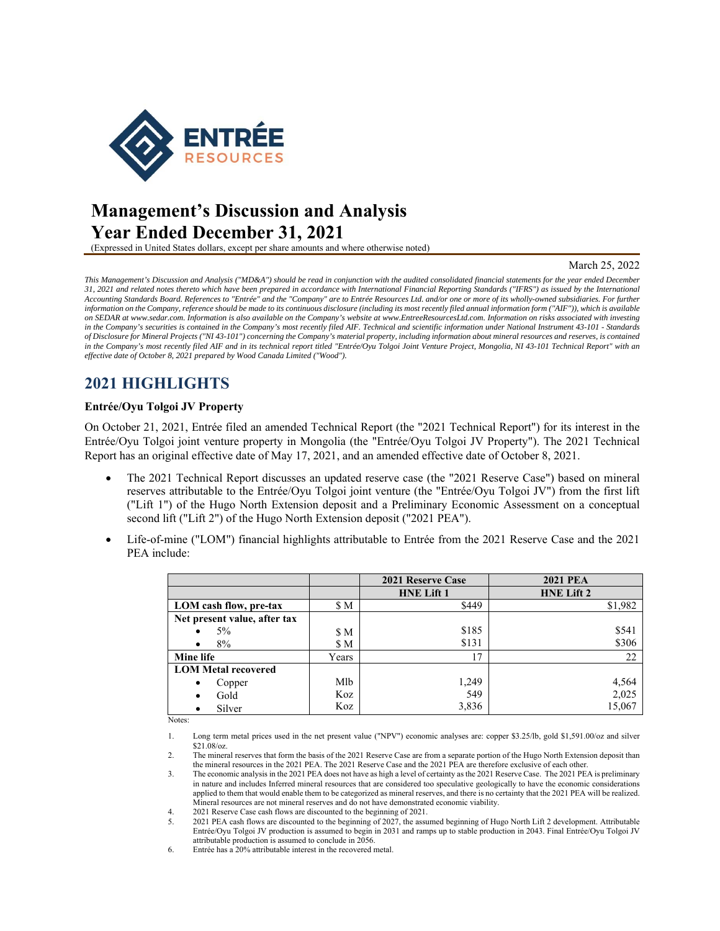

# **Management's Discussion and Analysis Year Ended December 31, 2021**

(Expressed in United States dollars, except per share amounts and where otherwise noted)

#### March 25, 2022

*This Management's Discussion and Analysis ("MD&A") should be read in conjunction with the audited consolidated financial statements for the year ended December 31, 2021 and related notes thereto which have been prepared in accordance with International Financial Reporting Standards ("IFRS") as issued by the International Accounting Standards Board. References to "Entrée" and the "Company" are to Entrée Resources Ltd. and/or one or more of its wholly-owned subsidiaries. For further information on the Company, reference should be made to its continuous disclosure (including its most recently filed annual information form ("AIF")), which is available on SEDAR at www.sedar.com. Information is also available on the Company's website at www.EntreeResourcesLtd.com. Information on risks associated with investing in the Company's securities is contained in the Company's most recently filed AIF. Technical and scientific information under National Instrument 43-101 - Standards of Disclosure for Mineral Projects ("NI 43-101") concerning the Company's material property, including information about mineral resources and reserves, is contained*  in the Company's most recently filed AIF and in its technical report titled "Entrée/Oyu Tolgoi Joint Venture Project, Mongolia, NI 43-101 Technical Report" with an *effective date of October 8, 2021 prepared by Wood Canada Limited ("Wood").* 

# **2021 HIGHLIGHTS**

### **Entrée/Oyu Tolgoi JV Property**

On October 21, 2021, Entrée filed an amended Technical Report (the "2021 Technical Report") for its interest in the Entrée/Oyu Tolgoi joint venture property in Mongolia (the "Entrée/Oyu Tolgoi JV Property"). The 2021 Technical Report has an original effective date of May 17, 2021, and an amended effective date of October 8, 2021.

- The 2021 Technical Report discusses an updated reserve case (the "2021 Reserve Case") based on mineral reserves attributable to the Entrée/Oyu Tolgoi joint venture (the "Entrée/Oyu Tolgoi JV") from the first lift ("Lift 1") of the Hugo North Extension deposit and a Preliminary Economic Assessment on a conceptual second lift ("Lift 2") of the Hugo North Extension deposit ("2021 PEA").
- Life-of-mine ("LOM") financial highlights attributable to Entrée from the 2021 Reserve Case and the 2021 PEA include:

|                              |       | 2021 Reserve Case | <b>2021 PEA</b>   |
|------------------------------|-------|-------------------|-------------------|
|                              |       | <b>HNE Lift 1</b> | <b>HNE Lift 2</b> |
| LOM cash flow, pre-tax       | \$Μ   | \$449             | \$1,982           |
| Net present value, after tax |       |                   |                   |
| $5\%$                        | \$M   | \$185             | \$541             |
| 8%                           | SM.   | \$131             | \$306             |
| Mine life                    | Years | 17                | 22                |
| <b>LOM Metal recovered</b>   |       |                   |                   |
| Copper<br>$\bullet$          | Mlb   | 1,249             | 4,564             |
| Gold<br>٠                    | Koz   | 549               | 2,025             |
| Silver<br>٠                  | Koz   | 3,836             | 15,067            |

Notes:

1. Long term metal prices used in the net present value ("NPV") economic analyses are: copper \$3.25/lb, gold \$1,591.00/oz and silver \$21.08/oz.

2. The mineral reserves that form the basis of the 2021 Reserve Case are from a separate portion of the Hugo North Extension deposit than the mineral resources in the 2021 PEA. The 2021 Reserve Case and the 2021 PEA are therefore exclusive of each other.

3. The economic analysis in the 2021 PEA does not have as high a level of certainty as the 2021 Reserve Case. The 2021 PEA is preliminary in nature and includes Inferred mineral resources that are considered too speculative geologically to have the economic considerations applied to them that would enable them to be categorized as mineral reserves, and there is no certainty that the 2021 PEA will be realized. Mineral resources are not mineral reserves and do not have demonstrated economic viability.

4. 2021 Reserve Case cash flows are discounted to the beginning of 2021.

5. 2021 PEA cash flows are discounted to the beginning of 2027, the assumed beginning of Hugo North Lift 2 development. Attributable Entrée/Oyu Tolgoi JV production is assumed to begin in 2031 and ramps up to stable production in 2043. Final Entrée/Oyu Tolgoi JV attributable production is assumed to conclude in 2056.

6. Entrée has a 20% attributable interest in the recovered metal.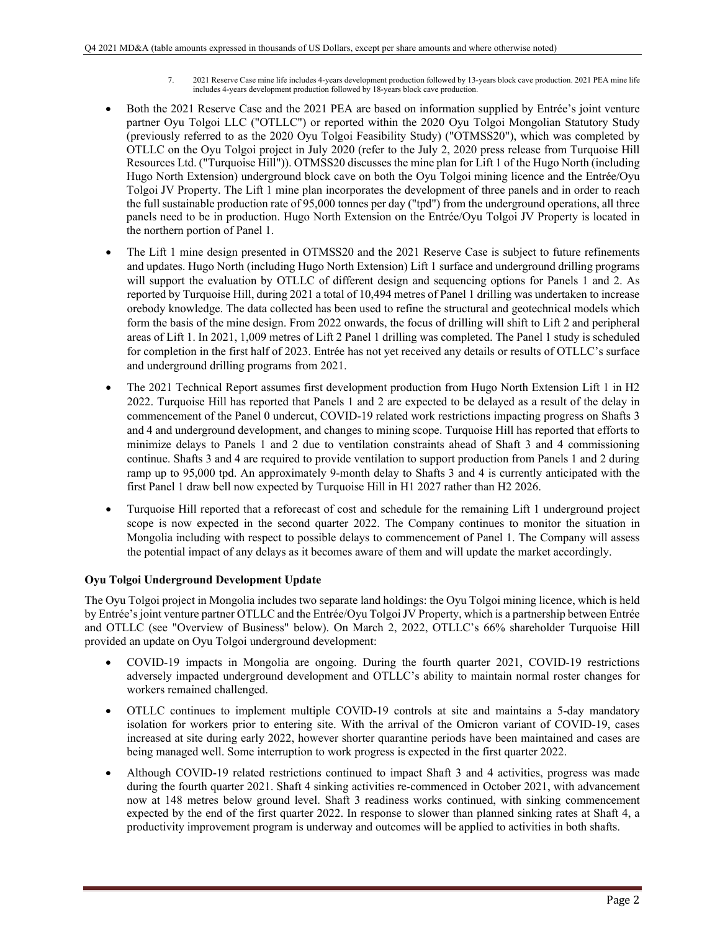- 7. 2021 Reserve Case mine life includes 4-years development production followed by 13-years block cave production. 2021 PEA mine life includes 4-years development production followed by 18-years block cave production.
- Both the 2021 Reserve Case and the 2021 PEA are based on information supplied by Entrée's joint venture partner Oyu Tolgoi LLC ("OTLLC") or reported within the 2020 Oyu Tolgoi Mongolian Statutory Study (previously referred to as the 2020 Oyu Tolgoi Feasibility Study) ("OTMSS20"), which was completed by OTLLC on the Oyu Tolgoi project in July 2020 (refer to the July 2, 2020 press release from Turquoise Hill Resources Ltd. ("Turquoise Hill")). OTMSS20 discusses the mine plan for Lift 1 of the Hugo North (including Hugo North Extension) underground block cave on both the Oyu Tolgoi mining licence and the Entrée/Oyu Tolgoi JV Property. The Lift 1 mine plan incorporates the development of three panels and in order to reach the full sustainable production rate of 95,000 tonnes per day ("tpd") from the underground operations, all three panels need to be in production. Hugo North Extension on the Entrée/Oyu Tolgoi JV Property is located in the northern portion of Panel 1.
- The Lift 1 mine design presented in OTMSS20 and the 2021 Reserve Case is subject to future refinements and updates. Hugo North (including Hugo North Extension) Lift 1 surface and underground drilling programs will support the evaluation by OTLLC of different design and sequencing options for Panels 1 and 2. As reported by Turquoise Hill, during 2021 a total of 10,494 metres of Panel 1 drilling was undertaken to increase orebody knowledge. The data collected has been used to refine the structural and geotechnical models which form the basis of the mine design. From 2022 onwards, the focus of drilling will shift to Lift 2 and peripheral areas of Lift 1. In 2021, 1,009 metres of Lift 2 Panel 1 drilling was completed. The Panel 1 study is scheduled for completion in the first half of 2023. Entrée has not yet received any details or results of OTLLC's surface and underground drilling programs from 2021.
- The 2021 Technical Report assumes first development production from Hugo North Extension Lift 1 in H2 2022. Turquoise Hill has reported that Panels 1 and 2 are expected to be delayed as a result of the delay in commencement of the Panel 0 undercut, COVID-19 related work restrictions impacting progress on Shafts 3 and 4 and underground development, and changes to mining scope. Turquoise Hill has reported that efforts to minimize delays to Panels 1 and 2 due to ventilation constraints ahead of Shaft 3 and 4 commissioning continue. Shafts 3 and 4 are required to provide ventilation to support production from Panels 1 and 2 during ramp up to 95,000 tpd. An approximately 9-month delay to Shafts 3 and 4 is currently anticipated with the first Panel 1 draw bell now expected by Turquoise Hill in H1 2027 rather than H2 2026.
- Turquoise Hill reported that a reforecast of cost and schedule for the remaining Lift 1 underground project scope is now expected in the second quarter 2022. The Company continues to monitor the situation in Mongolia including with respect to possible delays to commencement of Panel 1. The Company will assess the potential impact of any delays as it becomes aware of them and will update the market accordingly.

# **Oyu Tolgoi Underground Development Update**

The Oyu Tolgoi project in Mongolia includes two separate land holdings: the Oyu Tolgoi mining licence, which is held by Entrée's joint venture partner OTLLC and the Entrée/Oyu Tolgoi JV Property, which is a partnership between Entrée and OTLLC (see "Overview of Business" below). On March 2, 2022, OTLLC's 66% shareholder Turquoise Hill provided an update on Oyu Tolgoi underground development:

- COVID-19 impacts in Mongolia are ongoing. During the fourth quarter 2021, COVID-19 restrictions adversely impacted underground development and OTLLC's ability to maintain normal roster changes for workers remained challenged.
- OTLLC continues to implement multiple COVID-19 controls at site and maintains a 5-day mandatory isolation for workers prior to entering site. With the arrival of the Omicron variant of COVID-19, cases increased at site during early 2022, however shorter quarantine periods have been maintained and cases are being managed well. Some interruption to work progress is expected in the first quarter 2022.
- Although COVID-19 related restrictions continued to impact Shaft 3 and 4 activities, progress was made during the fourth quarter 2021. Shaft 4 sinking activities re-commenced in October 2021, with advancement now at 148 metres below ground level. Shaft 3 readiness works continued, with sinking commencement expected by the end of the first quarter 2022. In response to slower than planned sinking rates at Shaft 4, a productivity improvement program is underway and outcomes will be applied to activities in both shafts.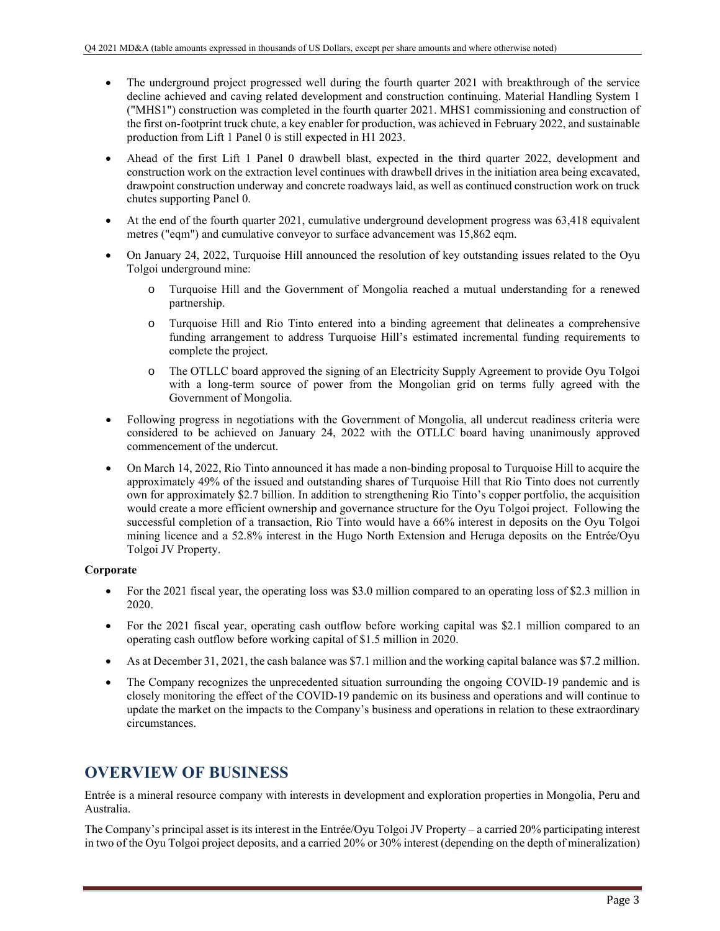- The underground project progressed well during the fourth quarter 2021 with breakthrough of the service decline achieved and caving related development and construction continuing. Material Handling System 1 ("MHS1") construction was completed in the fourth quarter 2021. MHS1 commissioning and construction of the first on-footprint truck chute, a key enabler for production, was achieved in February 2022, and sustainable production from Lift 1 Panel 0 is still expected in H1 2023.
- Ahead of the first Lift 1 Panel 0 drawbell blast, expected in the third quarter 2022, development and construction work on the extraction level continues with drawbell drives in the initiation area being excavated, drawpoint construction underway and concrete roadways laid, as well as continued construction work on truck chutes supporting Panel 0.
- At the end of the fourth quarter 2021, cumulative underground development progress was 63,418 equivalent metres ("eqm") and cumulative conveyor to surface advancement was 15,862 eqm.
- On January 24, 2022, Turquoise Hill announced the resolution of key outstanding issues related to the Oyu Tolgoi underground mine:
	- o Turquoise Hill and the Government of Mongolia reached a mutual understanding for a renewed partnership.
	- o Turquoise Hill and Rio Tinto entered into a binding agreement that delineates a comprehensive funding arrangement to address Turquoise Hill's estimated incremental funding requirements to complete the project.
	- o The OTLLC board approved the signing of an Electricity Supply Agreement to provide Oyu Tolgoi with a long-term source of power from the Mongolian grid on terms fully agreed with the Government of Mongolia.
- Following progress in negotiations with the Government of Mongolia, all undercut readiness criteria were considered to be achieved on January 24, 2022 with the OTLLC board having unanimously approved commencement of the undercut.
- On March 14, 2022, Rio Tinto announced it has made a non-binding proposal to Turquoise Hill to acquire the approximately 49% of the issued and outstanding shares of Turquoise Hill that Rio Tinto does not currently own for approximately \$2.7 billion. In addition to strengthening Rio Tinto's copper portfolio, the acquisition would create a more efficient ownership and governance structure for the Oyu Tolgoi project. Following the successful completion of a transaction, Rio Tinto would have a 66% interest in deposits on the Oyu Tolgoi mining licence and a 52.8% interest in the Hugo North Extension and Heruga deposits on the Entrée/Oyu Tolgoi JV Property.

## **Corporate**

- For the 2021 fiscal year, the operating loss was \$3.0 million compared to an operating loss of \$2.3 million in 2020.
- For the 2021 fiscal year, operating cash outflow before working capital was \$2.1 million compared to an operating cash outflow before working capital of \$1.5 million in 2020.
- As at December 31, 2021, the cash balance was \$7.1 million and the working capital balance was \$7.2 million.
- The Company recognizes the unprecedented situation surrounding the ongoing COVID-19 pandemic and is closely monitoring the effect of the COVID-19 pandemic on its business and operations and will continue to update the market on the impacts to the Company's business and operations in relation to these extraordinary circumstances.

# **OVERVIEW OF BUSINESS**

Entrée is a mineral resource company with interests in development and exploration properties in Mongolia, Peru and Australia.

The Company's principal asset is its interest in the Entrée/Oyu Tolgoi JV Property – a carried 20% participating interest in two of the Oyu Tolgoi project deposits, and a carried 20% or 30% interest (depending on the depth of mineralization)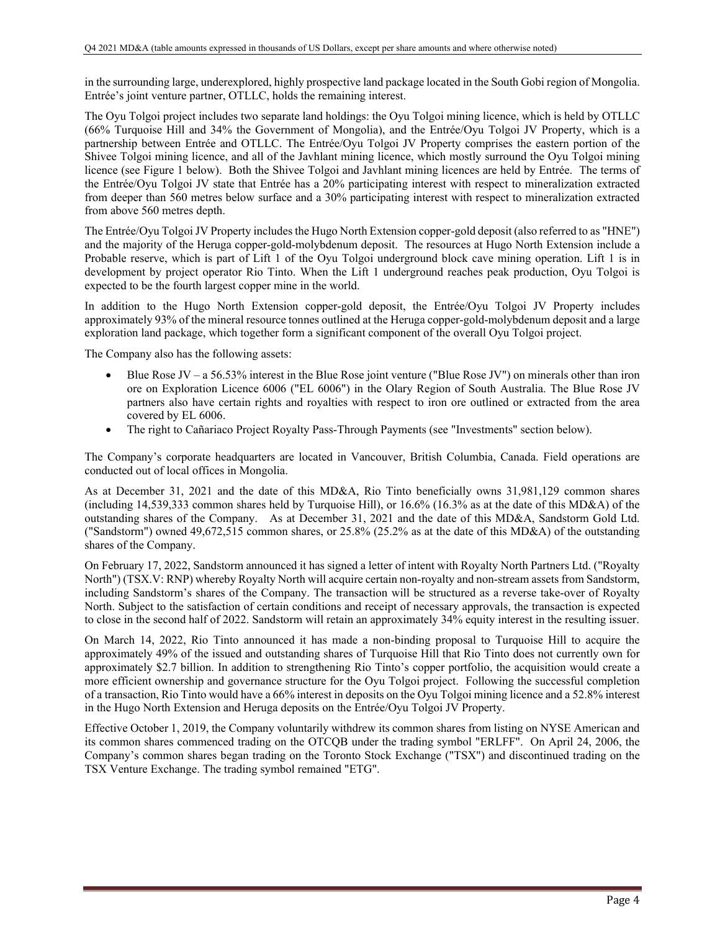in the surrounding large, underexplored, highly prospective land package located in the South Gobi region of Mongolia. Entrée's joint venture partner, OTLLC, holds the remaining interest.

The Oyu Tolgoi project includes two separate land holdings: the Oyu Tolgoi mining licence, which is held by OTLLC (66% Turquoise Hill and 34% the Government of Mongolia), and the Entrée/Oyu Tolgoi JV Property, which is a partnership between Entrée and OTLLC. The Entrée/Oyu Tolgoi JV Property comprises the eastern portion of the Shivee Tolgoi mining licence, and all of the Javhlant mining licence, which mostly surround the Oyu Tolgoi mining licence (see Figure 1 below). Both the Shivee Tolgoi and Javhlant mining licences are held by Entrée. The terms of the Entrée/Oyu Tolgoi JV state that Entrée has a 20% participating interest with respect to mineralization extracted from deeper than 560 metres below surface and a 30% participating interest with respect to mineralization extracted from above 560 metres depth.

The Entrée/Oyu Tolgoi JV Property includes the Hugo North Extension copper-gold deposit (also referred to as "HNE") and the majority of the Heruga copper-gold-molybdenum deposit. The resources at Hugo North Extension include a Probable reserve, which is part of Lift 1 of the Oyu Tolgoi underground block cave mining operation. Lift 1 is in development by project operator Rio Tinto. When the Lift 1 underground reaches peak production, Oyu Tolgoi is expected to be the fourth largest copper mine in the world.

In addition to the Hugo North Extension copper-gold deposit, the Entrée/Oyu Tolgoi JV Property includes approximately 93% of the mineral resource tonnes outlined at the Heruga copper-gold-molybdenum deposit and a large exploration land package, which together form a significant component of the overall Oyu Tolgoi project.

The Company also has the following assets:

- Blue Rose JV a 56.53% interest in the Blue Rose joint venture ("Blue Rose JV") on minerals other than iron ore on Exploration Licence 6006 ("EL 6006") in the Olary Region of South Australia. The Blue Rose JV partners also have certain rights and royalties with respect to iron ore outlined or extracted from the area covered by EL 6006.
- The right to Cañariaco Project Royalty Pass-Through Payments (see "Investments" section below).

The Company's corporate headquarters are located in Vancouver, British Columbia, Canada. Field operations are conducted out of local offices in Mongolia.

As at December 31, 2021 and the date of this MD&A, Rio Tinto beneficially owns 31,981,129 common shares (including 14,539,333 common shares held by Turquoise Hill), or 16.6% (16.3% as at the date of this MD&A) of the outstanding shares of the Company. As at December 31, 2021 and the date of this MD&A, Sandstorm Gold Ltd. ("Sandstorm") owned 49,672,515 common shares, or 25.8% (25.2% as at the date of this MD&A) of the outstanding shares of the Company.

On February 17, 2022, Sandstorm announced it has signed a letter of intent with Royalty North Partners Ltd. ("Royalty North") (TSX.V: RNP) whereby Royalty North will acquire certain non-royalty and non-stream assets from Sandstorm, including Sandstorm's shares of the Company. The transaction will be structured as a reverse take-over of Royalty North. Subject to the satisfaction of certain conditions and receipt of necessary approvals, the transaction is expected to close in the second half of 2022. Sandstorm will retain an approximately 34% equity interest in the resulting issuer.

On March 14, 2022, Rio Tinto announced it has made a non-binding proposal to Turquoise Hill to acquire the approximately 49% of the issued and outstanding shares of Turquoise Hill that Rio Tinto does not currently own for approximately \$2.7 billion. In addition to strengthening Rio Tinto's copper portfolio, the acquisition would create a more efficient ownership and governance structure for the Oyu Tolgoi project. Following the successful completion of a transaction, Rio Tinto would have a 66% interest in deposits on the Oyu Tolgoi mining licence and a 52.8% interest in the Hugo North Extension and Heruga deposits on the Entrée/Oyu Tolgoi JV Property.

Effective October 1, 2019, the Company voluntarily withdrew its common shares from listing on NYSE American and its common shares commenced trading on the OTCQB under the trading symbol "ERLFF". On April 24, 2006, the Company's common shares began trading on the Toronto Stock Exchange ("TSX") and discontinued trading on the TSX Venture Exchange. The trading symbol remained "ETG".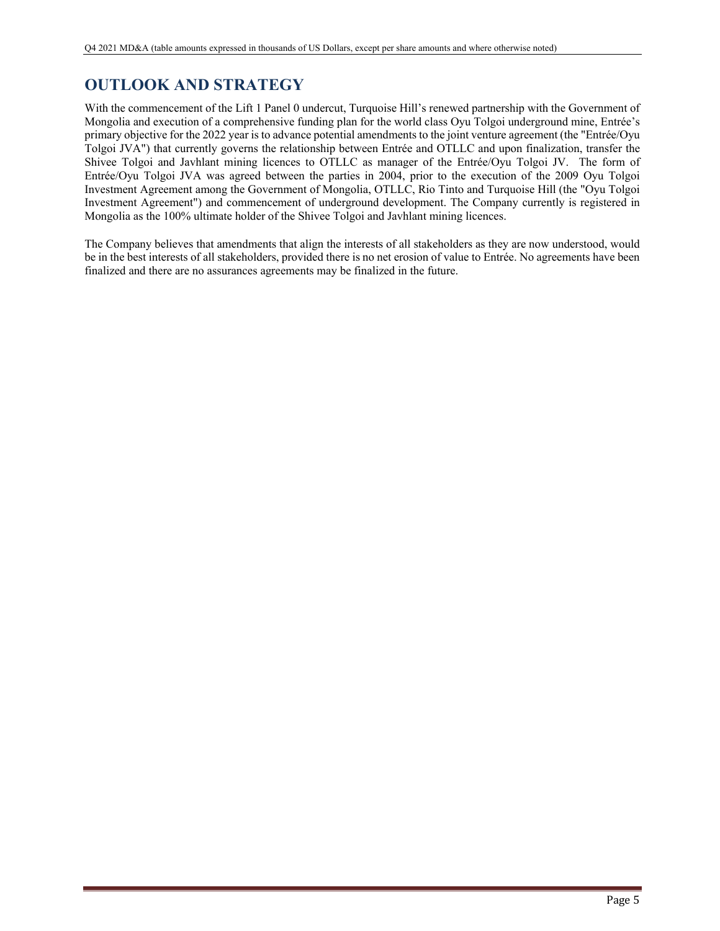# **OUTLOOK AND STRATEGY**

With the commencement of the Lift 1 Panel 0 undercut, Turquoise Hill's renewed partnership with the Government of Mongolia and execution of a comprehensive funding plan for the world class Oyu Tolgoi underground mine, Entrée's primary objective for the 2022 year is to advance potential amendments to the joint venture agreement (the "Entrée/Oyu Tolgoi JVA") that currently governs the relationship between Entrée and OTLLC and upon finalization, transfer the Shivee Tolgoi and Javhlant mining licences to OTLLC as manager of the Entrée/Oyu Tolgoi JV. The form of Entrée/Oyu Tolgoi JVA was agreed between the parties in 2004, prior to the execution of the 2009 Oyu Tolgoi Investment Agreement among the Government of Mongolia, OTLLC, Rio Tinto and Turquoise Hill (the "Oyu Tolgoi Investment Agreement") and commencement of underground development. The Company currently is registered in Mongolia as the 100% ultimate holder of the Shivee Tolgoi and Javhlant mining licences.

The Company believes that amendments that align the interests of all stakeholders as they are now understood, would be in the best interests of all stakeholders, provided there is no net erosion of value to Entrée. No agreements have been finalized and there are no assurances agreements may be finalized in the future.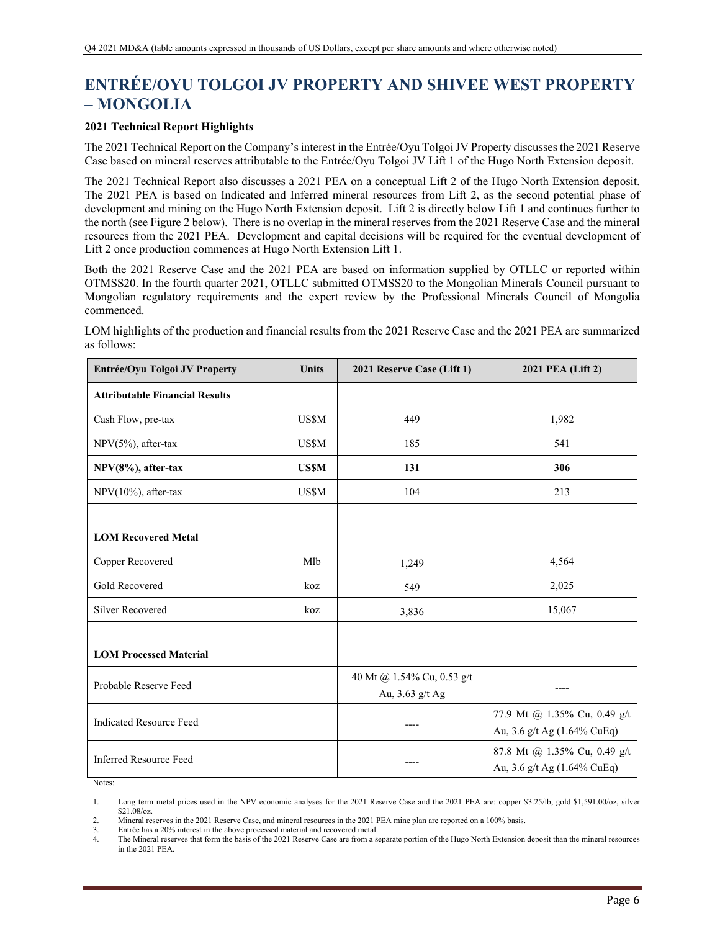# **ENTRÉE/OYU TOLGOI JV PROPERTY AND SHIVEE WEST PROPERTY – MONGOLIA**

## **2021 Technical Report Highlights**

The 2021 Technical Report on the Company's interest in the Entrée/Oyu Tolgoi JV Property discusses the 2021 Reserve Case based on mineral reserves attributable to the Entrée/Oyu Tolgoi JV Lift 1 of the Hugo North Extension deposit.

The 2021 Technical Report also discusses a 2021 PEA on a conceptual Lift 2 of the Hugo North Extension deposit. The 2021 PEA is based on Indicated and Inferred mineral resources from Lift 2, as the second potential phase of development and mining on the Hugo North Extension deposit. Lift 2 is directly below Lift 1 and continues further to the north (see Figure 2 below). There is no overlap in the mineral reserves from the 2021 Reserve Case and the mineral resources from the 2021 PEA. Development and capital decisions will be required for the eventual development of Lift 2 once production commences at Hugo North Extension Lift 1.

Both the 2021 Reserve Case and the 2021 PEA are based on information supplied by OTLLC or reported within OTMSS20. In the fourth quarter 2021, OTLLC submitted OTMSS20 to the Mongolian Minerals Council pursuant to Mongolian regulatory requirements and the expert review by the Professional Minerals Council of Mongolia commenced.

LOM highlights of the production and financial results from the 2021 Reserve Case and the 2021 PEA are summarized as follows:

| Entrée/Oyu Tolgoi JV Property         | Units        | 2021 Reserve Case (Lift 1)                    | 2021 PEA (Lift 2)                                           |
|---------------------------------------|--------------|-----------------------------------------------|-------------------------------------------------------------|
| <b>Attributable Financial Results</b> |              |                                               |                                                             |
| Cash Flow, pre-tax                    | US\$M        | 449                                           | 1,982                                                       |
| NPV(5%), after-tax                    | US\$M        | 185                                           | 541                                                         |
| NPV(8%), after-tax                    | <b>US\$M</b> | 131                                           | 306                                                         |
| NPV(10%), after-tax                   | <b>US\$M</b> | 104                                           | 213                                                         |
|                                       |              |                                               |                                                             |
| <b>LOM Recovered Metal</b>            |              |                                               |                                                             |
| Copper Recovered                      | Mlb          | 1,249                                         | 4,564                                                       |
| Gold Recovered                        | koz          | 549                                           | 2,025                                                       |
| <b>Silver Recovered</b>               | koz          | 3,836                                         | 15,067                                                      |
|                                       |              |                                               |                                                             |
| <b>LOM Processed Material</b>         |              |                                               |                                                             |
| Probable Reserve Feed                 |              | 40 Mt @ 1.54% Cu, 0.53 g/t<br>Au, 3.63 g/t Ag |                                                             |
| <b>Indicated Resource Feed</b>        |              |                                               | 77.9 Mt @ 1.35% Cu, 0.49 g/t<br>Au, 3.6 g/t Ag (1.64% CuEq) |
| <b>Inferred Resource Feed</b>         |              |                                               | 87.8 Mt @ 1.35% Cu, 0.49 g/t<br>Au, 3.6 g/t Ag (1.64% CuEq) |

Notes:

Entrée has a 20% interest in the above processed material and recovered metal.

<sup>1.</sup> Long term metal prices used in the NPV economic analyses for the 2021 Reserve Case and the 2021 PEA are: copper \$3.25/lb, gold \$1,591.00/oz, silver \$21.08/oz.

<sup>2.</sup> Mineral reserves in the 2021 Reserve Case, and mineral resources in the 2021 PEA mine plan are reported on a 100% basis.

<sup>4.</sup> The Mineral reserves that form the basis of the 2021 Reserve Case are from a separate portion of the Hugo North Extension deposit than the mineral resources in the 2021 PEA.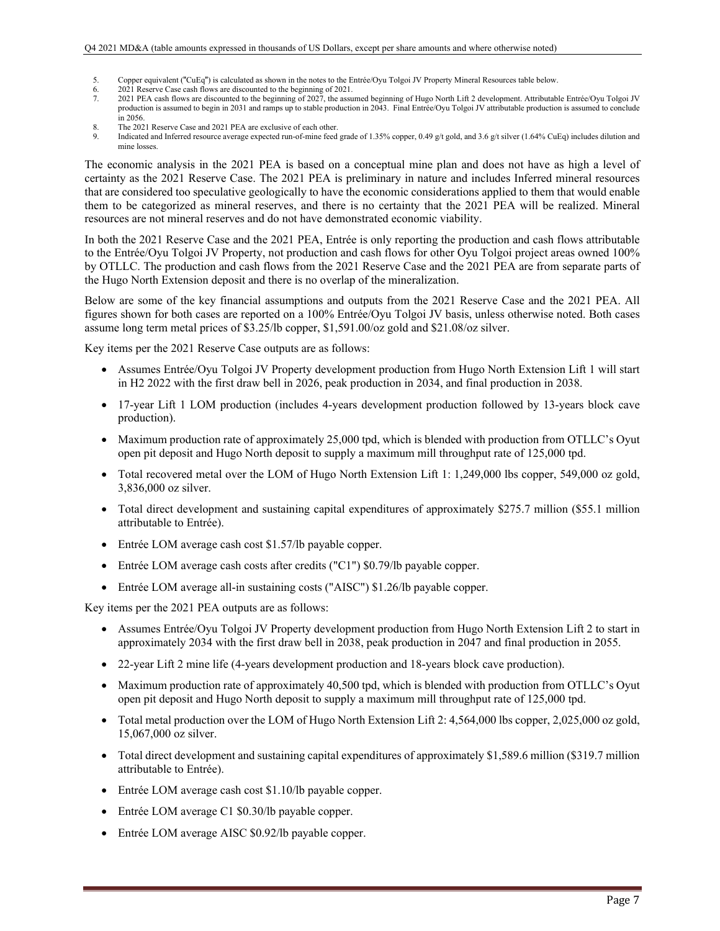- 5. Copper equivalent ("CuEq") is calculated as shown in the notes to the Entrée/Oyu Tolgoi JV Property Mineral Resources table below.
- 6. 2021 Reserve Case cash flows are discounted to the beginning of 2021.<br>2021 PEA cash flows are discounted to the beginning of 2027 the assume
- 7. 2021 PEA cash flows are discounted to the beginning of 2027, the assumed beginning of Hugo North Lift 2 development. Attributable Entrée/Oyu Tolgoi JV production is assumed to begin in 2031 and ramps up to stable production in 2043. Final Entrée/Oyu Tolgoi JV attributable production is assumed to conclude in 2056.
- The 2021 Reserve Case and 2021 PEA are exclusive of each other.
- 9. Indicated and Inferred resource average expected run-of-mine feed grade of 1.35% copper, 0.49 g/t gold, and 3.6 g/t silver (1.64% CuEq) includes dilution and mine losses.

The economic analysis in the 2021 PEA is based on a conceptual mine plan and does not have as high a level of certainty as the 2021 Reserve Case. The 2021 PEA is preliminary in nature and includes Inferred mineral resources that are considered too speculative geologically to have the economic considerations applied to them that would enable them to be categorized as mineral reserves, and there is no certainty that the 2021 PEA will be realized. Mineral resources are not mineral reserves and do not have demonstrated economic viability.

In both the 2021 Reserve Case and the 2021 PEA, Entrée is only reporting the production and cash flows attributable to the Entrée/Oyu Tolgoi JV Property, not production and cash flows for other Oyu Tolgoi project areas owned 100% by OTLLC. The production and cash flows from the 2021 Reserve Case and the 2021 PEA are from separate parts of the Hugo North Extension deposit and there is no overlap of the mineralization.

Below are some of the key financial assumptions and outputs from the 2021 Reserve Case and the 2021 PEA. All figures shown for both cases are reported on a 100% Entrée/Oyu Tolgoi JV basis, unless otherwise noted. Both cases assume long term metal prices of \$3.25/lb copper, \$1,591.00/oz gold and \$21.08/oz silver.

Key items per the 2021 Reserve Case outputs are as follows:

- Assumes Entrée/Oyu Tolgoi JV Property development production from Hugo North Extension Lift 1 will start in H2 2022 with the first draw bell in 2026, peak production in 2034, and final production in 2038.
- 17-year Lift 1 LOM production (includes 4-years development production followed by 13-years block cave production).
- Maximum production rate of approximately 25,000 tpd, which is blended with production from OTLLC's Oyut open pit deposit and Hugo North deposit to supply a maximum mill throughput rate of 125,000 tpd.
- Total recovered metal over the LOM of Hugo North Extension Lift 1: 1,249,000 lbs copper, 549,000 oz gold, 3,836,000 oz silver.
- Total direct development and sustaining capital expenditures of approximately \$275.7 million (\$55.1 million attributable to Entrée).
- Entrée LOM average cash cost \$1.57/lb payable copper.
- Entrée LOM average cash costs after credits ("C1") \$0.79/lb payable copper.
- Entrée LOM average all-in sustaining costs ("AISC") \$1.26/lb payable copper.

Key items per the 2021 PEA outputs are as follows:

- Assumes Entrée/Oyu Tolgoi JV Property development production from Hugo North Extension Lift 2 to start in approximately 2034 with the first draw bell in 2038, peak production in 2047 and final production in 2055.
- 22-year Lift 2 mine life (4-years development production and 18-years block cave production).
- Maximum production rate of approximately 40,500 tpd, which is blended with production from OTLLC's Oyut open pit deposit and Hugo North deposit to supply a maximum mill throughput rate of 125,000 tpd.
- Total metal production over the LOM of Hugo North Extension Lift 2: 4,564,000 lbs copper, 2,025,000 oz gold, 15,067,000 oz silver.
- Total direct development and sustaining capital expenditures of approximately \$1,589.6 million (\$319.7 million attributable to Entrée).
- Entrée LOM average cash cost \$1.10/lb payable copper.
- Entrée LOM average C1 \$0.30/lb payable copper.
- Entrée LOM average AISC \$0.92/lb payable copper.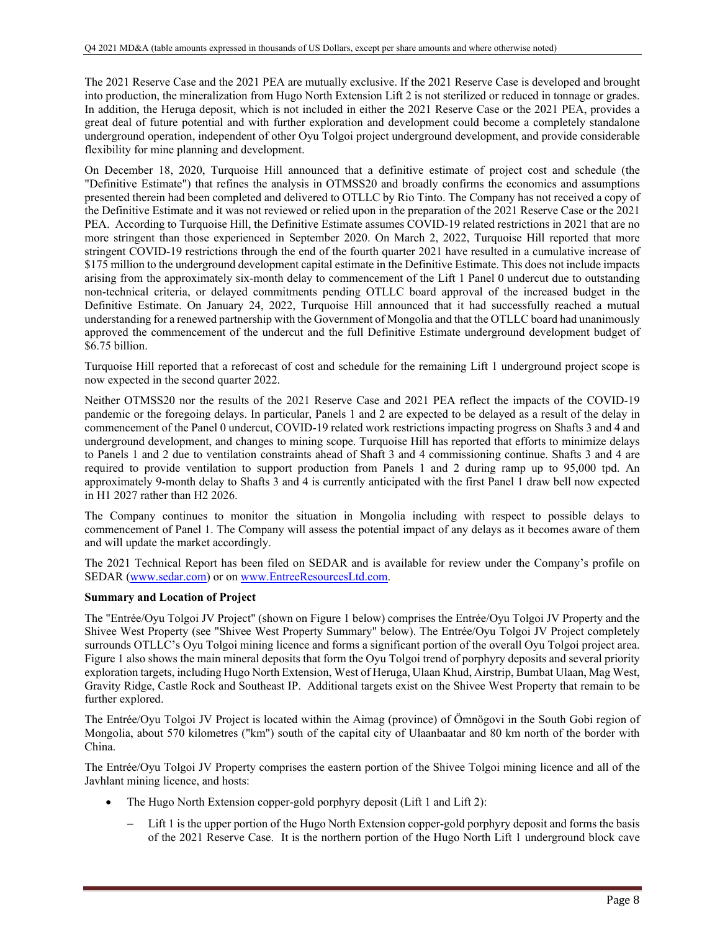The 2021 Reserve Case and the 2021 PEA are mutually exclusive. If the 2021 Reserve Case is developed and brought into production, the mineralization from Hugo North Extension Lift 2 is not sterilized or reduced in tonnage or grades. In addition, the Heruga deposit, which is not included in either the 2021 Reserve Case or the 2021 PEA, provides a great deal of future potential and with further exploration and development could become a completely standalone underground operation, independent of other Oyu Tolgoi project underground development, and provide considerable flexibility for mine planning and development.

On December 18, 2020, Turquoise Hill announced that a definitive estimate of project cost and schedule (the "Definitive Estimate") that refines the analysis in OTMSS20 and broadly confirms the economics and assumptions presented therein had been completed and delivered to OTLLC by Rio Tinto. The Company has not received a copy of the Definitive Estimate and it was not reviewed or relied upon in the preparation of the 2021 Reserve Case or the 2021 PEA. According to Turquoise Hill, the Definitive Estimate assumes COVID-19 related restrictions in 2021 that are no more stringent than those experienced in September 2020. On March 2, 2022, Turquoise Hill reported that more stringent COVID-19 restrictions through the end of the fourth quarter 2021 have resulted in a cumulative increase of \$175 million to the underground development capital estimate in the Definitive Estimate. This does not include impacts arising from the approximately six-month delay to commencement of the Lift 1 Panel 0 undercut due to outstanding non-technical criteria, or delayed commitments pending OTLLC board approval of the increased budget in the Definitive Estimate. On January 24, 2022, Turquoise Hill announced that it had successfully reached a mutual understanding for a renewed partnership with the Government of Mongolia and that the OTLLC board had unanimously approved the commencement of the undercut and the full Definitive Estimate underground development budget of \$6.75 billion.

Turquoise Hill reported that a reforecast of cost and schedule for the remaining Lift 1 underground project scope is now expected in the second quarter 2022.

Neither OTMSS20 nor the results of the 2021 Reserve Case and 2021 PEA reflect the impacts of the COVID-19 pandemic or the foregoing delays. In particular, Panels 1 and 2 are expected to be delayed as a result of the delay in commencement of the Panel 0 undercut, COVID-19 related work restrictions impacting progress on Shafts 3 and 4 and underground development, and changes to mining scope. Turquoise Hill has reported that efforts to minimize delays to Panels 1 and 2 due to ventilation constraints ahead of Shaft 3 and 4 commissioning continue. Shafts 3 and 4 are required to provide ventilation to support production from Panels 1 and 2 during ramp up to 95,000 tpd. An approximately 9-month delay to Shafts 3 and 4 is currently anticipated with the first Panel 1 draw bell now expected in H1 2027 rather than H2 2026.

The Company continues to monitor the situation in Mongolia including with respect to possible delays to commencement of Panel 1. The Company will assess the potential impact of any delays as it becomes aware of them and will update the market accordingly.

The 2021 Technical Report has been filed on SEDAR and is available for review under the Company's profile on SEDAR (www.sedar.com) or on www.EntreeResourcesLtd.com.

## **Summary and Location of Project**

The "Entrée/Oyu Tolgoi JV Project" (shown on Figure 1 below) comprises the Entrée/Oyu Tolgoi JV Property and the Shivee West Property (see "Shivee West Property Summary" below). The Entrée/Oyu Tolgoi JV Project completely surrounds OTLLC's Oyu Tolgoi mining licence and forms a significant portion of the overall Oyu Tolgoi project area. Figure 1 also shows the main mineral deposits that form the Oyu Tolgoi trend of porphyry deposits and several priority exploration targets, including Hugo North Extension, West of Heruga, Ulaan Khud, Airstrip, Bumbat Ulaan, Mag West, Gravity Ridge, Castle Rock and Southeast IP. Additional targets exist on the Shivee West Property that remain to be further explored.

The Entrée/Oyu Tolgoi JV Project is located within the Aimag (province) of Ömnögovi in the South Gobi region of Mongolia, about 570 kilometres ("km") south of the capital city of Ulaanbaatar and 80 km north of the border with China.

The Entrée/Oyu Tolgoi JV Property comprises the eastern portion of the Shivee Tolgoi mining licence and all of the Javhlant mining licence, and hosts:

- The Hugo North Extension copper-gold porphyry deposit (Lift 1 and Lift 2):
	- Lift 1 is the upper portion of the Hugo North Extension copper-gold porphyry deposit and forms the basis of the 2021 Reserve Case. It is the northern portion of the Hugo North Lift 1 underground block cave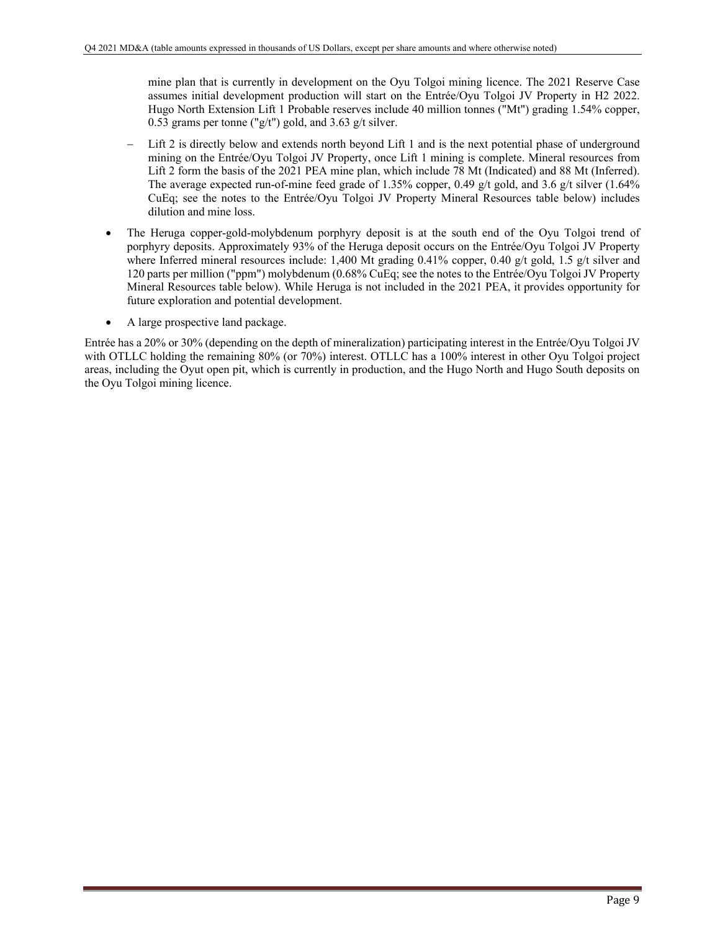mine plan that is currently in development on the Oyu Tolgoi mining licence. The 2021 Reserve Case assumes initial development production will start on the Entrée/Oyu Tolgoi JV Property in H2 2022. Hugo North Extension Lift 1 Probable reserves include 40 million tonnes ("Mt") grading 1.54% copper, 0.53 grams per tonne ("g/t") gold, and 3.63 g/t silver.

- Lift 2 is directly below and extends north beyond Lift 1 and is the next potential phase of underground mining on the Entrée/Oyu Tolgoi JV Property, once Lift 1 mining is complete. Mineral resources from Lift 2 form the basis of the 2021 PEA mine plan, which include 78 Mt (Indicated) and 88 Mt (Inferred). The average expected run-of-mine feed grade of 1.35% copper, 0.49 g/t gold, and 3.6 g/t silver (1.64%) CuEq; see the notes to the Entrée/Oyu Tolgoi JV Property Mineral Resources table below) includes dilution and mine loss.
- The Heruga copper-gold-molybdenum porphyry deposit is at the south end of the Oyu Tolgoi trend of porphyry deposits. Approximately 93% of the Heruga deposit occurs on the Entrée/Oyu Tolgoi JV Property where Inferred mineral resources include: 1,400 Mt grading 0.41% copper, 0.40 g/t gold, 1.5 g/t silver and 120 parts per million ("ppm") molybdenum (0.68% CuEq; see the notes to the Entrée/Oyu Tolgoi JV Property Mineral Resources table below). While Heruga is not included in the 2021 PEA, it provides opportunity for future exploration and potential development.
- A large prospective land package.

Entrée has a 20% or 30% (depending on the depth of mineralization) participating interest in the Entrée/Oyu Tolgoi JV with OTLLC holding the remaining 80% (or 70%) interest. OTLLC has a 100% interest in other Oyu Tolgoi project areas, including the Oyut open pit, which is currently in production, and the Hugo North and Hugo South deposits on the Oyu Tolgoi mining licence.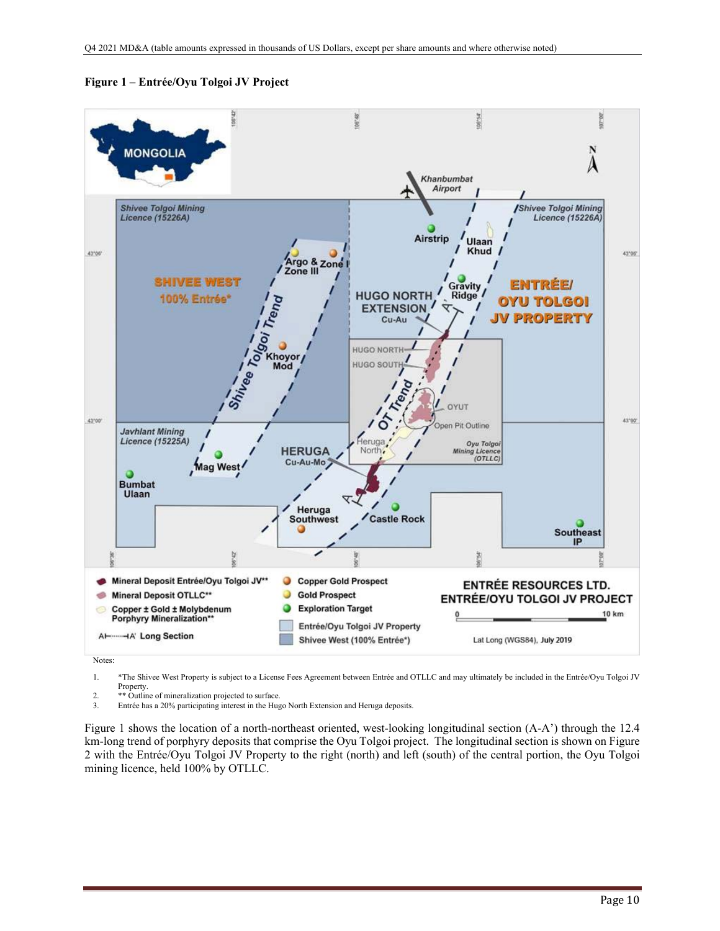

**Figure 1 – Entrée/Oyu Tolgoi JV Project** 

Notes:

1. \*The Shivee West Property is subject to a License Fees Agreement between Entrée and OTLLC and may ultimately be included in the Entrée/Oyu Tolgoi JV Property.

2. \*\* Outline of mineralization projected to surface.<br>3. Entrée has a 20% participating interest in the Hug

3. Entrée has a 20% participating interest in the Hugo North Extension and Heruga deposits.

Figure 1 shows the location of a north-northeast oriented, west-looking longitudinal section (A-A') through the 12.4 km-long trend of porphyry deposits that comprise the Oyu Tolgoi project. The longitudinal section is shown on Figure 2 with the Entrée/Oyu Tolgoi JV Property to the right (north) and left (south) of the central portion, the Oyu Tolgoi mining licence, held 100% by OTLLC.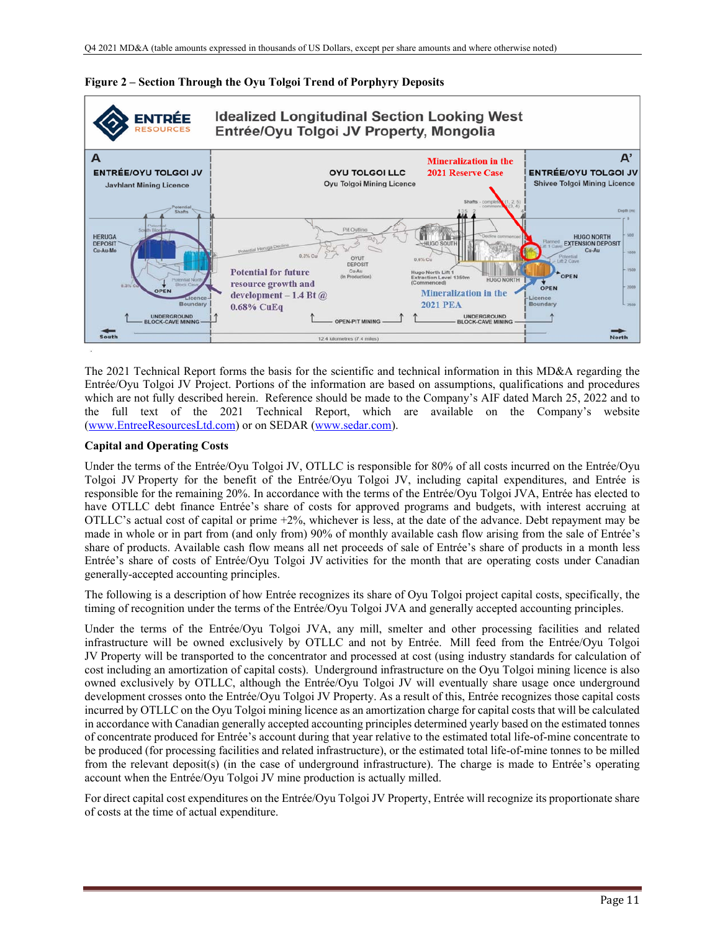

### **Figure 2 – Section Through the Oyu Tolgoi Trend of Porphyry Deposits**

The 2021 Technical Report forms the basis for the scientific and technical information in this MD&A regarding the Entrée/Oyu Tolgoi JV Project. Portions of the information are based on assumptions, qualifications and procedures which are not fully described herein. Reference should be made to the Company's AIF dated March 25, 2022 and to the full text of the 2021 Technical Report, which are available on the Company's website (www.EntreeResourcesLtd.com) or on SEDAR (www.sedar.com).

### **Capital and Operating Costs**

Under the terms of the Entrée/Oyu Tolgoi JV, OTLLC is responsible for 80% of all costs incurred on the Entrée/Oyu Tolgoi JV Property for the benefit of the Entrée/Oyu Tolgoi JV, including capital expenditures, and Entrée is responsible for the remaining 20%. In accordance with the terms of the Entrée/Oyu Tolgoi JVA, Entrée has elected to have OTLLC debt finance Entrée's share of costs for approved programs and budgets, with interest accruing at OTLLC's actual cost of capital or prime +2%, whichever is less, at the date of the advance. Debt repayment may be made in whole or in part from (and only from) 90% of monthly available cash flow arising from the sale of Entrée's share of products. Available cash flow means all net proceeds of sale of Entrée's share of products in a month less Entrée's share of costs of Entrée/Oyu Tolgoi JV activities for the month that are operating costs under Canadian generally-accepted accounting principles.

The following is a description of how Entrée recognizes its share of Oyu Tolgoi project capital costs, specifically, the timing of recognition under the terms of the Entrée/Oyu Tolgoi JVA and generally accepted accounting principles.

Under the terms of the Entrée/Oyu Tolgoi JVA, any mill, smelter and other processing facilities and related infrastructure will be owned exclusively by OTLLC and not by Entrée. Mill feed from the Entrée/Oyu Tolgoi JV Property will be transported to the concentrator and processed at cost (using industry standards for calculation of cost including an amortization of capital costs). Underground infrastructure on the Oyu Tolgoi mining licence is also owned exclusively by OTLLC, although the Entrée/Oyu Tolgoi JV will eventually share usage once underground development crosses onto the Entrée/Oyu Tolgoi JV Property. As a result of this, Entrée recognizes those capital costs incurred by OTLLC on the Oyu Tolgoi mining licence as an amortization charge for capital costs that will be calculated in accordance with Canadian generally accepted accounting principles determined yearly based on the estimated tonnes of concentrate produced for Entrée's account during that year relative to the estimated total life-of-mine concentrate to be produced (for processing facilities and related infrastructure), or the estimated total life-of-mine tonnes to be milled from the relevant deposit(s) (in the case of underground infrastructure). The charge is made to Entrée's operating account when the Entrée/Oyu Tolgoi JV mine production is actually milled.

For direct capital cost expenditures on the Entrée/Oyu Tolgoi JV Property, Entrée will recognize its proportionate share of costs at the time of actual expenditure.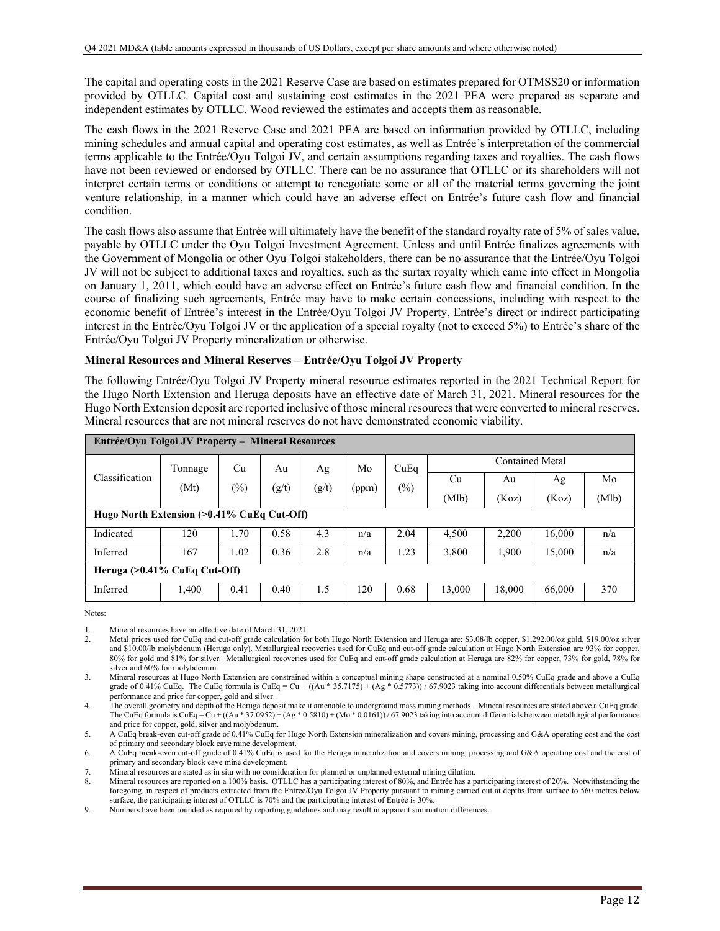The capital and operating costs in the 2021 Reserve Case are based on estimates prepared for OTMSS20 or information provided by OTLLC. Capital cost and sustaining cost estimates in the 2021 PEA were prepared as separate and independent estimates by OTLLC. Wood reviewed the estimates and accepts them as reasonable.

The cash flows in the 2021 Reserve Case and 2021 PEA are based on information provided by OTLLC, including mining schedules and annual capital and operating cost estimates, as well as Entrée's interpretation of the commercial terms applicable to the Entrée/Oyu Tolgoi JV, and certain assumptions regarding taxes and royalties. The cash flows have not been reviewed or endorsed by OTLLC. There can be no assurance that OTLLC or its shareholders will not interpret certain terms or conditions or attempt to renegotiate some or all of the material terms governing the joint venture relationship, in a manner which could have an adverse effect on Entrée's future cash flow and financial condition.

The cash flows also assume that Entrée will ultimately have the benefit of the standard royalty rate of 5% of sales value, payable by OTLLC under the Oyu Tolgoi Investment Agreement. Unless and until Entrée finalizes agreements with the Government of Mongolia or other Oyu Tolgoi stakeholders, there can be no assurance that the Entrée/Oyu Tolgoi JV will not be subject to additional taxes and royalties, such as the surtax royalty which came into effect in Mongolia on January 1, 2011, which could have an adverse effect on Entrée's future cash flow and financial condition. In the course of finalizing such agreements, Entrée may have to make certain concessions, including with respect to the economic benefit of Entrée's interest in the Entrée/Oyu Tolgoi JV Property, Entrée's direct or indirect participating interest in the Entrée/Oyu Tolgoi JV or the application of a special royalty (not to exceed 5%) to Entrée's share of the Entrée/Oyu Tolgoi JV Property mineralization or otherwise.

### **Mineral Resources and Mineral Reserves – Entrée/Oyu Tolgoi JV Property**

The following Entrée/Oyu Tolgoi JV Property mineral resource estimates reported in the 2021 Technical Report for the Hugo North Extension and Heruga deposits have an effective date of March 31, 2021. Mineral resources for the Hugo North Extension deposit are reported inclusive of those mineral resources that were converted to mineral reserves. Mineral resources that are not mineral reserves do not have demonstrated economic viability.

| Entrée/Oyu Tolgoi JV Property – Mineral Resources |                                            |        |       |       |       |                 |        |        |        |       |  |
|---------------------------------------------------|--------------------------------------------|--------|-------|-------|-------|-----------------|--------|--------|--------|-------|--|
|                                                   | Cu<br>Au<br>Tonnage                        | Ag     | Mo    | CuEq  |       | Contained Metal |        |        |        |       |  |
| Classification                                    | (Mt)                                       | $(\%)$ | (g/t) | (g/t) | (ppm) | $(\%)$          | Cu     | Au     | Ag     | Mo    |  |
|                                                   |                                            |        |       |       |       |                 | (Mlb)  | (Koz)  | (Koz)  | (Mlb) |  |
|                                                   | Hugo North Extension (>0.41% CuEq Cut-Off) |        |       |       |       |                 |        |        |        |       |  |
| Indicated                                         | 120                                        | 1.70   | 0.58  | 4.3   | n/a   | 2.04            | 4,500  | 2,200  | 16,000 | n/a   |  |
| Inferred                                          | 167                                        | 1.02   | 0.36  | 2.8   | n/a   | 1.23            | 3,800  | 1,900  | 15,000 | n/a   |  |
| Heruga (>0.41% CuEq Cut-Off)                      |                                            |        |       |       |       |                 |        |        |        |       |  |
| Inferred                                          | 1,400                                      | 0.41   | 0.40  | 1.5   | 120   | 0.68            | 13,000 | 18,000 | 66,000 | 370   |  |

Notes:

1. Mineral resources have an effective date of March 31, 2021.

- Metal prices used for CuEq and cut-off grade calculation for both Hugo North Extension and Heruga are: \$3.08/lb copper, \$1,292.00/oz gold, \$19.00/oz silver and \$10.00/lb molybdenum (Heruga only). Metallurgical recoveries used for CuEq and cut-off grade calculation at Hugo North Extension are 93% for copper, 80% for gold and 81% for silver. Metallurgical recoveries used for CuEq and cut-off grade calculation at Heruga are 82% for copper, 73% for gold, 78% for silver and 60% for molybdenum.
- 3. Mineral resources at Hugo North Extension are constrained within a conceptual mining shape constructed at a nominal 0.50% CuEq grade and above a CuEq grade of 0.41% CuEq. The CuEq formula is CuEq = Cu + ((Au \* 35.7175) + (Ag \* 0.5773)) / 67.9023 taking into account differentials between metallurgical performance and price for copper, gold and silver.

4. The overall geometry and depth of the Heruga deposit make it amenable to underground mass mining methods. Mineral resources are stated above a CuEq grade. The CuEq formula is CuEq = Cu + ((Au \* 37.0952) + (Ag \* 0.5810) + (Mo \* 0.0161)) / 67.9023 taking into account differentials between metallurgical performance and price for copper, gold, silver and molybdenum.

5. A CuEq break-even cut-off grade of 0.41% CuEq for Hugo North Extension mineralization and covers mining, processing and G&A operating cost and the cost of primary and secondary block cave mine development.

6. A CuEq break-even cut-off grade of 0.41% CuEq is used for the Heruga mineralization and covers mining, processing and G&A operating cost and the cost of primary and secondary block cave mine development.

7. Mineral resources are stated as in situ with no consideration for planned or unplanned external mining dilution.

Mineral resources are reported on a 100% basis. OTLLC has a participating interest of 80%, and Entrée has a participating interest of 20%. Notwithstanding the foregoing, in respect of products extracted from the Entrée/Oyu Tolgoi JV Property pursuant to mining carried out at depths from surface to 560 metres below surface, the participating interest of OTLLC is 70% and the participating interest of Entrée is 30%.

9. Numbers have been rounded as required by reporting guidelines and may result in apparent summation differences.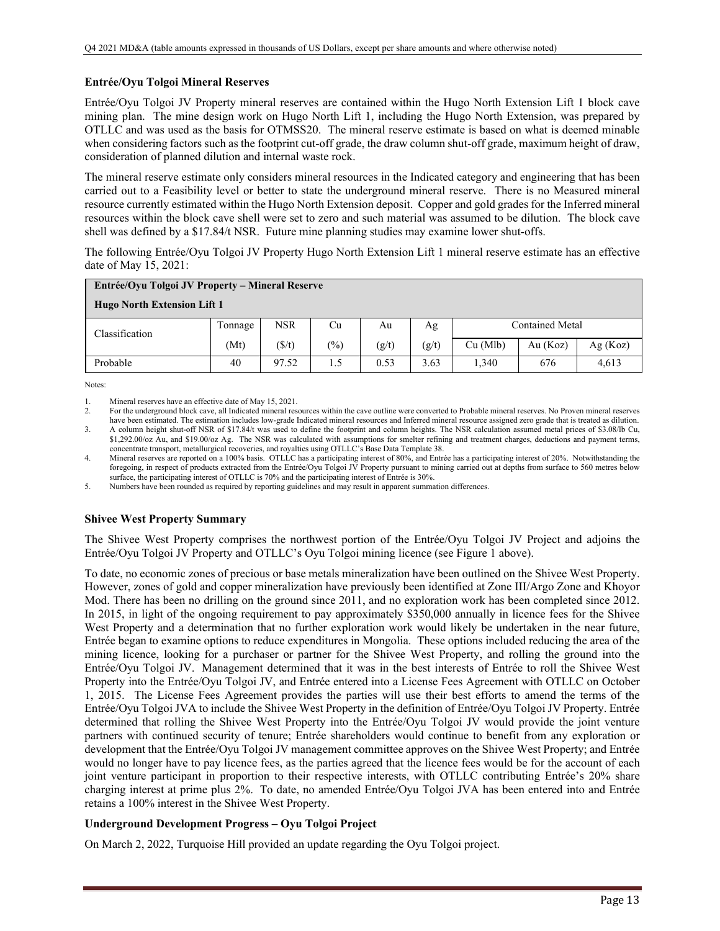## **Entrée/Oyu Tolgoi Mineral Reserves**

Entrée/Oyu Tolgoi JV Property mineral reserves are contained within the Hugo North Extension Lift 1 block cave mining plan. The mine design work on Hugo North Lift 1, including the Hugo North Extension, was prepared by OTLLC and was used as the basis for OTMSS20. The mineral reserve estimate is based on what is deemed minable when considering factors such as the footprint cut-off grade, the draw column shut-off grade, maximum height of draw, consideration of planned dilution and internal waste rock.

The mineral reserve estimate only considers mineral resources in the Indicated category and engineering that has been carried out to a Feasibility level or better to state the underground mineral reserve. There is no Measured mineral resource currently estimated within the Hugo North Extension deposit. Copper and gold grades for the Inferred mineral resources within the block cave shell were set to zero and such material was assumed to be dilution. The block cave shell was defined by a \$17.84/t NSR. Future mine planning studies may examine lower shut-offs.

The following Entrée/Oyu Tolgoi JV Property Hugo North Extension Lift 1 mineral reserve estimate has an effective date of May 15, 2021:

| Entrée/Oyu Tolgoi JV Property – Mineral Reserve |         |                 |        |       |       |          |                 |         |  |  |
|-------------------------------------------------|---------|-----------------|--------|-------|-------|----------|-----------------|---------|--|--|
| <b>Hugo North Extension Lift 1</b>              |         |                 |        |       |       |          |                 |         |  |  |
| Classification                                  | Tonnage | <b>NSR</b>      | Cu     | Au    | Ag    |          | Contained Metal |         |  |  |
|                                                 | (Mt)    | $(\frac{f}{f})$ | $(\%)$ | (g/t) | (g/t) | Cu (Mlb) | Au $(Koz)$      | Ag(Koz) |  |  |
| Probable                                        | 40      | 97.52           | 1.5    | 0.53  | 3.63  | 1,340    | 676             | 4.613   |  |  |

Notes:

1. Mineral reserves have an effective date of May 15, 2021.

2. For the underground block cave, all Indicated mineral resources within the cave outline were converted to Probable mineral reserves. No Proven mineral reserves have been estimated. The estimation includes low-grade Indicated mineral resources and Inferred mineral resource assigned zero grade that is treated as dilution.

3. A column height shut-off NSR of \$17.84/t was used to define the footprint and column heights. The NSR calculation assumed metal prices of \$3.08/lb Cu, \$1,292.00/oz Au, and \$19.00/oz Ag. The NSR was calculated with assumptions for smelter refining and treatment charges, deductions and payment terms, concentrate transport, metallurgical recoveries, and royalties using OTLLC's Base Data Template 38.

4. Mineral reserves are reported on a 100% basis. OTLLC has a participating interest of 80%, and Entrée has a participating interest of 20%. Notwithstanding the foregoing, in respect of products extracted from the Entrée/Oyu Tolgoi JV Property pursuant to mining carried out at depths from surface to 560 metres below surface, the participating interest of OTLLC is 70% and the participating interest of Entrée is 30%.

5. Numbers have been rounded as required by reporting guidelines and may result in apparent summation differences.

## **Shivee West Property Summary**

The Shivee West Property comprises the northwest portion of the Entrée/Oyu Tolgoi JV Project and adjoins the Entrée/Oyu Tolgoi JV Property and OTLLC's Oyu Tolgoi mining licence (see Figure 1 above).

To date, no economic zones of precious or base metals mineralization have been outlined on the Shivee West Property. However, zones of gold and copper mineralization have previously been identified at Zone III/Argo Zone and Khoyor Mod. There has been no drilling on the ground since 2011, and no exploration work has been completed since 2012. In 2015, in light of the ongoing requirement to pay approximately \$350,000 annually in licence fees for the Shivee West Property and a determination that no further exploration work would likely be undertaken in the near future, Entrée began to examine options to reduce expenditures in Mongolia. These options included reducing the area of the mining licence, looking for a purchaser or partner for the Shivee West Property, and rolling the ground into the Entrée/Oyu Tolgoi JV. Management determined that it was in the best interests of Entrée to roll the Shivee West Property into the Entrée/Oyu Tolgoi JV, and Entrée entered into a License Fees Agreement with OTLLC on October 1, 2015. The License Fees Agreement provides the parties will use their best efforts to amend the terms of the Entrée/Oyu Tolgoi JVA to include the Shivee West Property in the definition of Entrée/Oyu Tolgoi JV Property. Entrée determined that rolling the Shivee West Property into the Entrée/Oyu Tolgoi JV would provide the joint venture partners with continued security of tenure; Entrée shareholders would continue to benefit from any exploration or development that the Entrée/Oyu Tolgoi JV management committee approves on the Shivee West Property; and Entrée would no longer have to pay licence fees, as the parties agreed that the licence fees would be for the account of each joint venture participant in proportion to their respective interests, with OTLLC contributing Entrée's 20% share charging interest at prime plus 2%. To date, no amended Entrée/Oyu Tolgoi JVA has been entered into and Entrée retains a 100% interest in the Shivee West Property.

## **Underground Development Progress – Oyu Tolgoi Project**

On March 2, 2022, Turquoise Hill provided an update regarding the Oyu Tolgoi project.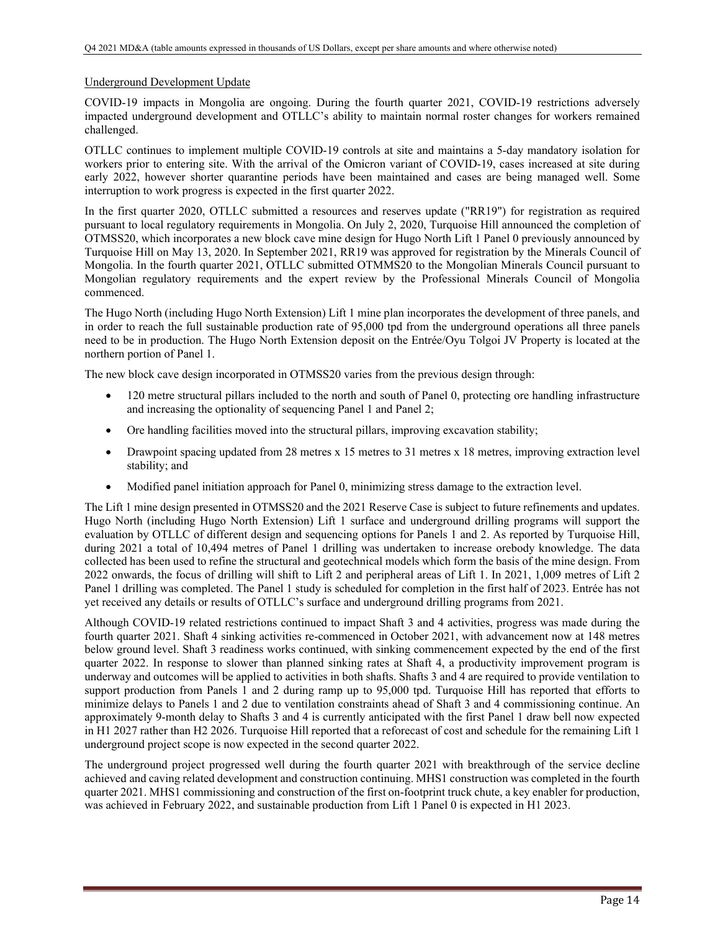### Underground Development Update

COVID-19 impacts in Mongolia are ongoing. During the fourth quarter 2021, COVID-19 restrictions adversely impacted underground development and OTLLC's ability to maintain normal roster changes for workers remained challenged.

OTLLC continues to implement multiple COVID-19 controls at site and maintains a 5-day mandatory isolation for workers prior to entering site. With the arrival of the Omicron variant of COVID-19, cases increased at site during early 2022, however shorter quarantine periods have been maintained and cases are being managed well. Some interruption to work progress is expected in the first quarter 2022.

In the first quarter 2020, OTLLC submitted a resources and reserves update ("RR19") for registration as required pursuant to local regulatory requirements in Mongolia. On July 2, 2020, Turquoise Hill announced the completion of OTMSS20, which incorporates a new block cave mine design for Hugo North Lift 1 Panel 0 previously announced by Turquoise Hill on May 13, 2020. In September 2021, RR19 was approved for registration by the Minerals Council of Mongolia. In the fourth quarter 2021, OTLLC submitted OTMMS20 to the Mongolian Minerals Council pursuant to Mongolian regulatory requirements and the expert review by the Professional Minerals Council of Mongolia commenced.

The Hugo North (including Hugo North Extension) Lift 1 mine plan incorporates the development of three panels, and in order to reach the full sustainable production rate of 95,000 tpd from the underground operations all three panels need to be in production. The Hugo North Extension deposit on the Entrée/Oyu Tolgoi JV Property is located at the northern portion of Panel 1.

The new block cave design incorporated in OTMSS20 varies from the previous design through:

- 120 metre structural pillars included to the north and south of Panel 0, protecting ore handling infrastructure and increasing the optionality of sequencing Panel 1 and Panel 2;
- Ore handling facilities moved into the structural pillars, improving excavation stability;
- Drawpoint spacing updated from 28 metres x 15 metres to 31 metres x 18 metres, improving extraction level stability; and
- Modified panel initiation approach for Panel 0, minimizing stress damage to the extraction level.

The Lift 1 mine design presented in OTMSS20 and the 2021 Reserve Case is subject to future refinements and updates. Hugo North (including Hugo North Extension) Lift 1 surface and underground drilling programs will support the evaluation by OTLLC of different design and sequencing options for Panels 1 and 2. As reported by Turquoise Hill, during 2021 a total of 10,494 metres of Panel 1 drilling was undertaken to increase orebody knowledge. The data collected has been used to refine the structural and geotechnical models which form the basis of the mine design. From 2022 onwards, the focus of drilling will shift to Lift 2 and peripheral areas of Lift 1. In 2021, 1,009 metres of Lift 2 Panel 1 drilling was completed. The Panel 1 study is scheduled for completion in the first half of 2023. Entrée has not yet received any details or results of OTLLC's surface and underground drilling programs from 2021.

Although COVID-19 related restrictions continued to impact Shaft 3 and 4 activities, progress was made during the fourth quarter 2021. Shaft 4 sinking activities re-commenced in October 2021, with advancement now at 148 metres below ground level. Shaft 3 readiness works continued, with sinking commencement expected by the end of the first quarter 2022. In response to slower than planned sinking rates at Shaft 4, a productivity improvement program is underway and outcomes will be applied to activities in both shafts. Shafts 3 and 4 are required to provide ventilation to support production from Panels 1 and 2 during ramp up to 95,000 tpd. Turquoise Hill has reported that efforts to minimize delays to Panels 1 and 2 due to ventilation constraints ahead of Shaft 3 and 4 commissioning continue. An approximately 9-month delay to Shafts 3 and 4 is currently anticipated with the first Panel 1 draw bell now expected in H1 2027 rather than H2 2026. Turquoise Hill reported that a reforecast of cost and schedule for the remaining Lift 1 underground project scope is now expected in the second quarter 2022.

The underground project progressed well during the fourth quarter 2021 with breakthrough of the service decline achieved and caving related development and construction continuing. MHS1 construction was completed in the fourth quarter 2021. MHS1 commissioning and construction of the first on-footprint truck chute, a key enabler for production, was achieved in February 2022, and sustainable production from Lift 1 Panel 0 is expected in H1 2023.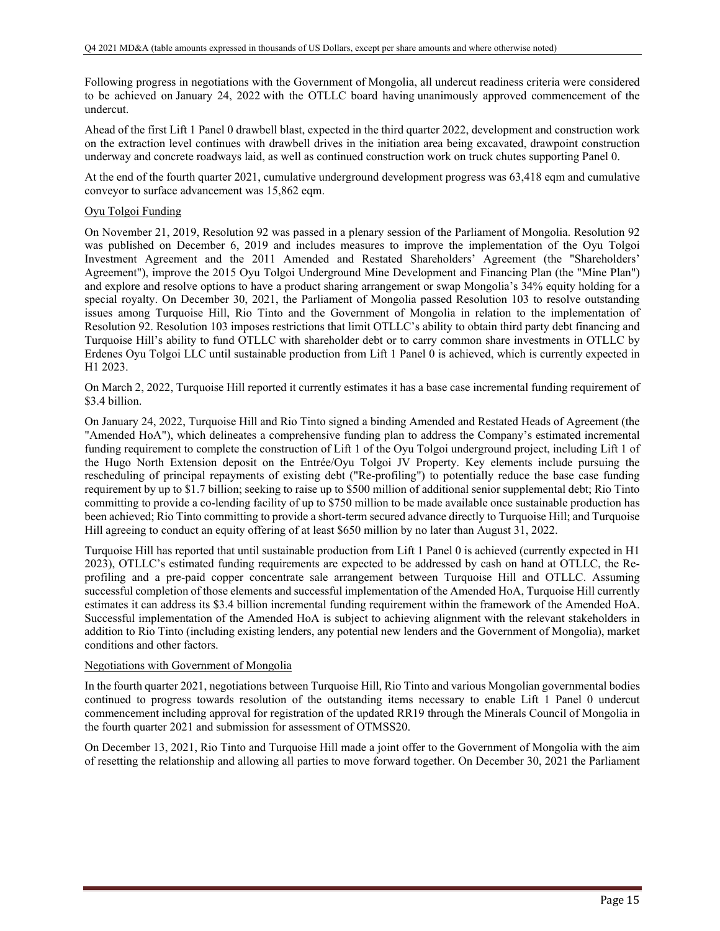Following progress in negotiations with the Government of Mongolia, all undercut readiness criteria were considered to be achieved on January 24, 2022 with the OTLLC board having unanimously approved commencement of the undercut.

Ahead of the first Lift 1 Panel 0 drawbell blast, expected in the third quarter 2022, development and construction work on the extraction level continues with drawbell drives in the initiation area being excavated, drawpoint construction underway and concrete roadways laid, as well as continued construction work on truck chutes supporting Panel 0.

At the end of the fourth quarter 2021, cumulative underground development progress was 63,418 eqm and cumulative conveyor to surface advancement was 15,862 eqm.

### Oyu Tolgoi Funding

On November 21, 2019, Resolution 92 was passed in a plenary session of the Parliament of Mongolia. Resolution 92 was published on December 6, 2019 and includes measures to improve the implementation of the Oyu Tolgoi Investment Agreement and the 2011 Amended and Restated Shareholders' Agreement (the "Shareholders' Agreement"), improve the 2015 Oyu Tolgoi Underground Mine Development and Financing Plan (the "Mine Plan") and explore and resolve options to have a product sharing arrangement or swap Mongolia's 34% equity holding for a special royalty. On December 30, 2021, the Parliament of Mongolia passed Resolution 103 to resolve outstanding issues among Turquoise Hill, Rio Tinto and the Government of Mongolia in relation to the implementation of Resolution 92. Resolution 103 imposes restrictions that limit OTLLC's ability to obtain third party debt financing and Turquoise Hill's ability to fund OTLLC with shareholder debt or to carry common share investments in OTLLC by Erdenes Oyu Tolgoi LLC until sustainable production from Lift 1 Panel 0 is achieved, which is currently expected in H1 2023.

On March 2, 2022, Turquoise Hill reported it currently estimates it has a base case incremental funding requirement of \$3.4 billion.

On January 24, 2022, Turquoise Hill and Rio Tinto signed a binding Amended and Restated Heads of Agreement (the "Amended HoA"), which delineates a comprehensive funding plan to address the Company's estimated incremental funding requirement to complete the construction of Lift 1 of the Oyu Tolgoi underground project, including Lift 1 of the Hugo North Extension deposit on the Entrée/Oyu Tolgoi JV Property. Key elements include pursuing the rescheduling of principal repayments of existing debt ("Re-profiling") to potentially reduce the base case funding requirement by up to \$1.7 billion; seeking to raise up to \$500 million of additional senior supplemental debt; Rio Tinto committing to provide a co-lending facility of up to \$750 million to be made available once sustainable production has been achieved; Rio Tinto committing to provide a short-term secured advance directly to Turquoise Hill; and Turquoise Hill agreeing to conduct an equity offering of at least \$650 million by no later than August 31, 2022.

Turquoise Hill has reported that until sustainable production from Lift 1 Panel 0 is achieved (currently expected in H1 2023), OTLLC's estimated funding requirements are expected to be addressed by cash on hand at OTLLC, the Reprofiling and a pre-paid copper concentrate sale arrangement between Turquoise Hill and OTLLC. Assuming successful completion of those elements and successful implementation of the Amended HoA, Turquoise Hill currently estimates it can address its \$3.4 billion incremental funding requirement within the framework of the Amended HoA. Successful implementation of the Amended HoA is subject to achieving alignment with the relevant stakeholders in addition to Rio Tinto (including existing lenders, any potential new lenders and the Government of Mongolia), market conditions and other factors.

#### Negotiations with Government of Mongolia

In the fourth quarter 2021, negotiations between Turquoise Hill, Rio Tinto and various Mongolian governmental bodies continued to progress towards resolution of the outstanding items necessary to enable Lift 1 Panel 0 undercut commencement including approval for registration of the updated RR19 through the Minerals Council of Mongolia in the fourth quarter 2021 and submission for assessment of OTMSS20.

On December 13, 2021, Rio Tinto and Turquoise Hill made a joint offer to the Government of Mongolia with the aim of resetting the relationship and allowing all parties to move forward together. On December 30, 2021 the Parliament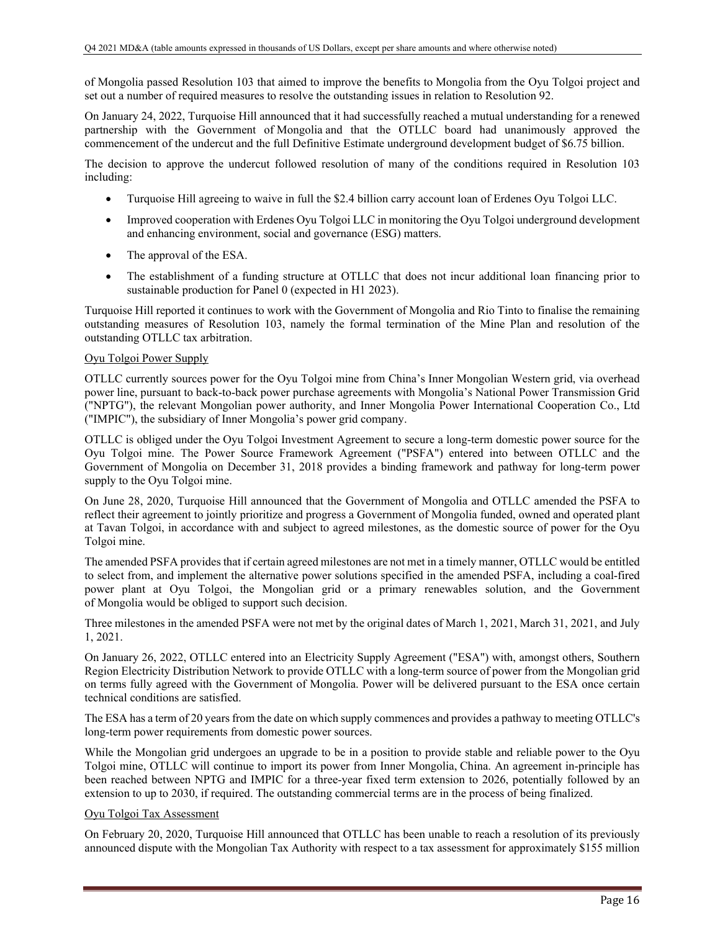of Mongolia passed Resolution 103 that aimed to improve the benefits to Mongolia from the Oyu Tolgoi project and set out a number of required measures to resolve the outstanding issues in relation to Resolution 92.

On January 24, 2022, Turquoise Hill announced that it had successfully reached a mutual understanding for a renewed partnership with the Government of Mongolia and that the OTLLC board had unanimously approved the commencement of the undercut and the full Definitive Estimate underground development budget of \$6.75 billion.

The decision to approve the undercut followed resolution of many of the conditions required in Resolution 103 including:

- Turquoise Hill agreeing to waive in full the \$2.4 billion carry account loan of Erdenes Oyu Tolgoi LLC.
- Improved cooperation with Erdenes Oyu Tolgoi LLC in monitoring the Oyu Tolgoi underground development and enhancing environment, social and governance (ESG) matters.
- The approval of the ESA.
- The establishment of a funding structure at OTLLC that does not incur additional loan financing prior to sustainable production for Panel 0 (expected in H1 2023).

Turquoise Hill reported it continues to work with the Government of Mongolia and Rio Tinto to finalise the remaining outstanding measures of Resolution 103, namely the formal termination of the Mine Plan and resolution of the outstanding OTLLC tax arbitration.

#### Oyu Tolgoi Power Supply

OTLLC currently sources power for the Oyu Tolgoi mine from China's Inner Mongolian Western grid, via overhead power line, pursuant to back-to-back power purchase agreements with Mongolia's National Power Transmission Grid ("NPTG"), the relevant Mongolian power authority, and Inner Mongolia Power International Cooperation Co., Ltd ("IMPIC"), the subsidiary of Inner Mongolia's power grid company.

OTLLC is obliged under the Oyu Tolgoi Investment Agreement to secure a long-term domestic power source for the Oyu Tolgoi mine. The Power Source Framework Agreement ("PSFA") entered into between OTLLC and the Government of Mongolia on December 31, 2018 provides a binding framework and pathway for long-term power supply to the Oyu Tolgoi mine.

On June 28, 2020, Turquoise Hill announced that the Government of Mongolia and OTLLC amended the PSFA to reflect their agreement to jointly prioritize and progress a Government of Mongolia funded, owned and operated plant at Tavan Tolgoi, in accordance with and subject to agreed milestones, as the domestic source of power for the Oyu Tolgoi mine.

The amended PSFA provides that if certain agreed milestones are not met in a timely manner, OTLLC would be entitled to select from, and implement the alternative power solutions specified in the amended PSFA, including a coal-fired power plant at Oyu Tolgoi, the Mongolian grid or a primary renewables solution, and the Government of Mongolia would be obliged to support such decision.

Three milestones in the amended PSFA were not met by the original dates of March 1, 2021, March 31, 2021, and July 1, 2021.

On January 26, 2022, OTLLC entered into an Electricity Supply Agreement ("ESA") with, amongst others, Southern Region Electricity Distribution Network to provide OTLLC with a long-term source of power from the Mongolian grid on terms fully agreed with the Government of Mongolia. Power will be delivered pursuant to the ESA once certain technical conditions are satisfied.

The ESA has a term of 20 years from the date on which supply commences and provides a pathway to meeting OTLLC's long-term power requirements from domestic power sources.

While the Mongolian grid undergoes an upgrade to be in a position to provide stable and reliable power to the Oyu Tolgoi mine, OTLLC will continue to import its power from Inner Mongolia, China. An agreement in-principle has been reached between NPTG and IMPIC for a three-year fixed term extension to 2026, potentially followed by an extension to up to 2030, if required. The outstanding commercial terms are in the process of being finalized.

### Oyu Tolgoi Tax Assessment

On February 20, 2020, Turquoise Hill announced that OTLLC has been unable to reach a resolution of its previously announced dispute with the Mongolian Tax Authority with respect to a tax assessment for approximately \$155 million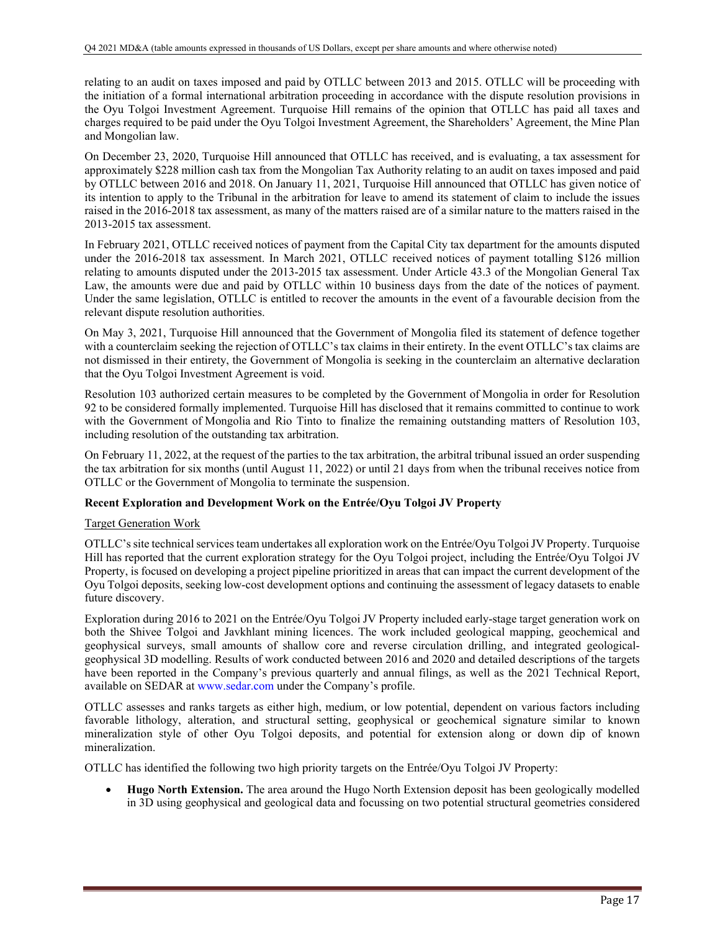relating to an audit on taxes imposed and paid by OTLLC between 2013 and 2015. OTLLC will be proceeding with the initiation of a formal international arbitration proceeding in accordance with the dispute resolution provisions in the Oyu Tolgoi Investment Agreement. Turquoise Hill remains of the opinion that OTLLC has paid all taxes and charges required to be paid under the Oyu Tolgoi Investment Agreement, the Shareholders' Agreement, the Mine Plan and Mongolian law.

On December 23, 2020, Turquoise Hill announced that OTLLC has received, and is evaluating, a tax assessment for approximately \$228 million cash tax from the Mongolian Tax Authority relating to an audit on taxes imposed and paid by OTLLC between 2016 and 2018. On January 11, 2021, Turquoise Hill announced that OTLLC has given notice of its intention to apply to the Tribunal in the arbitration for leave to amend its statement of claim to include the issues raised in the 2016-2018 tax assessment, as many of the matters raised are of a similar nature to the matters raised in the 2013-2015 tax assessment.

In February 2021, OTLLC received notices of payment from the Capital City tax department for the amounts disputed under the 2016-2018 tax assessment. In March 2021, OTLLC received notices of payment totalling \$126 million relating to amounts disputed under the 2013-2015 tax assessment. Under Article 43.3 of the Mongolian General Tax Law, the amounts were due and paid by OTLLC within 10 business days from the date of the notices of payment. Under the same legislation, OTLLC is entitled to recover the amounts in the event of a favourable decision from the relevant dispute resolution authorities.

On May 3, 2021, Turquoise Hill announced that the Government of Mongolia filed its statement of defence together with a counterclaim seeking the rejection of OTLLC's tax claims in their entirety. In the event OTLLC's tax claims are not dismissed in their entirety, the Government of Mongolia is seeking in the counterclaim an alternative declaration that the Oyu Tolgoi Investment Agreement is void.

Resolution 103 authorized certain measures to be completed by the Government of Mongolia in order for Resolution 92 to be considered formally implemented. Turquoise Hill has disclosed that it remains committed to continue to work with the Government of Mongolia and Rio Tinto to finalize the remaining outstanding matters of Resolution 103, including resolution of the outstanding tax arbitration.

On February 11, 2022, at the request of the parties to the tax arbitration, the arbitral tribunal issued an order suspending the tax arbitration for six months (until August 11, 2022) or until 21 days from when the tribunal receives notice from OTLLC or the Government of Mongolia to terminate the suspension.

## **Recent Exploration and Development Work on the Entrée/Oyu Tolgoi JV Property**

## Target Generation Work

OTLLC's site technical services team undertakes all exploration work on the Entrée/Oyu Tolgoi JV Property. Turquoise Hill has reported that the current exploration strategy for the Oyu Tolgoi project, including the Entrée/Oyu Tolgoi JV Property, is focused on developing a project pipeline prioritized in areas that can impact the current development of the Oyu Tolgoi deposits, seeking low-cost development options and continuing the assessment of legacy datasets to enable future discovery.

Exploration during 2016 to 2021 on the Entrée/Oyu Tolgoi JV Property included early-stage target generation work on both the Shivee Tolgoi and Javkhlant mining licences. The work included geological mapping, geochemical and geophysical surveys, small amounts of shallow core and reverse circulation drilling, and integrated geologicalgeophysical 3D modelling. Results of work conducted between 2016 and 2020 and detailed descriptions of the targets have been reported in the Company's previous quarterly and annual filings, as well as the 2021 Technical Report, available on SEDAR at www.sedar.com under the Company's profile.

OTLLC assesses and ranks targets as either high, medium, or low potential, dependent on various factors including favorable lithology, alteration, and structural setting, geophysical or geochemical signature similar to known mineralization style of other Oyu Tolgoi deposits, and potential for extension along or down dip of known mineralization.

OTLLC has identified the following two high priority targets on the Entrée/Oyu Tolgoi JV Property:

 **Hugo North Extension.** The area around the Hugo North Extension deposit has been geologically modelled in 3D using geophysical and geological data and focussing on two potential structural geometries considered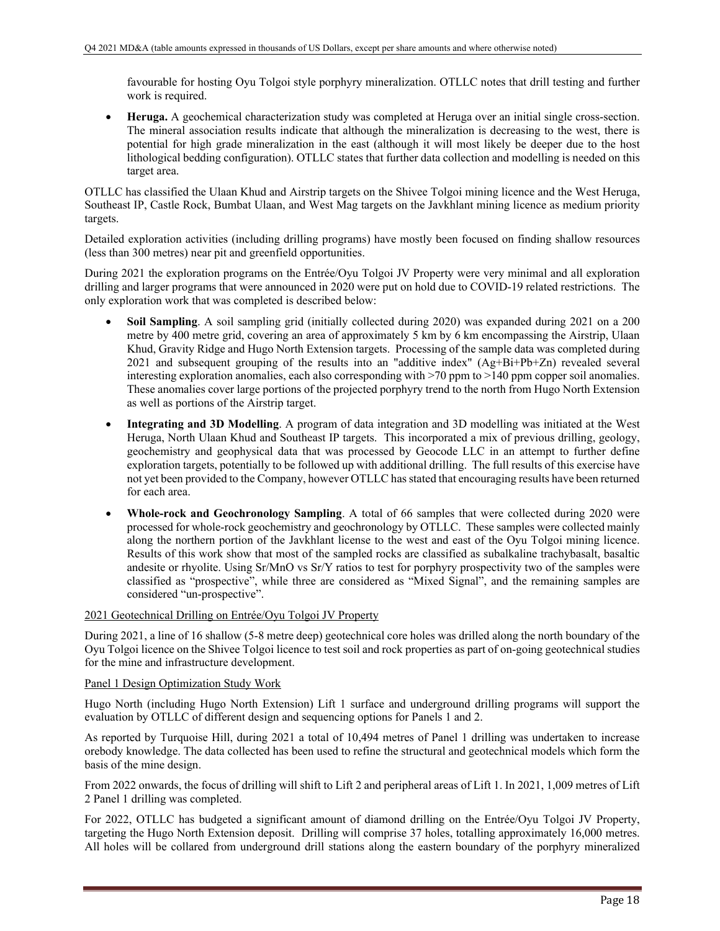favourable for hosting Oyu Tolgoi style porphyry mineralization. OTLLC notes that drill testing and further work is required.

 **Heruga.** A geochemical characterization study was completed at Heruga over an initial single cross-section. The mineral association results indicate that although the mineralization is decreasing to the west, there is potential for high grade mineralization in the east (although it will most likely be deeper due to the host lithological bedding configuration). OTLLC states that further data collection and modelling is needed on this target area.

OTLLC has classified the Ulaan Khud and Airstrip targets on the Shivee Tolgoi mining licence and the West Heruga, Southeast IP, Castle Rock, Bumbat Ulaan, and West Mag targets on the Javkhlant mining licence as medium priority targets.

Detailed exploration activities (including drilling programs) have mostly been focused on finding shallow resources (less than 300 metres) near pit and greenfield opportunities.

During 2021 the exploration programs on the Entrée/Oyu Tolgoi JV Property were very minimal and all exploration drilling and larger programs that were announced in 2020 were put on hold due to COVID-19 related restrictions. The only exploration work that was completed is described below:

- **Soil Sampling**. A soil sampling grid (initially collected during 2020) was expanded during 2021 on a 200 metre by 400 metre grid, covering an area of approximately 5 km by 6 km encompassing the Airstrip, Ulaan Khud, Gravity Ridge and Hugo North Extension targets. Processing of the sample data was completed during 2021 and subsequent grouping of the results into an "additive index" (Ag+Bi+Pb+Zn) revealed several interesting exploration anomalies, each also corresponding with >70 ppm to >140 ppm copper soil anomalies. These anomalies cover large portions of the projected porphyry trend to the north from Hugo North Extension as well as portions of the Airstrip target.
- **Integrating and 3D Modelling**. A program of data integration and 3D modelling was initiated at the West Heruga, North Ulaan Khud and Southeast IP targets. This incorporated a mix of previous drilling, geology, geochemistry and geophysical data that was processed by Geocode LLC in an attempt to further define exploration targets, potentially to be followed up with additional drilling. The full results of this exercise have not yet been provided to the Company, however OTLLC has stated that encouraging results have been returned for each area.
- **Whole-rock and Geochronology Sampling**. A total of 66 samples that were collected during 2020 were processed for whole-rock geochemistry and geochronology by OTLLC. These samples were collected mainly along the northern portion of the Javkhlant license to the west and east of the Oyu Tolgoi mining licence. Results of this work show that most of the sampled rocks are classified as subalkaline trachybasalt, basaltic andesite or rhyolite. Using Sr/MnO vs Sr/Y ratios to test for porphyry prospectivity two of the samples were classified as "prospective", while three are considered as "Mixed Signal", and the remaining samples are considered "un-prospective".

## 2021 Geotechnical Drilling on Entrée/Oyu Tolgoi JV Property

During 2021, a line of 16 shallow (5-8 metre deep) geotechnical core holes was drilled along the north boundary of the Oyu Tolgoi licence on the Shivee Tolgoi licence to test soil and rock properties as part of on-going geotechnical studies for the mine and infrastructure development.

## Panel 1 Design Optimization Study Work

Hugo North (including Hugo North Extension) Lift 1 surface and underground drilling programs will support the evaluation by OTLLC of different design and sequencing options for Panels 1 and 2.

As reported by Turquoise Hill, during 2021 a total of 10,494 metres of Panel 1 drilling was undertaken to increase orebody knowledge. The data collected has been used to refine the structural and geotechnical models which form the basis of the mine design.

From 2022 onwards, the focus of drilling will shift to Lift 2 and peripheral areas of Lift 1. In 2021, 1,009 metres of Lift 2 Panel 1 drilling was completed.

For 2022, OTLLC has budgeted a significant amount of diamond drilling on the Entrée/Oyu Tolgoi JV Property, targeting the Hugo North Extension deposit. Drilling will comprise 37 holes, totalling approximately 16,000 metres. All holes will be collared from underground drill stations along the eastern boundary of the porphyry mineralized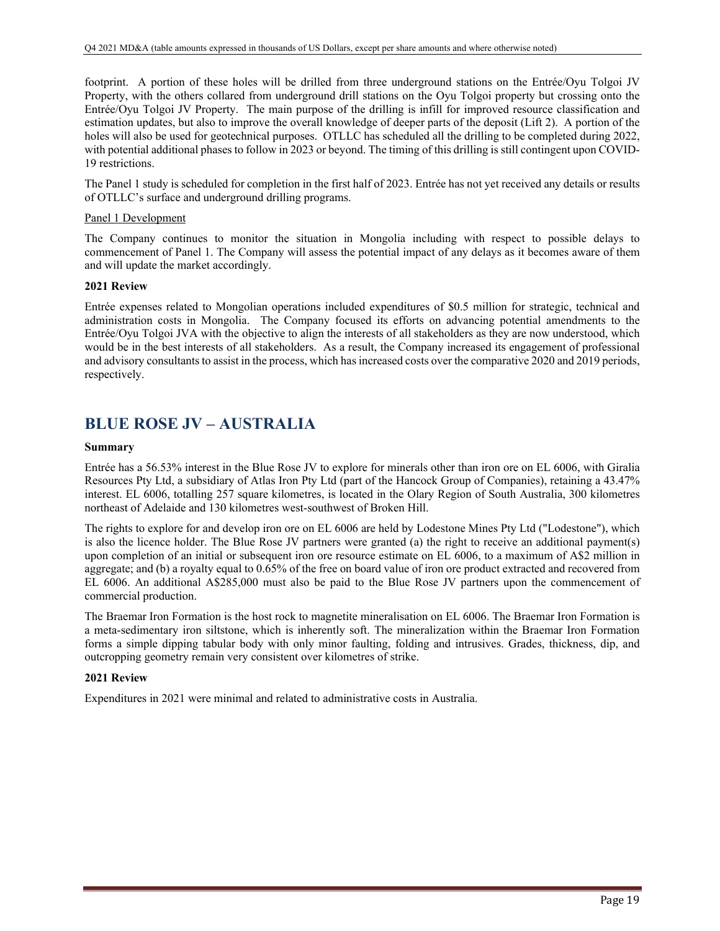footprint. A portion of these holes will be drilled from three underground stations on the Entrée/Oyu Tolgoi JV Property, with the others collared from underground drill stations on the Oyu Tolgoi property but crossing onto the Entrée/Oyu Tolgoi JV Property. The main purpose of the drilling is infill for improved resource classification and estimation updates, but also to improve the overall knowledge of deeper parts of the deposit (Lift 2). A portion of the holes will also be used for geotechnical purposes. OTLLC has scheduled all the drilling to be completed during 2022, with potential additional phases to follow in 2023 or beyond. The timing of this drilling is still contingent upon COVID-19 restrictions.

The Panel 1 study is scheduled for completion in the first half of 2023. Entrée has not yet received any details or results of OTLLC's surface and underground drilling programs.

### Panel 1 Development

The Company continues to monitor the situation in Mongolia including with respect to possible delays to commencement of Panel 1. The Company will assess the potential impact of any delays as it becomes aware of them and will update the market accordingly.

### **2021 Review**

Entrée expenses related to Mongolian operations included expenditures of \$0.5 million for strategic, technical and administration costs in Mongolia. The Company focused its efforts on advancing potential amendments to the Entrée/Oyu Tolgoi JVA with the objective to align the interests of all stakeholders as they are now understood, which would be in the best interests of all stakeholders. As a result, the Company increased its engagement of professional and advisory consultants to assist in the process, which has increased costs over the comparative 2020 and 2019 periods, respectively.

# **BLUE ROSE JV – AUSTRALIA**

### **Summary**

Entrée has a 56.53% interest in the Blue Rose JV to explore for minerals other than iron ore on EL 6006, with Giralia Resources Pty Ltd, a subsidiary of Atlas Iron Pty Ltd (part of the Hancock Group of Companies), retaining a 43.47% interest. EL 6006, totalling 257 square kilometres, is located in the Olary Region of South Australia, 300 kilometres northeast of Adelaide and 130 kilometres west-southwest of Broken Hill.

The rights to explore for and develop iron ore on EL 6006 are held by Lodestone Mines Pty Ltd ("Lodestone"), which is also the licence holder. The Blue Rose JV partners were granted (a) the right to receive an additional payment(s) upon completion of an initial or subsequent iron ore resource estimate on EL 6006, to a maximum of A\$2 million in aggregate; and (b) a royalty equal to 0.65% of the free on board value of iron ore product extracted and recovered from EL 6006. An additional A\$285,000 must also be paid to the Blue Rose JV partners upon the commencement of commercial production.

The Braemar Iron Formation is the host rock to magnetite mineralisation on EL 6006. The Braemar Iron Formation is a meta-sedimentary iron siltstone, which is inherently soft. The mineralization within the Braemar Iron Formation forms a simple dipping tabular body with only minor faulting, folding and intrusives. Grades, thickness, dip, and outcropping geometry remain very consistent over kilometres of strike.

## **2021 Review**

Expenditures in 2021 were minimal and related to administrative costs in Australia.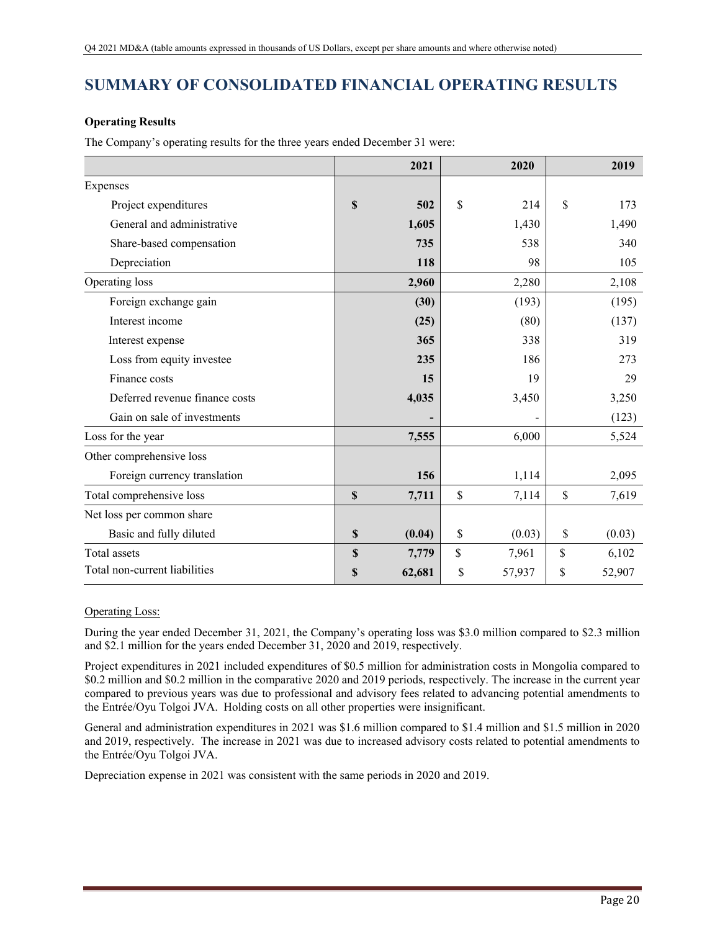# **SUMMARY OF CONSOLIDATED FINANCIAL OPERATING RESULTS**

# **Operating Results**

The Company's operating results for the three years ended December 31 were:

|                                | 2021         | 2020         | 2019         |
|--------------------------------|--------------|--------------|--------------|
| Expenses                       |              |              |              |
| Project expenditures           | \$<br>502    | \$<br>214    | \$<br>173    |
| General and administrative     | 1,605        | 1,430        | 1,490        |
| Share-based compensation       | 735          | 538          | 340          |
| Depreciation                   | 118          | 98           | 105          |
| Operating loss                 | 2,960        | 2,280        | 2,108        |
| Foreign exchange gain          | (30)         | (193)        | (195)        |
| Interest income                | (25)         | (80)         | (137)        |
| Interest expense               | 365          | 338          | 319          |
| Loss from equity investee      | 235          | 186          | 273          |
| Finance costs                  | 15           | 19           | 29           |
| Deferred revenue finance costs | 4,035        | 3,450        | 3,250        |
| Gain on sale of investments    | -            |              | (123)        |
| Loss for the year              | 7,555        | 6,000        | 5,524        |
| Other comprehensive loss       |              |              |              |
| Foreign currency translation   | 156          | 1,114        | 2,095        |
| Total comprehensive loss       | \$<br>7,711  | \$<br>7,114  | \$<br>7,619  |
| Net loss per common share      |              |              |              |
| Basic and fully diluted        | \$<br>(0.04) | \$<br>(0.03) | \$<br>(0.03) |
| Total assets                   | \$<br>7,779  | \$<br>7,961  | \$<br>6,102  |
| Total non-current liabilities  | \$<br>62,681 | \$<br>57,937 | \$<br>52,907 |

# Operating Loss:

During the year ended December 31, 2021, the Company's operating loss was \$3.0 million compared to \$2.3 million and \$2.1 million for the years ended December 31, 2020 and 2019, respectively.

Project expenditures in 2021 included expenditures of \$0.5 million for administration costs in Mongolia compared to \$0.2 million and \$0.2 million in the comparative 2020 and 2019 periods, respectively. The increase in the current year compared to previous years was due to professional and advisory fees related to advancing potential amendments to the Entrée/Oyu Tolgoi JVA. Holding costs on all other properties were insignificant.

General and administration expenditures in 2021 was \$1.6 million compared to \$1.4 million and \$1.5 million in 2020 and 2019, respectively. The increase in 2021 was due to increased advisory costs related to potential amendments to the Entrée/Oyu Tolgoi JVA.

Depreciation expense in 2021 was consistent with the same periods in 2020 and 2019.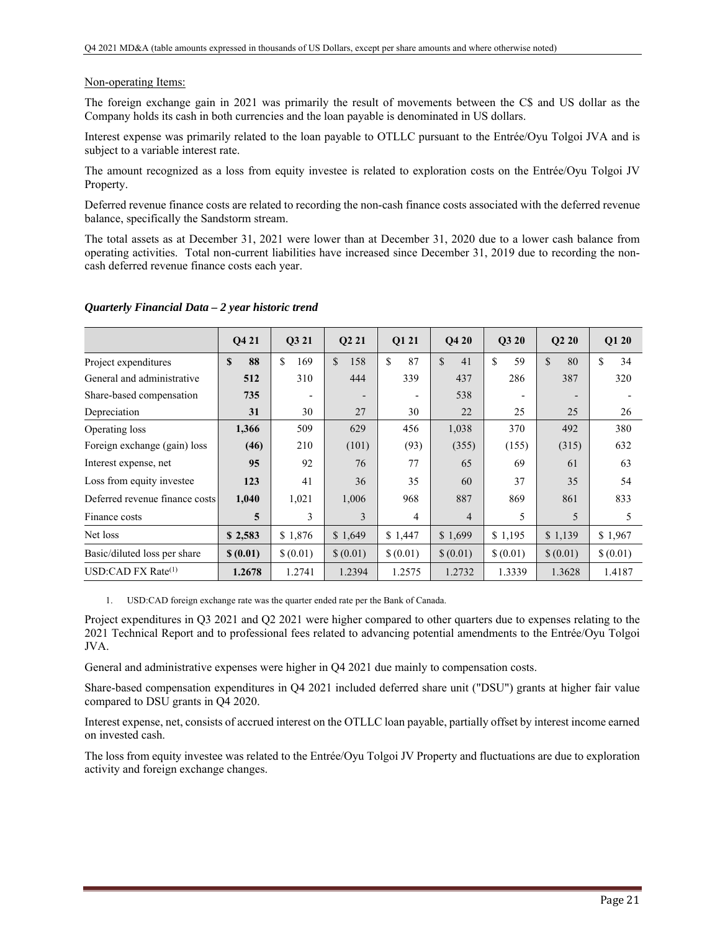### Non-operating Items:

The foreign exchange gain in 2021 was primarily the result of movements between the C\$ and US dollar as the Company holds its cash in both currencies and the loan payable is denominated in US dollars.

Interest expense was primarily related to the loan payable to OTLLC pursuant to the Entrée/Oyu Tolgoi JVA and is subject to a variable interest rate.

The amount recognized as a loss from equity investee is related to exploration costs on the Entrée/Oyu Tolgoi JV Property.

Deferred revenue finance costs are related to recording the non-cash finance costs associated with the deferred revenue balance, specifically the Sandstorm stream.

The total assets as at December 31, 2021 were lower than at December 31, 2020 due to a lower cash balance from operating activities. Total non-current liabilities have increased since December 31, 2019 due to recording the noncash deferred revenue finance costs each year.

|                                | Q4 21              | Q3 21                    | Q <sub>2</sub> 21        | Q1 21          | <b>O4 20</b>       | Q3 20    | Q220                     | Q1 20    |
|--------------------------------|--------------------|--------------------------|--------------------------|----------------|--------------------|----------|--------------------------|----------|
| Project expenditures           | 88<br>$\mathbf{s}$ | <sup>\$</sup><br>169     | $\mathcal{S}$<br>158     | \$<br>87       | $\mathbf{s}$<br>41 | \$<br>59 | \$<br>80                 | \$<br>34 |
| General and administrative     | 512                | 310                      | 444                      | 339            | 437                | 286      | 387                      | 320      |
| Share-based compensation       | 735                | $\overline{\phantom{a}}$ | $\overline{\phantom{0}}$ |                | 538                |          | $\overline{\phantom{0}}$ |          |
| Depreciation                   | 31                 | 30                       | 27                       | 30             | 22                 | 25       | 25                       | 26       |
| Operating loss                 | 1,366              | 509                      | 629                      | 456            | 1,038              | 370      | 492                      | 380      |
| Foreign exchange (gain) loss   | (46)               | 210                      | (101)                    | (93)           | (355)              | (155)    | (315)                    | 632      |
| Interest expense, net          | 95                 | 92                       | 76                       | 77             | 65                 | 69       | 61                       | 63       |
| Loss from equity investee      | 123                | 41                       | 36                       | 35             | 60                 | 37       | 35                       | 54       |
| Deferred revenue finance costs | 1,040              | 1,021                    | 1,006                    | 968            | 887                | 869      | 861                      | 833      |
| Finance costs                  | 5                  | 3                        | 3                        | $\overline{4}$ | $\overline{4}$     | 5        | 5                        | 5        |
| Net loss                       | \$2,583            | \$1,876                  | \$1,649                  | \$1,447        | \$1,699            | \$1,195  | \$1,139                  | \$1,967  |
| Basic/diluted loss per share   | \$(0.01)           | \$(0.01)                 | \$(0.01)                 | \$(0.01)       | \$(0.01)           | \$(0.01) | \$ (0.01)                | \$(0.01) |
| USD:CAD FX Rate $^{(1)}$       | 1.2678             | 1.2741                   | 1.2394                   | 1.2575         | 1.2732             | 1.3339   | 1.3628                   | 1.4187   |

### *Quarterly Financial Data – 2 year historic trend*

1. USD:CAD foreign exchange rate was the quarter ended rate per the Bank of Canada.

Project expenditures in Q3 2021 and Q2 2021 were higher compared to other quarters due to expenses relating to the 2021 Technical Report and to professional fees related to advancing potential amendments to the Entrée/Oyu Tolgoi JVA.

General and administrative expenses were higher in Q4 2021 due mainly to compensation costs.

Share-based compensation expenditures in Q4 2021 included deferred share unit ("DSU") grants at higher fair value compared to DSU grants in Q4 2020.

Interest expense, net, consists of accrued interest on the OTLLC loan payable, partially offset by interest income earned on invested cash.

The loss from equity investee was related to the Entrée/Oyu Tolgoi JV Property and fluctuations are due to exploration activity and foreign exchange changes.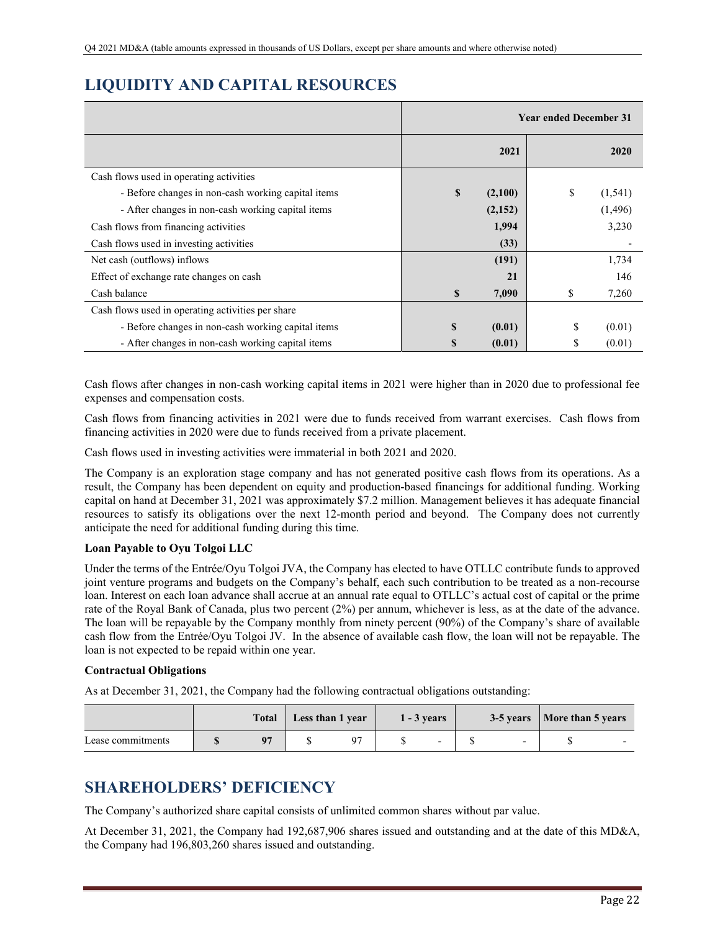# **LIQUIDITY AND CAPITAL RESOURCES**

|                                                    |          |         | <b>Year ended December 31</b> |          |
|----------------------------------------------------|----------|---------|-------------------------------|----------|
|                                                    |          | 2021    |                               | 2020     |
| Cash flows used in operating activities            |          |         |                               |          |
| - Before changes in non-cash working capital items | \$       | (2,100) | \$                            | (1, 541) |
| - After changes in non-cash working capital items  |          | (2,152) |                               | (1,496)  |
| Cash flows from financing activities               |          | 1,994   |                               | 3,230    |
| Cash flows used in investing activities            |          | (33)    |                               |          |
| Net cash (outflows) inflows                        |          | (191)   |                               | 1,734    |
| Effect of exchange rate changes on cash            |          | 21      |                               | 146      |
| Cash balance                                       | \$       | 7,090   | \$                            | 7,260    |
| Cash flows used in operating activities per share  |          |         |                               |          |
| - Before changes in non-cash working capital items | <b>S</b> | (0.01)  | \$                            | (0.01)   |
| - After changes in non-cash working capital items  | S        | (0.01)  | S                             | (0.01)   |

Cash flows after changes in non-cash working capital items in 2021 were higher than in 2020 due to professional fee expenses and compensation costs.

Cash flows from financing activities in 2021 were due to funds received from warrant exercises. Cash flows from financing activities in 2020 were due to funds received from a private placement.

Cash flows used in investing activities were immaterial in both 2021 and 2020.

The Company is an exploration stage company and has not generated positive cash flows from its operations. As a result, the Company has been dependent on equity and production-based financings for additional funding. Working capital on hand at December 31, 2021 was approximately \$7.2 million. Management believes it has adequate financial resources to satisfy its obligations over the next 12-month period and beyond. The Company does not currently anticipate the need for additional funding during this time.

## **Loan Payable to Oyu Tolgoi LLC**

Under the terms of the Entrée/Oyu Tolgoi JVA, the Company has elected to have OTLLC contribute funds to approved joint venture programs and budgets on the Company's behalf, each such contribution to be treated as a non-recourse loan. Interest on each loan advance shall accrue at an annual rate equal to OTLLC's actual cost of capital or the prime rate of the Royal Bank of Canada, plus two percent (2%) per annum, whichever is less, as at the date of the advance. The loan will be repayable by the Company monthly from ninety percent (90%) of the Company's share of available cash flow from the Entrée/Oyu Tolgoi JV. In the absence of available cash flow, the loan will not be repayable. The loan is not expected to be repaid within one year.

## **Contractual Obligations**

As at December 31, 2021, the Company had the following contractual obligations outstanding:

|                   | <b>Total</b> | Less than 1 year |  | $1 - 3$ years            |                          | 3-5 years   More than 5 years |  |
|-------------------|--------------|------------------|--|--------------------------|--------------------------|-------------------------------|--|
| Lease commitments |              |                  |  | $\overline{\phantom{0}}$ | $\overline{\phantom{0}}$ |                               |  |

# **SHAREHOLDERS' DEFICIENCY**

The Company's authorized share capital consists of unlimited common shares without par value.

At December 31, 2021, the Company had 192,687,906 shares issued and outstanding and at the date of this MD&A, the Company had 196,803,260 shares issued and outstanding.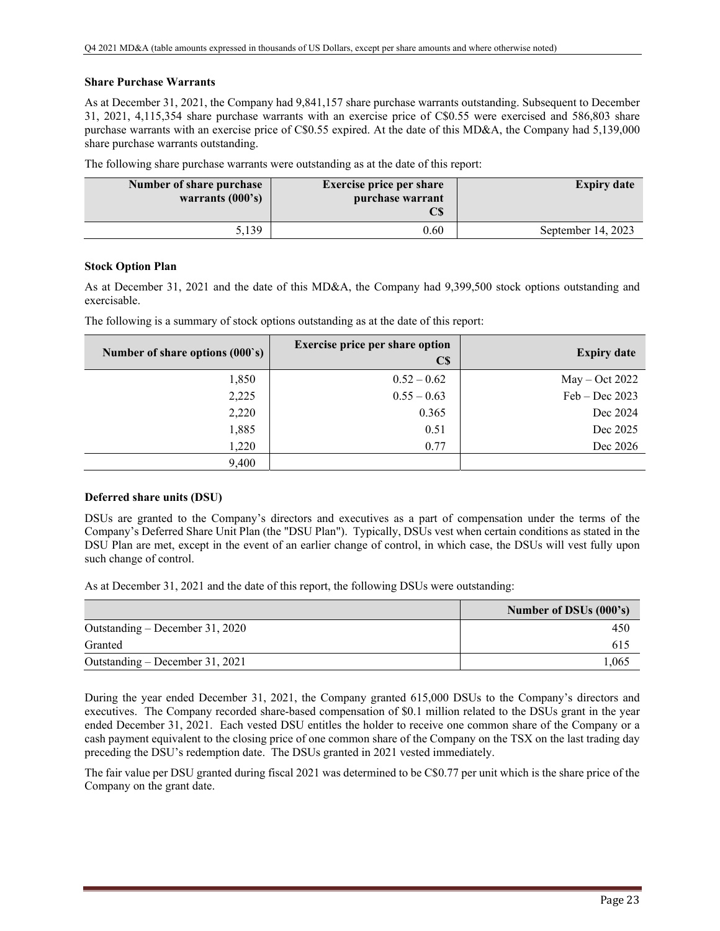### **Share Purchase Warrants**

As at December 31, 2021, the Company had 9,841,157 share purchase warrants outstanding. Subsequent to December 31, 2021, 4,115,354 share purchase warrants with an exercise price of C\$0.55 were exercised and 586,803 share purchase warrants with an exercise price of C\$0.55 expired. At the date of this MD&A, the Company had 5,139,000 share purchase warrants outstanding.

The following share purchase warrants were outstanding as at the date of this report:

| Number of share purchase<br>warrants $(000's)$ | <b>Exercise price per share</b><br>purchase warrant<br>$\mathbb{C}S$ | <b>Expiry date</b> |
|------------------------------------------------|----------------------------------------------------------------------|--------------------|
| 5.139                                          | 0.60                                                                 | September 14, 2023 |

### **Stock Option Plan**

As at December 31, 2021 and the date of this MD&A, the Company had 9,399,500 stock options outstanding and exercisable.

| Number of share options (000's) | <b>Exercise price per share option</b><br>$\mathbf{C}\mathbf{S}$ | <b>Expiry date</b> |
|---------------------------------|------------------------------------------------------------------|--------------------|
| 1,850                           | $0.52 - 0.62$                                                    | $May - Oct 2022$   |
| 2,225                           | $0.55 - 0.63$                                                    | $Feb - Dec 2023$   |
| 2,220                           | 0.365                                                            | Dec 2024           |
| 1,885                           | 0.51                                                             | Dec 2025           |
| 1,220                           | 0.77                                                             | Dec 2026           |
| 9,400                           |                                                                  |                    |

The following is a summary of stock options outstanding as at the date of this report:

## **Deferred share units (DSU)**

DSUs are granted to the Company's directors and executives as a part of compensation under the terms of the Company's Deferred Share Unit Plan (the "DSU Plan"). Typically, DSUs vest when certain conditions as stated in the DSU Plan are met, except in the event of an earlier change of control, in which case, the DSUs will vest fully upon such change of control.

As at December 31, 2021 and the date of this report, the following DSUs were outstanding:

|                                 | Number of DSUs (000's) |
|---------------------------------|------------------------|
| Outstanding – December 31, 2020 | 450                    |
| Granted                         | 615                    |
| Outstanding – December 31, 2021 | 1.065                  |

During the year ended December 31, 2021, the Company granted 615,000 DSUs to the Company's directors and executives. The Company recorded share-based compensation of \$0.1 million related to the DSUs grant in the year ended December 31, 2021. Each vested DSU entitles the holder to receive one common share of the Company or a cash payment equivalent to the closing price of one common share of the Company on the TSX on the last trading day preceding the DSU's redemption date. The DSUs granted in 2021 vested immediately.

The fair value per DSU granted during fiscal 2021 was determined to be C\$0.77 per unit which is the share price of the Company on the grant date.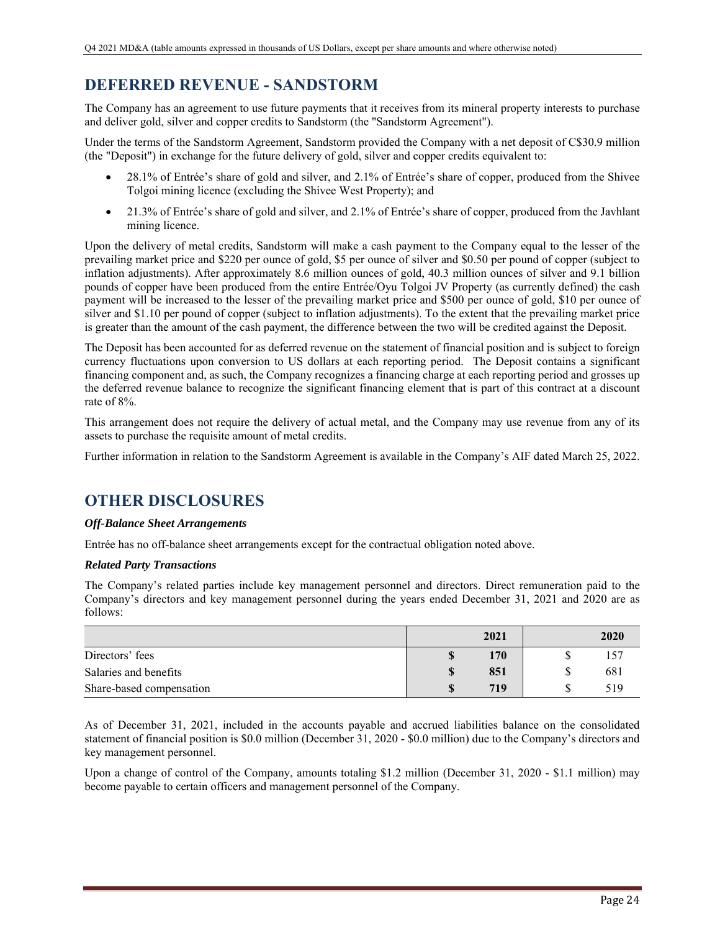# **DEFERRED REVENUE - SANDSTORM**

The Company has an agreement to use future payments that it receives from its mineral property interests to purchase and deliver gold, silver and copper credits to Sandstorm (the "Sandstorm Agreement").

Under the terms of the Sandstorm Agreement, Sandstorm provided the Company with a net deposit of C\$30.9 million (the "Deposit") in exchange for the future delivery of gold, silver and copper credits equivalent to:

- 28.1% of Entrée's share of gold and silver, and 2.1% of Entrée's share of copper, produced from the Shivee Tolgoi mining licence (excluding the Shivee West Property); and
- 21.3% of Entrée's share of gold and silver, and 2.1% of Entrée's share of copper, produced from the Javhlant mining licence.

Upon the delivery of metal credits, Sandstorm will make a cash payment to the Company equal to the lesser of the prevailing market price and \$220 per ounce of gold, \$5 per ounce of silver and \$0.50 per pound of copper (subject to inflation adjustments). After approximately 8.6 million ounces of gold, 40.3 million ounces of silver and 9.1 billion pounds of copper have been produced from the entire Entrée/Oyu Tolgoi JV Property (as currently defined) the cash payment will be increased to the lesser of the prevailing market price and \$500 per ounce of gold, \$10 per ounce of silver and \$1.10 per pound of copper (subject to inflation adjustments). To the extent that the prevailing market price is greater than the amount of the cash payment, the difference between the two will be credited against the Deposit.

The Deposit has been accounted for as deferred revenue on the statement of financial position and is subject to foreign currency fluctuations upon conversion to US dollars at each reporting period. The Deposit contains a significant financing component and, as such, the Company recognizes a financing charge at each reporting period and grosses up the deferred revenue balance to recognize the significant financing element that is part of this contract at a discount rate of 8%.

This arrangement does not require the delivery of actual metal, and the Company may use revenue from any of its assets to purchase the requisite amount of metal credits.

Further information in relation to the Sandstorm Agreement is available in the Company's AIF dated March 25, 2022.

# **OTHER DISCLOSURES**

## *Off-Balance Sheet Arrangements*

Entrée has no off-balance sheet arrangements except for the contractual obligation noted above.

## *Related Party Transactions*

The Company's related parties include key management personnel and directors. Direct remuneration paid to the Company's directors and key management personnel during the years ended December 31, 2021 and 2020 are as follows:

|                          | 2021 | 2020 |
|--------------------------|------|------|
| Directors' fees          | 170  |      |
| Salaries and benefits    | 851  | 681  |
| Share-based compensation | 719  | 519  |

As of December 31, 2021, included in the accounts payable and accrued liabilities balance on the consolidated statement of financial position is \$0.0 million (December 31, 2020 - \$0.0 million) due to the Company's directors and key management personnel.

Upon a change of control of the Company, amounts totaling \$1.2 million (December 31, 2020 - \$1.1 million) may become payable to certain officers and management personnel of the Company.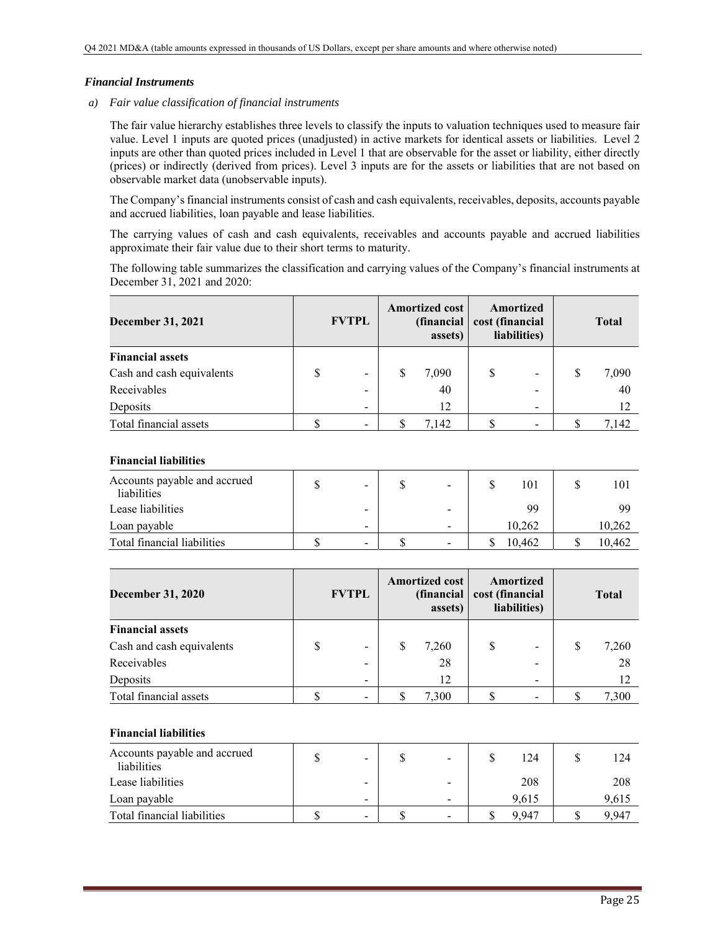### *Financial Instruments*

*a) Fair value classification of financial instruments* 

The fair value hierarchy establishes three levels to classify the inputs to valuation techniques used to measure fair value. Level 1 inputs are quoted prices (unadjusted) in active markets for identical assets or liabilities. Level 2 inputs are other than quoted prices included in Level 1 that are observable for the asset or liability, either directly (prices) or indirectly (derived from prices). Level 3 inputs are for the assets or liabilities that are not based on observable market data (unobservable inputs).

The Company's financial instruments consist of cash and cash equivalents, receivables, deposits, accounts payable and accrued liabilities, loan payable and lease liabilities.

The carrying values of cash and cash equivalents, receivables and accounts payable and accrued liabilities approximate their fair value due to their short terms to maturity.

The following table summarizes the classification and carrying values of the Company's financial instruments at December 31, 2021 and 2020:

| <b>December 31, 2021</b>  | <b>FVTPL</b>                 |   | <b>Amortized cost</b><br>(financial<br>assets) |  | Amortized<br>cost (financial<br>liabilities) |   | <b>Total</b> |  |
|---------------------------|------------------------------|---|------------------------------------------------|--|----------------------------------------------|---|--------------|--|
| <b>Financial assets</b>   |                              |   |                                                |  |                                              |   |              |  |
| Cash and cash equivalents | $\qquad \qquad \blacksquare$ | S | 7,090                                          |  | $\overline{\phantom{a}}$                     | S | 7,090        |  |
| Receivables               |                              |   | 40                                             |  |                                              |   | 40           |  |
| Deposits                  | $\overline{\phantom{a}}$     |   | 12                                             |  | $\overline{\phantom{0}}$                     |   |              |  |
| Total financial assets    | -                            |   | 7.142                                          |  |                                              |   | 7,142        |  |

### **Financial liabilities**

| Accounts payable and accrued<br>liabilities | $\overline{\phantom{a}}$ | -                        | 101    | 101    |
|---------------------------------------------|--------------------------|--------------------------|--------|--------|
| Lease liabilities                           | -                        |                          | 99     | 99     |
| Loan payable                                | $\overline{\phantom{a}}$ | -                        | 10.262 | 10,262 |
| Total financial liabilities                 | $\overline{\phantom{a}}$ | $\overline{\phantom{0}}$ | 10.462 | 10,462 |

| <b>December 31, 2020</b>  |   | <b>FVTPL</b> | <b>Amortized cost</b><br>(financial<br>assets) |       | Amortized<br>cost (financial<br>liabilities) |   | <b>Total</b> |       |
|---------------------------|---|--------------|------------------------------------------------|-------|----------------------------------------------|---|--------------|-------|
| <b>Financial assets</b>   |   |              |                                                |       |                                              |   |              |       |
| Cash and cash equivalents | S | -            |                                                | 7,260 |                                              |   | S            | 7,260 |
| Receivables               |   | -            |                                                | 28    |                                              | - |              | 28    |
| Deposits                  |   | -            |                                                | 12    |                                              | - |              | 12    |
| Total financial assets    |   |              |                                                | 7.300 |                                              |   |              | 7.300 |

## **Financial liabilities**

| Accounts payable and accrued<br>liabilities | $\qquad \qquad$          | -                        | l 24  | 124   |
|---------------------------------------------|--------------------------|--------------------------|-------|-------|
| Lease liabilities                           | $\overline{\phantom{a}}$ |                          | 208   | 208   |
| Loan payable                                | $\overline{\phantom{a}}$ | -                        | 9.615 | 9,615 |
| Total financial liabilities                 | $\overline{\phantom{a}}$ | $\overline{\phantom{0}}$ | 9.947 | 9.947 |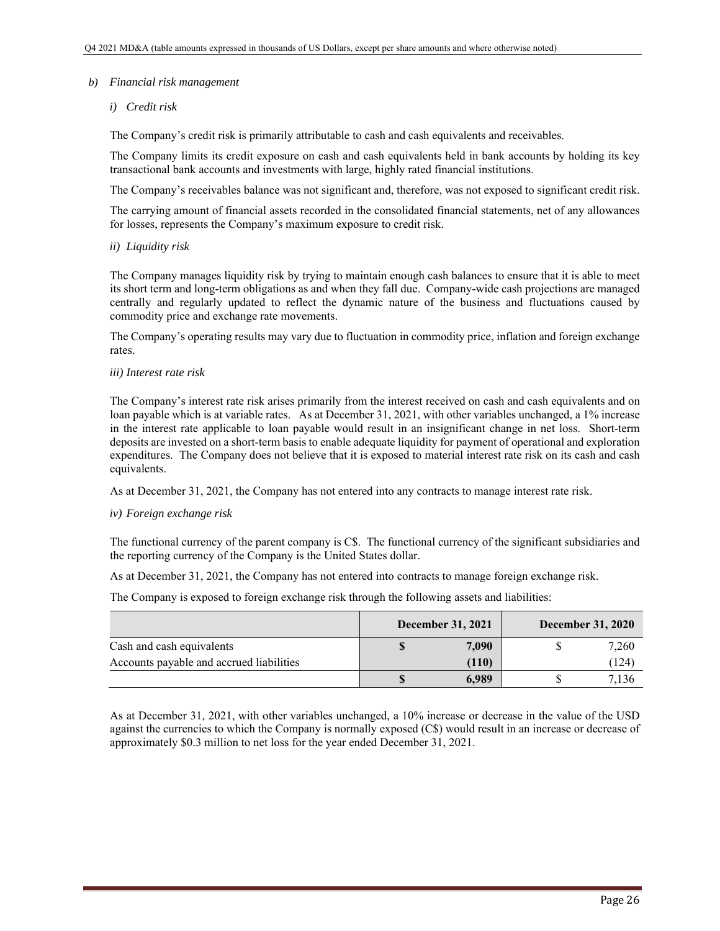### *b) Financial risk management*

## *i) Credit risk*

The Company's credit risk is primarily attributable to cash and cash equivalents and receivables.

The Company limits its credit exposure on cash and cash equivalents held in bank accounts by holding its key transactional bank accounts and investments with large, highly rated financial institutions.

The Company's receivables balance was not significant and, therefore, was not exposed to significant credit risk.

The carrying amount of financial assets recorded in the consolidated financial statements, net of any allowances for losses, represents the Company's maximum exposure to credit risk.

*ii) Liquidity risk* 

The Company manages liquidity risk by trying to maintain enough cash balances to ensure that it is able to meet its short term and long-term obligations as and when they fall due. Company-wide cash projections are managed centrally and regularly updated to reflect the dynamic nature of the business and fluctuations caused by commodity price and exchange rate movements.

The Company's operating results may vary due to fluctuation in commodity price, inflation and foreign exchange rates.

#### *iii) Interest rate risk*

The Company's interest rate risk arises primarily from the interest received on cash and cash equivalents and on loan payable which is at variable rates. As at December 31, 2021, with other variables unchanged, a 1% increase in the interest rate applicable to loan payable would result in an insignificant change in net loss. Short-term deposits are invested on a short-term basis to enable adequate liquidity for payment of operational and exploration expenditures. The Company does not believe that it is exposed to material interest rate risk on its cash and cash equivalents.

As at December 31, 2021, the Company has not entered into any contracts to manage interest rate risk.

#### *iv) Foreign exchange risk*

The functional currency of the parent company is C\$. The functional currency of the significant subsidiaries and the reporting currency of the Company is the United States dollar.

As at December 31, 2021, the Company has not entered into contracts to manage foreign exchange risk.

The Company is exposed to foreign exchange risk through the following assets and liabilities:

|                                          | <b>December 31, 2021</b> | <b>December 31, 2020</b> |       |  |
|------------------------------------------|--------------------------|--------------------------|-------|--|
| Cash and cash equivalents                | 7.090                    |                          | 7,260 |  |
| Accounts payable and accrued liabilities | (110)                    |                          | 124   |  |
|                                          | 6,989                    |                          | 7.136 |  |

As at December 31, 2021, with other variables unchanged, a 10% increase or decrease in the value of the USD against the currencies to which the Company is normally exposed (C\$) would result in an increase or decrease of approximately \$0.3 million to net loss for the year ended December 31, 2021.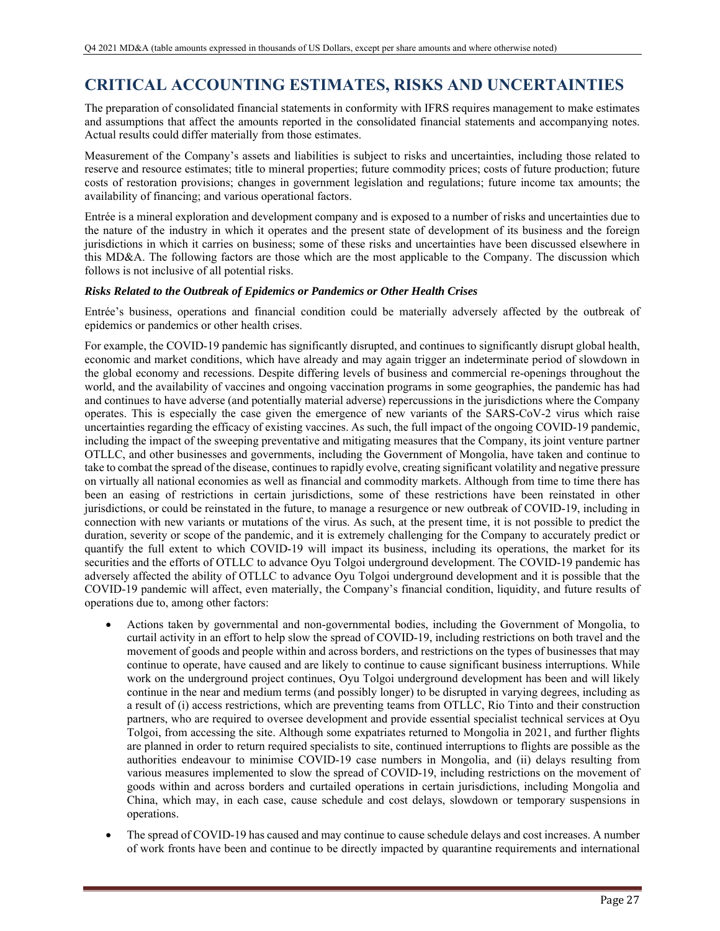# **CRITICAL ACCOUNTING ESTIMATES, RISKS AND UNCERTAINTIES**

The preparation of consolidated financial statements in conformity with IFRS requires management to make estimates and assumptions that affect the amounts reported in the consolidated financial statements and accompanying notes. Actual results could differ materially from those estimates.

Measurement of the Company's assets and liabilities is subject to risks and uncertainties, including those related to reserve and resource estimates; title to mineral properties; future commodity prices; costs of future production; future costs of restoration provisions; changes in government legislation and regulations; future income tax amounts; the availability of financing; and various operational factors.

Entrée is a mineral exploration and development company and is exposed to a number of risks and uncertainties due to the nature of the industry in which it operates and the present state of development of its business and the foreign jurisdictions in which it carries on business; some of these risks and uncertainties have been discussed elsewhere in this MD&A. The following factors are those which are the most applicable to the Company. The discussion which follows is not inclusive of all potential risks.

# *Risks Related to the Outbreak of Epidemics or Pandemics or Other Health Crises*

Entrée's business, operations and financial condition could be materially adversely affected by the outbreak of epidemics or pandemics or other health crises.

For example, the COVID-19 pandemic has significantly disrupted, and continues to significantly disrupt global health, economic and market conditions, which have already and may again trigger an indeterminate period of slowdown in the global economy and recessions. Despite differing levels of business and commercial re-openings throughout the world, and the availability of vaccines and ongoing vaccination programs in some geographies, the pandemic has had and continues to have adverse (and potentially material adverse) repercussions in the jurisdictions where the Company operates. This is especially the case given the emergence of new variants of the SARS-CoV-2 virus which raise uncertainties regarding the efficacy of existing vaccines. As such, the full impact of the ongoing COVID-19 pandemic, including the impact of the sweeping preventative and mitigating measures that the Company, its joint venture partner OTLLC, and other businesses and governments, including the Government of Mongolia, have taken and continue to take to combat the spread of the disease, continues to rapidly evolve, creating significant volatility and negative pressure on virtually all national economies as well as financial and commodity markets. Although from time to time there has been an easing of restrictions in certain jurisdictions, some of these restrictions have been reinstated in other jurisdictions, or could be reinstated in the future, to manage a resurgence or new outbreak of COVID-19, including in connection with new variants or mutations of the virus. As such, at the present time, it is not possible to predict the duration, severity or scope of the pandemic, and it is extremely challenging for the Company to accurately predict or quantify the full extent to which COVID-19 will impact its business, including its operations, the market for its securities and the efforts of OTLLC to advance Oyu Tolgoi underground development. The COVID-19 pandemic has adversely affected the ability of OTLLC to advance Oyu Tolgoi underground development and it is possible that the COVID-19 pandemic will affect, even materially, the Company's financial condition, liquidity, and future results of operations due to, among other factors:

- Actions taken by governmental and non-governmental bodies, including the Government of Mongolia, to curtail activity in an effort to help slow the spread of COVID-19, including restrictions on both travel and the movement of goods and people within and across borders, and restrictions on the types of businesses that may continue to operate, have caused and are likely to continue to cause significant business interruptions. While work on the underground project continues, Oyu Tolgoi underground development has been and will likely continue in the near and medium terms (and possibly longer) to be disrupted in varying degrees, including as a result of (i) access restrictions, which are preventing teams from OTLLC, Rio Tinto and their construction partners, who are required to oversee development and provide essential specialist technical services at Oyu Tolgoi, from accessing the site. Although some expatriates returned to Mongolia in 2021, and further flights are planned in order to return required specialists to site, continued interruptions to flights are possible as the authorities endeavour to minimise COVID-19 case numbers in Mongolia, and (ii) delays resulting from various measures implemented to slow the spread of COVID-19, including restrictions on the movement of goods within and across borders and curtailed operations in certain jurisdictions, including Mongolia and China, which may, in each case, cause schedule and cost delays, slowdown or temporary suspensions in operations.
- The spread of COVID-19 has caused and may continue to cause schedule delays and cost increases. A number of work fronts have been and continue to be directly impacted by quarantine requirements and international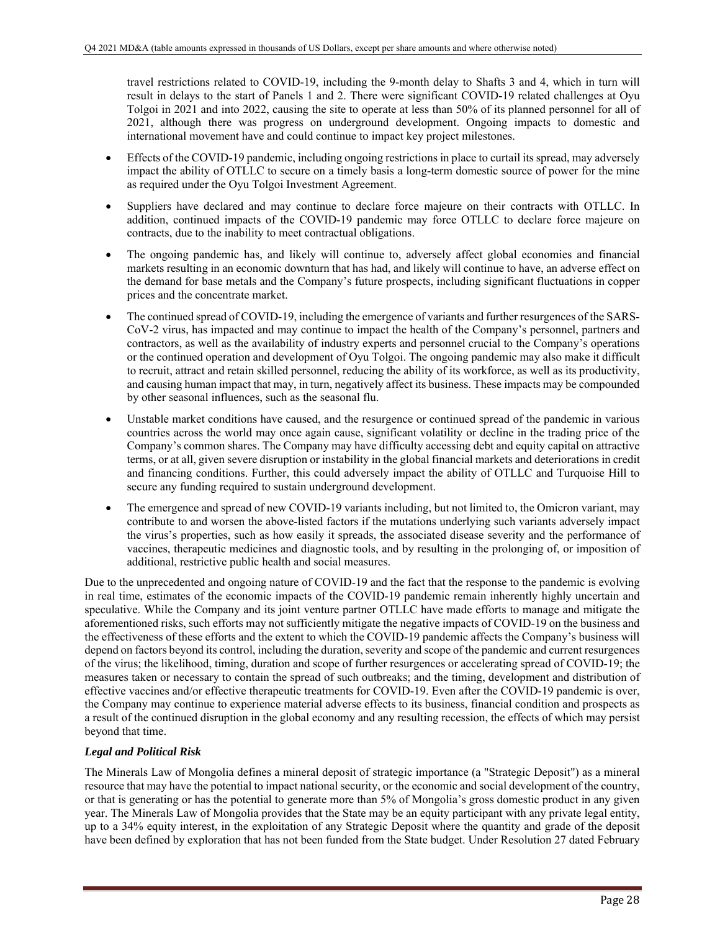travel restrictions related to COVID-19, including the 9-month delay to Shafts 3 and 4, which in turn will result in delays to the start of Panels 1 and 2. There were significant COVID-19 related challenges at Oyu Tolgoi in 2021 and into 2022, causing the site to operate at less than 50% of its planned personnel for all of 2021, although there was progress on underground development. Ongoing impacts to domestic and international movement have and could continue to impact key project milestones.

- Effects of the COVID-19 pandemic, including ongoing restrictions in place to curtail its spread, may adversely impact the ability of OTLLC to secure on a timely basis a long-term domestic source of power for the mine as required under the Oyu Tolgoi Investment Agreement.
- Suppliers have declared and may continue to declare force majeure on their contracts with OTLLC. In addition, continued impacts of the COVID-19 pandemic may force OTLLC to declare force majeure on contracts, due to the inability to meet contractual obligations.
- The ongoing pandemic has, and likely will continue to, adversely affect global economies and financial markets resulting in an economic downturn that has had, and likely will continue to have, an adverse effect on the demand for base metals and the Company's future prospects, including significant fluctuations in copper prices and the concentrate market.
- The continued spread of COVID-19, including the emergence of variants and further resurgences of the SARS-CoV-2 virus, has impacted and may continue to impact the health of the Company's personnel, partners and contractors, as well as the availability of industry experts and personnel crucial to the Company's operations or the continued operation and development of Oyu Tolgoi. The ongoing pandemic may also make it difficult to recruit, attract and retain skilled personnel, reducing the ability of its workforce, as well as its productivity, and causing human impact that may, in turn, negatively affect its business. These impacts may be compounded by other seasonal influences, such as the seasonal flu.
- Unstable market conditions have caused, and the resurgence or continued spread of the pandemic in various countries across the world may once again cause, significant volatility or decline in the trading price of the Company's common shares. The Company may have difficulty accessing debt and equity capital on attractive terms, or at all, given severe disruption or instability in the global financial markets and deteriorations in credit and financing conditions. Further, this could adversely impact the ability of OTLLC and Turquoise Hill to secure any funding required to sustain underground development.
- The emergence and spread of new COVID-19 variants including, but not limited to, the Omicron variant, may contribute to and worsen the above-listed factors if the mutations underlying such variants adversely impact the virus's properties, such as how easily it spreads, the associated disease severity and the performance of vaccines, therapeutic medicines and diagnostic tools, and by resulting in the prolonging of, or imposition of additional, restrictive public health and social measures.

Due to the unprecedented and ongoing nature of COVID-19 and the fact that the response to the pandemic is evolving in real time, estimates of the economic impacts of the COVID-19 pandemic remain inherently highly uncertain and speculative. While the Company and its joint venture partner OTLLC have made efforts to manage and mitigate the aforementioned risks, such efforts may not sufficiently mitigate the negative impacts of COVID-19 on the business and the effectiveness of these efforts and the extent to which the COVID-19 pandemic affects the Company's business will depend on factors beyond its control, including the duration, severity and scope of the pandemic and current resurgences of the virus; the likelihood, timing, duration and scope of further resurgences or accelerating spread of COVID-19; the measures taken or necessary to contain the spread of such outbreaks; and the timing, development and distribution of effective vaccines and/or effective therapeutic treatments for COVID-19. Even after the COVID-19 pandemic is over, the Company may continue to experience material adverse effects to its business, financial condition and prospects as a result of the continued disruption in the global economy and any resulting recession, the effects of which may persist beyond that time.

## *Legal and Political Risk*

The Minerals Law of Mongolia defines a mineral deposit of strategic importance (a "Strategic Deposit") as a mineral resource that may have the potential to impact national security, or the economic and social development of the country, or that is generating or has the potential to generate more than 5% of Mongolia's gross domestic product in any given year. The Minerals Law of Mongolia provides that the State may be an equity participant with any private legal entity, up to a 34% equity interest, in the exploitation of any Strategic Deposit where the quantity and grade of the deposit have been defined by exploration that has not been funded from the State budget. Under Resolution 27 dated February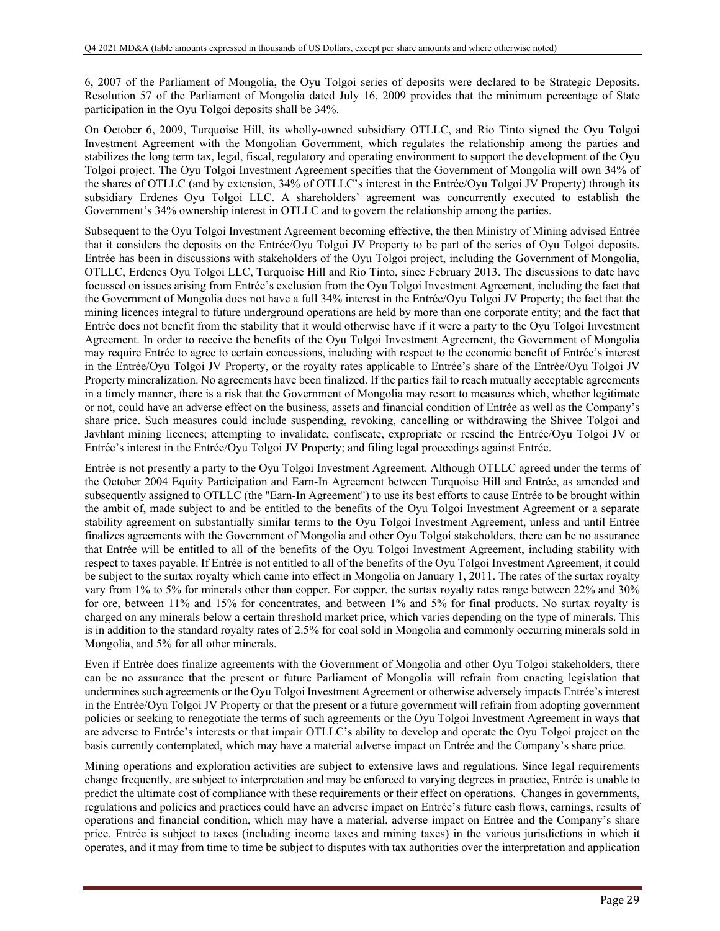6, 2007 of the Parliament of Mongolia, the Oyu Tolgoi series of deposits were declared to be Strategic Deposits. Resolution 57 of the Parliament of Mongolia dated July 16, 2009 provides that the minimum percentage of State participation in the Oyu Tolgoi deposits shall be 34%.

On October 6, 2009, Turquoise Hill, its wholly-owned subsidiary OTLLC, and Rio Tinto signed the Oyu Tolgoi Investment Agreement with the Mongolian Government, which regulates the relationship among the parties and stabilizes the long term tax, legal, fiscal, regulatory and operating environment to support the development of the Oyu Tolgoi project. The Oyu Tolgoi Investment Agreement specifies that the Government of Mongolia will own 34% of the shares of OTLLC (and by extension, 34% of OTLLC's interest in the Entrée/Oyu Tolgoi JV Property) through its subsidiary Erdenes Oyu Tolgoi LLC. A shareholders' agreement was concurrently executed to establish the Government's 34% ownership interest in OTLLC and to govern the relationship among the parties.

Subsequent to the Oyu Tolgoi Investment Agreement becoming effective, the then Ministry of Mining advised Entrée that it considers the deposits on the Entrée/Oyu Tolgoi JV Property to be part of the series of Oyu Tolgoi deposits. Entrée has been in discussions with stakeholders of the Oyu Tolgoi project, including the Government of Mongolia, OTLLC, Erdenes Oyu Tolgoi LLC, Turquoise Hill and Rio Tinto, since February 2013. The discussions to date have focussed on issues arising from Entrée's exclusion from the Oyu Tolgoi Investment Agreement, including the fact that the Government of Mongolia does not have a full 34% interest in the Entrée/Oyu Tolgoi JV Property; the fact that the mining licences integral to future underground operations are held by more than one corporate entity; and the fact that Entrée does not benefit from the stability that it would otherwise have if it were a party to the Oyu Tolgoi Investment Agreement. In order to receive the benefits of the Oyu Tolgoi Investment Agreement, the Government of Mongolia may require Entrée to agree to certain concessions, including with respect to the economic benefit of Entrée's interest in the Entrée/Oyu Tolgoi JV Property, or the royalty rates applicable to Entrée's share of the Entrée/Oyu Tolgoi JV Property mineralization. No agreements have been finalized. If the parties fail to reach mutually acceptable agreements in a timely manner, there is a risk that the Government of Mongolia may resort to measures which, whether legitimate or not, could have an adverse effect on the business, assets and financial condition of Entrée as well as the Company's share price. Such measures could include suspending, revoking, cancelling or withdrawing the Shivee Tolgoi and Javhlant mining licences; attempting to invalidate, confiscate, expropriate or rescind the Entrée/Oyu Tolgoi JV or Entrée's interest in the Entrée/Oyu Tolgoi JV Property; and filing legal proceedings against Entrée.

Entrée is not presently a party to the Oyu Tolgoi Investment Agreement. Although OTLLC agreed under the terms of the October 2004 Equity Participation and Earn-In Agreement between Turquoise Hill and Entrée, as amended and subsequently assigned to OTLLC (the "Earn-In Agreement") to use its best efforts to cause Entrée to be brought within the ambit of, made subject to and be entitled to the benefits of the Oyu Tolgoi Investment Agreement or a separate stability agreement on substantially similar terms to the Oyu Tolgoi Investment Agreement, unless and until Entrée finalizes agreements with the Government of Mongolia and other Oyu Tolgoi stakeholders, there can be no assurance that Entrée will be entitled to all of the benefits of the Oyu Tolgoi Investment Agreement, including stability with respect to taxes payable. If Entrée is not entitled to all of the benefits of the Oyu Tolgoi Investment Agreement, it could be subject to the surtax royalty which came into effect in Mongolia on January 1, 2011. The rates of the surtax royalty vary from 1% to 5% for minerals other than copper. For copper, the surtax royalty rates range between 22% and 30% for ore, between 11% and 15% for concentrates, and between 1% and 5% for final products. No surtax royalty is charged on any minerals below a certain threshold market price, which varies depending on the type of minerals. This is in addition to the standard royalty rates of 2.5% for coal sold in Mongolia and commonly occurring minerals sold in Mongolia, and 5% for all other minerals.

Even if Entrée does finalize agreements with the Government of Mongolia and other Oyu Tolgoi stakeholders, there can be no assurance that the present or future Parliament of Mongolia will refrain from enacting legislation that undermines such agreements or the Oyu Tolgoi Investment Agreement or otherwise adversely impacts Entrée's interest in the Entrée/Oyu Tolgoi JV Property or that the present or a future government will refrain from adopting government policies or seeking to renegotiate the terms of such agreements or the Oyu Tolgoi Investment Agreement in ways that are adverse to Entrée's interests or that impair OTLLC's ability to develop and operate the Oyu Tolgoi project on the basis currently contemplated, which may have a material adverse impact on Entrée and the Company's share price.

Mining operations and exploration activities are subject to extensive laws and regulations. Since legal requirements change frequently, are subject to interpretation and may be enforced to varying degrees in practice, Entrée is unable to predict the ultimate cost of compliance with these requirements or their effect on operations. Changes in governments, regulations and policies and practices could have an adverse impact on Entrée's future cash flows, earnings, results of operations and financial condition, which may have a material, adverse impact on Entrée and the Company's share price. Entrée is subject to taxes (including income taxes and mining taxes) in the various jurisdictions in which it operates, and it may from time to time be subject to disputes with tax authorities over the interpretation and application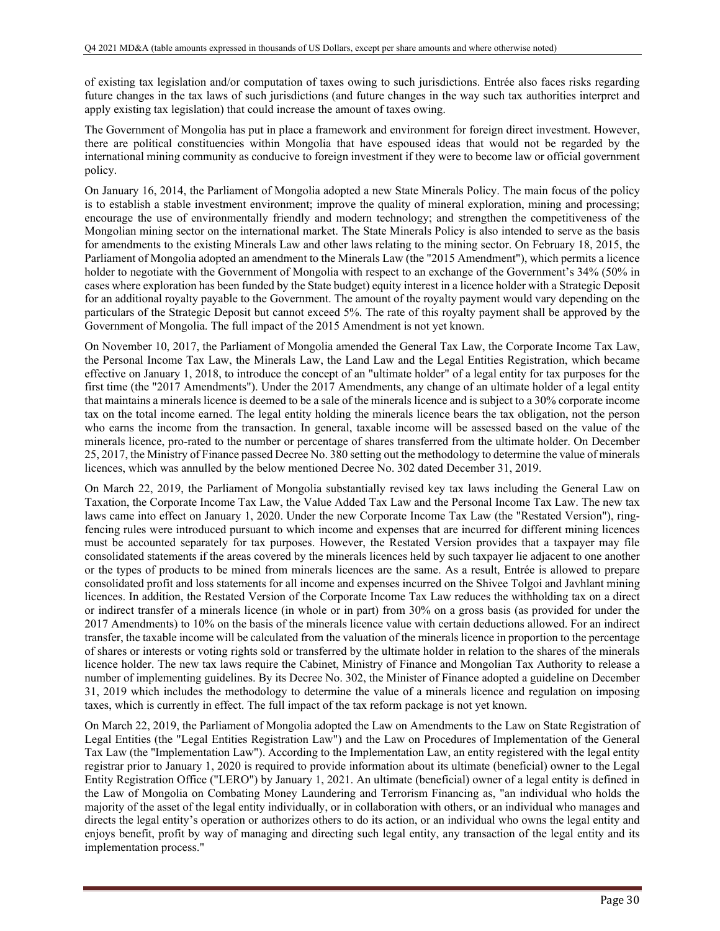of existing tax legislation and/or computation of taxes owing to such jurisdictions. Entrée also faces risks regarding future changes in the tax laws of such jurisdictions (and future changes in the way such tax authorities interpret and apply existing tax legislation) that could increase the amount of taxes owing.

The Government of Mongolia has put in place a framework and environment for foreign direct investment. However, there are political constituencies within Mongolia that have espoused ideas that would not be regarded by the international mining community as conducive to foreign investment if they were to become law or official government policy.

On January 16, 2014, the Parliament of Mongolia adopted a new State Minerals Policy. The main focus of the policy is to establish a stable investment environment; improve the quality of mineral exploration, mining and processing; encourage the use of environmentally friendly and modern technology; and strengthen the competitiveness of the Mongolian mining sector on the international market. The State Minerals Policy is also intended to serve as the basis for amendments to the existing Minerals Law and other laws relating to the mining sector. On February 18, 2015, the Parliament of Mongolia adopted an amendment to the Minerals Law (the "2015 Amendment"), which permits a licence holder to negotiate with the Government of Mongolia with respect to an exchange of the Government's 34% (50% in cases where exploration has been funded by the State budget) equity interest in a licence holder with a Strategic Deposit for an additional royalty payable to the Government. The amount of the royalty payment would vary depending on the particulars of the Strategic Deposit but cannot exceed 5%. The rate of this royalty payment shall be approved by the Government of Mongolia. The full impact of the 2015 Amendment is not yet known.

On November 10, 2017, the Parliament of Mongolia amended the General Tax Law, the Corporate Income Tax Law, the Personal Income Tax Law, the Minerals Law, the Land Law and the Legal Entities Registration, which became effective on January 1, 2018, to introduce the concept of an "ultimate holder" of a legal entity for tax purposes for the first time (the "2017 Amendments"). Under the 2017 Amendments, any change of an ultimate holder of a legal entity that maintains a minerals licence is deemed to be a sale of the minerals licence and is subject to a 30% corporate income tax on the total income earned. The legal entity holding the minerals licence bears the tax obligation, not the person who earns the income from the transaction. In general, taxable income will be assessed based on the value of the minerals licence, pro-rated to the number or percentage of shares transferred from the ultimate holder. On December 25, 2017, the Ministry of Finance passed Decree No. 380 setting out the methodology to determine the value of minerals licences, which was annulled by the below mentioned Decree No. 302 dated December 31, 2019.

On March 22, 2019, the Parliament of Mongolia substantially revised key tax laws including the General Law on Taxation, the Corporate Income Tax Law, the Value Added Tax Law and the Personal Income Tax Law. The new tax laws came into effect on January 1, 2020. Under the new Corporate Income Tax Law (the "Restated Version"), ringfencing rules were introduced pursuant to which income and expenses that are incurred for different mining licences must be accounted separately for tax purposes. However, the Restated Version provides that a taxpayer may file consolidated statements if the areas covered by the minerals licences held by such taxpayer lie adjacent to one another or the types of products to be mined from minerals licences are the same. As a result, Entrée is allowed to prepare consolidated profit and loss statements for all income and expenses incurred on the Shivee Tolgoi and Javhlant mining licences. In addition, the Restated Version of the Corporate Income Tax Law reduces the withholding tax on a direct or indirect transfer of a minerals licence (in whole or in part) from 30% on a gross basis (as provided for under the 2017 Amendments) to 10% on the basis of the minerals licence value with certain deductions allowed. For an indirect transfer, the taxable income will be calculated from the valuation of the minerals licence in proportion to the percentage of shares or interests or voting rights sold or transferred by the ultimate holder in relation to the shares of the minerals licence holder. The new tax laws require the Cabinet, Ministry of Finance and Mongolian Tax Authority to release a number of implementing guidelines. By its Decree No. 302, the Minister of Finance adopted a guideline on December 31, 2019 which includes the methodology to determine the value of a minerals licence and regulation on imposing taxes, which is currently in effect. The full impact of the tax reform package is not yet known.

On March 22, 2019, the Parliament of Mongolia adopted the Law on Amendments to the Law on State Registration of Legal Entities (the "Legal Entities Registration Law") and the Law on Procedures of Implementation of the General Tax Law (the "Implementation Law"). According to the Implementation Law, an entity registered with the legal entity registrar prior to January 1, 2020 is required to provide information about its ultimate (beneficial) owner to the Legal Entity Registration Office ("LERO") by January 1, 2021. An ultimate (beneficial) owner of a legal entity is defined in the Law of Mongolia on Combating Money Laundering and Terrorism Financing as, "an individual who holds the majority of the asset of the legal entity individually, or in collaboration with others, or an individual who manages and directs the legal entity's operation or authorizes others to do its action, or an individual who owns the legal entity and enjoys benefit, profit by way of managing and directing such legal entity, any transaction of the legal entity and its implementation process."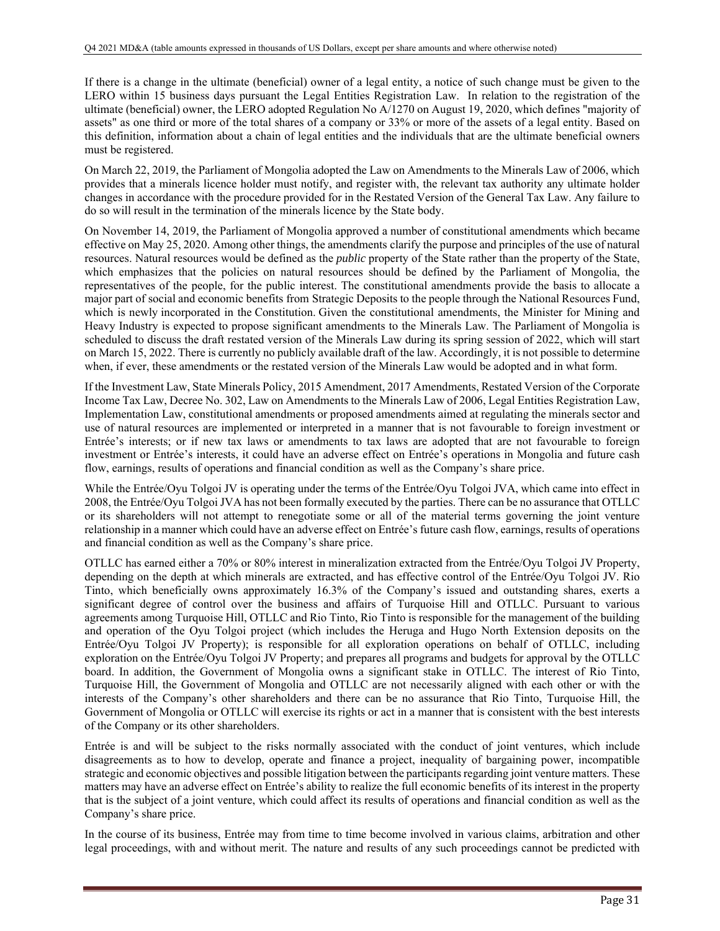If there is a change in the ultimate (beneficial) owner of a legal entity, a notice of such change must be given to the LERO within 15 business days pursuant the Legal Entities Registration Law. In relation to the registration of the ultimate (beneficial) owner, the LERO adopted Regulation No A/1270 on August 19, 2020, which defines "majority of assets" as one third or more of the total shares of a company or 33% or more of the assets of a legal entity. Based on this definition, information about a chain of legal entities and the individuals that are the ultimate beneficial owners must be registered.

On March 22, 2019, the Parliament of Mongolia adopted the Law on Amendments to the Minerals Law of 2006, which provides that a minerals licence holder must notify, and register with, the relevant tax authority any ultimate holder changes in accordance with the procedure provided for in the Restated Version of the General Tax Law. Any failure to do so will result in the termination of the minerals licence by the State body.

On November 14, 2019, the Parliament of Mongolia approved a number of constitutional amendments which became effective on May 25, 2020. Among other things, the amendments clarify the purpose and principles of the use of natural resources. Natural resources would be defined as the *public* property of the State rather than the property of the State, which emphasizes that the policies on natural resources should be defined by the Parliament of Mongolia, the representatives of the people, for the public interest. The constitutional amendments provide the basis to allocate a major part of social and economic benefits from Strategic Deposits to the people through the National Resources Fund, which is newly incorporated in the Constitution. Given the constitutional amendments, the Minister for Mining and Heavy Industry is expected to propose significant amendments to the Minerals Law. The Parliament of Mongolia is scheduled to discuss the draft restated version of the Minerals Law during its spring session of 2022, which will start on March 15, 2022. There is currently no publicly available draft of the law. Accordingly, it is not possible to determine when, if ever, these amendments or the restated version of the Minerals Law would be adopted and in what form.

If the Investment Law, State Minerals Policy, 2015 Amendment, 2017 Amendments, Restated Version of the Corporate Income Tax Law, Decree No. 302, Law on Amendments to the Minerals Law of 2006, Legal Entities Registration Law, Implementation Law, constitutional amendments or proposed amendments aimed at regulating the minerals sector and use of natural resources are implemented or interpreted in a manner that is not favourable to foreign investment or Entrée's interests; or if new tax laws or amendments to tax laws are adopted that are not favourable to foreign investment or Entrée's interests, it could have an adverse effect on Entrée's operations in Mongolia and future cash flow, earnings, results of operations and financial condition as well as the Company's share price.

While the Entrée/Oyu Tolgoi JV is operating under the terms of the Entrée/Oyu Tolgoi JVA, which came into effect in 2008, the Entrée/Oyu Tolgoi JVA has not been formally executed by the parties. There can be no assurance that OTLLC or its shareholders will not attempt to renegotiate some or all of the material terms governing the joint venture relationship in a manner which could have an adverse effect on Entrée's future cash flow, earnings, results of operations and financial condition as well as the Company's share price.

OTLLC has earned either a 70% or 80% interest in mineralization extracted from the Entrée/Oyu Tolgoi JV Property, depending on the depth at which minerals are extracted, and has effective control of the Entrée/Oyu Tolgoi JV. Rio Tinto, which beneficially owns approximately 16.3% of the Company's issued and outstanding shares, exerts a significant degree of control over the business and affairs of Turquoise Hill and OTLLC. Pursuant to various agreements among Turquoise Hill, OTLLC and Rio Tinto, Rio Tinto is responsible for the management of the building and operation of the Oyu Tolgoi project (which includes the Heruga and Hugo North Extension deposits on the Entrée/Oyu Tolgoi JV Property); is responsible for all exploration operations on behalf of OTLLC, including exploration on the Entrée/Oyu Tolgoi JV Property; and prepares all programs and budgets for approval by the OTLLC board. In addition, the Government of Mongolia owns a significant stake in OTLLC. The interest of Rio Tinto, Turquoise Hill, the Government of Mongolia and OTLLC are not necessarily aligned with each other or with the interests of the Company's other shareholders and there can be no assurance that Rio Tinto, Turquoise Hill, the Government of Mongolia or OTLLC will exercise its rights or act in a manner that is consistent with the best interests of the Company or its other shareholders.

Entrée is and will be subject to the risks normally associated with the conduct of joint ventures, which include disagreements as to how to develop, operate and finance a project, inequality of bargaining power, incompatible strategic and economic objectives and possible litigation between the participants regarding joint venture matters. These matters may have an adverse effect on Entrée's ability to realize the full economic benefits of its interest in the property that is the subject of a joint venture, which could affect its results of operations and financial condition as well as the Company's share price.

In the course of its business, Entrée may from time to time become involved in various claims, arbitration and other legal proceedings, with and without merit. The nature and results of any such proceedings cannot be predicted with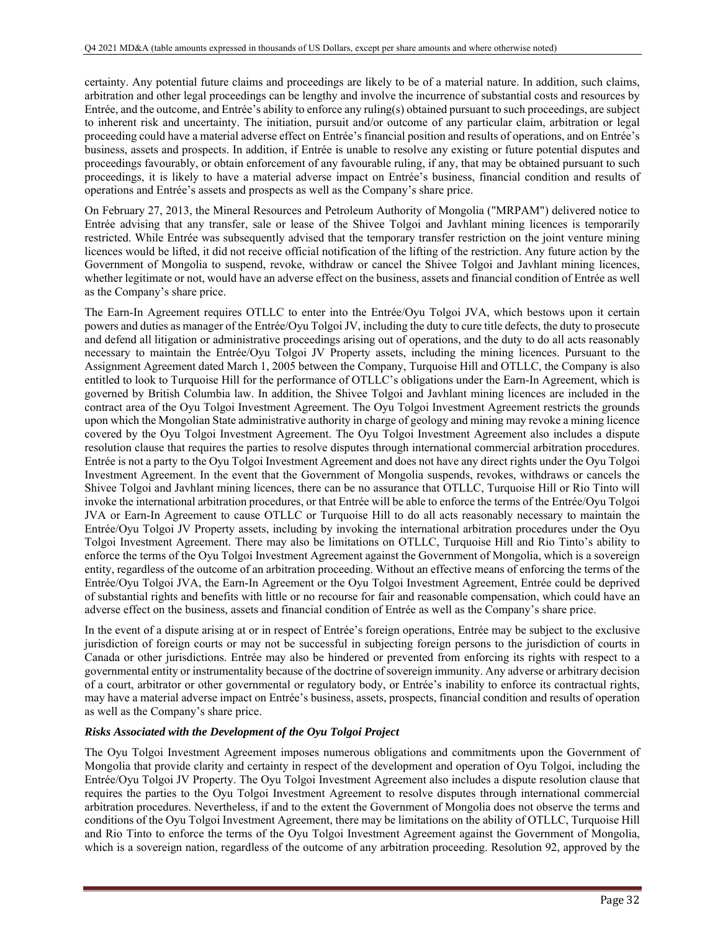certainty. Any potential future claims and proceedings are likely to be of a material nature. In addition, such claims, arbitration and other legal proceedings can be lengthy and involve the incurrence of substantial costs and resources by Entrée, and the outcome, and Entrée's ability to enforce any ruling(s) obtained pursuant to such proceedings, are subject to inherent risk and uncertainty. The initiation, pursuit and/or outcome of any particular claim, arbitration or legal proceeding could have a material adverse effect on Entrée's financial position and results of operations, and on Entrée's business, assets and prospects. In addition, if Entrée is unable to resolve any existing or future potential disputes and proceedings favourably, or obtain enforcement of any favourable ruling, if any, that may be obtained pursuant to such proceedings, it is likely to have a material adverse impact on Entrée's business, financial condition and results of operations and Entrée's assets and prospects as well as the Company's share price.

On February 27, 2013, the Mineral Resources and Petroleum Authority of Mongolia ("MRPAM") delivered notice to Entrée advising that any transfer, sale or lease of the Shivee Tolgoi and Javhlant mining licences is temporarily restricted. While Entrée was subsequently advised that the temporary transfer restriction on the joint venture mining licences would be lifted, it did not receive official notification of the lifting of the restriction. Any future action by the Government of Mongolia to suspend, revoke, withdraw or cancel the Shivee Tolgoi and Javhlant mining licences, whether legitimate or not, would have an adverse effect on the business, assets and financial condition of Entrée as well as the Company's share price.

The Earn-In Agreement requires OTLLC to enter into the Entrée/Oyu Tolgoi JVA, which bestows upon it certain powers and duties as manager of the Entrée/Oyu Tolgoi JV, including the duty to cure title defects, the duty to prosecute and defend all litigation or administrative proceedings arising out of operations, and the duty to do all acts reasonably necessary to maintain the Entrée/Oyu Tolgoi JV Property assets, including the mining licences. Pursuant to the Assignment Agreement dated March 1, 2005 between the Company, Turquoise Hill and OTLLC, the Company is also entitled to look to Turquoise Hill for the performance of OTLLC's obligations under the Earn-In Agreement, which is governed by British Columbia law. In addition, the Shivee Tolgoi and Javhlant mining licences are included in the contract area of the Oyu Tolgoi Investment Agreement. The Oyu Tolgoi Investment Agreement restricts the grounds upon which the Mongolian State administrative authority in charge of geology and mining may revoke a mining licence covered by the Oyu Tolgoi Investment Agreement. The Oyu Tolgoi Investment Agreement also includes a dispute resolution clause that requires the parties to resolve disputes through international commercial arbitration procedures. Entrée is not a party to the Oyu Tolgoi Investment Agreement and does not have any direct rights under the Oyu Tolgoi Investment Agreement. In the event that the Government of Mongolia suspends, revokes, withdraws or cancels the Shivee Tolgoi and Javhlant mining licences, there can be no assurance that OTLLC, Turquoise Hill or Rio Tinto will invoke the international arbitration procedures, or that Entrée will be able to enforce the terms of the Entrée/Oyu Tolgoi JVA or Earn-In Agreement to cause OTLLC or Turquoise Hill to do all acts reasonably necessary to maintain the Entrée/Oyu Tolgoi JV Property assets, including by invoking the international arbitration procedures under the Oyu Tolgoi Investment Agreement. There may also be limitations on OTLLC, Turquoise Hill and Rio Tinto's ability to enforce the terms of the Oyu Tolgoi Investment Agreement against the Government of Mongolia, which is a sovereign entity, regardless of the outcome of an arbitration proceeding. Without an effective means of enforcing the terms of the Entrée/Oyu Tolgoi JVA, the Earn-In Agreement or the Oyu Tolgoi Investment Agreement, Entrée could be deprived of substantial rights and benefits with little or no recourse for fair and reasonable compensation, which could have an adverse effect on the business, assets and financial condition of Entrée as well as the Company's share price.

In the event of a dispute arising at or in respect of Entrée's foreign operations, Entrée may be subject to the exclusive jurisdiction of foreign courts or may not be successful in subjecting foreign persons to the jurisdiction of courts in Canada or other jurisdictions. Entrée may also be hindered or prevented from enforcing its rights with respect to a governmental entity or instrumentality because of the doctrine of sovereign immunity. Any adverse or arbitrary decision of a court, arbitrator or other governmental or regulatory body, or Entrée's inability to enforce its contractual rights, may have a material adverse impact on Entrée's business, assets, prospects, financial condition and results of operation as well as the Company's share price.

## *Risks Associated with the Development of the Oyu Tolgoi Project*

The Oyu Tolgoi Investment Agreement imposes numerous obligations and commitments upon the Government of Mongolia that provide clarity and certainty in respect of the development and operation of Oyu Tolgoi, including the Entrée/Oyu Tolgoi JV Property. The Oyu Tolgoi Investment Agreement also includes a dispute resolution clause that requires the parties to the Oyu Tolgoi Investment Agreement to resolve disputes through international commercial arbitration procedures. Nevertheless, if and to the extent the Government of Mongolia does not observe the terms and conditions of the Oyu Tolgoi Investment Agreement, there may be limitations on the ability of OTLLC, Turquoise Hill and Rio Tinto to enforce the terms of the Oyu Tolgoi Investment Agreement against the Government of Mongolia, which is a sovereign nation, regardless of the outcome of any arbitration proceeding. Resolution 92, approved by the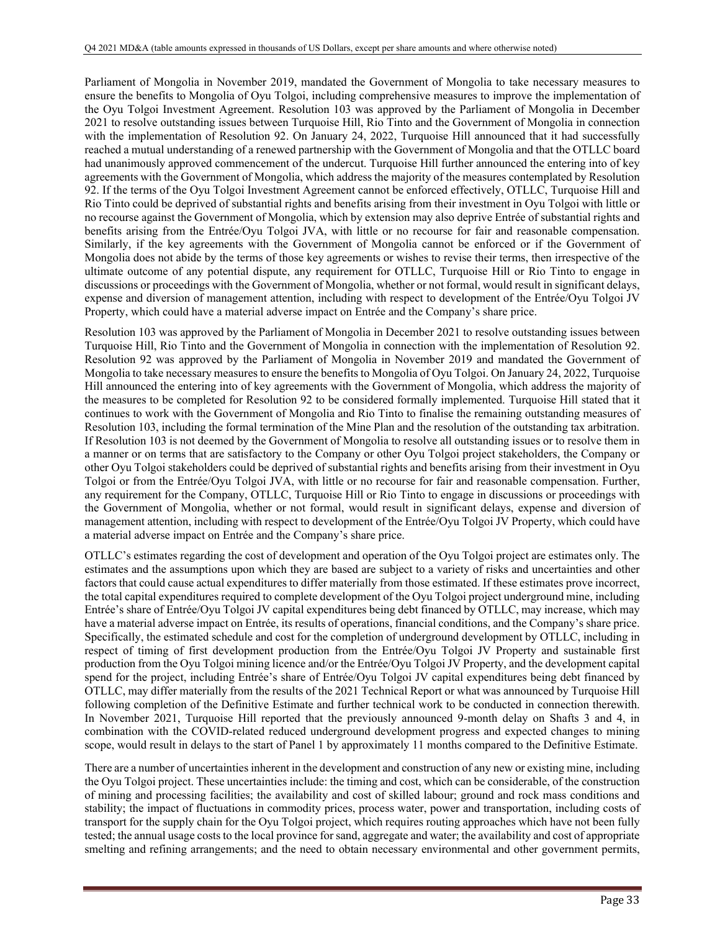Parliament of Mongolia in November 2019, mandated the Government of Mongolia to take necessary measures to ensure the benefits to Mongolia of Oyu Tolgoi, including comprehensive measures to improve the implementation of the Oyu Tolgoi Investment Agreement. Resolution 103 was approved by the Parliament of Mongolia in December 2021 to resolve outstanding issues between Turquoise Hill, Rio Tinto and the Government of Mongolia in connection with the implementation of Resolution 92. On January 24, 2022, Turquoise Hill announced that it had successfully reached a mutual understanding of a renewed partnership with the Government of Mongolia and that the OTLLC board had unanimously approved commencement of the undercut. Turquoise Hill further announced the entering into of key agreements with the Government of Mongolia, which address the majority of the measures contemplated by Resolution 92. If the terms of the Oyu Tolgoi Investment Agreement cannot be enforced effectively, OTLLC, Turquoise Hill and Rio Tinto could be deprived of substantial rights and benefits arising from their investment in Oyu Tolgoi with little or no recourse against the Government of Mongolia, which by extension may also deprive Entrée of substantial rights and benefits arising from the Entrée/Oyu Tolgoi JVA, with little or no recourse for fair and reasonable compensation. Similarly, if the key agreements with the Government of Mongolia cannot be enforced or if the Government of Mongolia does not abide by the terms of those key agreements or wishes to revise their terms, then irrespective of the ultimate outcome of any potential dispute, any requirement for OTLLC, Turquoise Hill or Rio Tinto to engage in discussions or proceedings with the Government of Mongolia, whether or not formal, would result in significant delays, expense and diversion of management attention, including with respect to development of the Entrée/Oyu Tolgoi JV Property, which could have a material adverse impact on Entrée and the Company's share price.

Resolution 103 was approved by the Parliament of Mongolia in December 2021 to resolve outstanding issues between Turquoise Hill, Rio Tinto and the Government of Mongolia in connection with the implementation of Resolution 92. Resolution 92 was approved by the Parliament of Mongolia in November 2019 and mandated the Government of Mongolia to take necessary measures to ensure the benefits to Mongolia of Oyu Tolgoi. On January 24, 2022, Turquoise Hill announced the entering into of key agreements with the Government of Mongolia, which address the majority of the measures to be completed for Resolution 92 to be considered formally implemented. Turquoise Hill stated that it continues to work with the Government of Mongolia and Rio Tinto to finalise the remaining outstanding measures of Resolution 103, including the formal termination of the Mine Plan and the resolution of the outstanding tax arbitration. If Resolution 103 is not deemed by the Government of Mongolia to resolve all outstanding issues or to resolve them in a manner or on terms that are satisfactory to the Company or other Oyu Tolgoi project stakeholders, the Company or other Oyu Tolgoi stakeholders could be deprived of substantial rights and benefits arising from their investment in Oyu Tolgoi or from the Entrée/Oyu Tolgoi JVA, with little or no recourse for fair and reasonable compensation. Further, any requirement for the Company, OTLLC, Turquoise Hill or Rio Tinto to engage in discussions or proceedings with the Government of Mongolia, whether or not formal, would result in significant delays, expense and diversion of management attention, including with respect to development of the Entrée/Oyu Tolgoi JV Property, which could have a material adverse impact on Entrée and the Company's share price.

OTLLC's estimates regarding the cost of development and operation of the Oyu Tolgoi project are estimates only. The estimates and the assumptions upon which they are based are subject to a variety of risks and uncertainties and other factors that could cause actual expenditures to differ materially from those estimated. If these estimates prove incorrect, the total capital expenditures required to complete development of the Oyu Tolgoi project underground mine, including Entrée's share of Entrée/Oyu Tolgoi JV capital expenditures being debt financed by OTLLC, may increase, which may have a material adverse impact on Entrée, its results of operations, financial conditions, and the Company's share price. Specifically, the estimated schedule and cost for the completion of underground development by OTLLC, including in respect of timing of first development production from the Entrée/Oyu Tolgoi JV Property and sustainable first production from the Oyu Tolgoi mining licence and/or the Entrée/Oyu Tolgoi JV Property, and the development capital spend for the project, including Entrée's share of Entrée/Oyu Tolgoi JV capital expenditures being debt financed by OTLLC, may differ materially from the results of the 2021 Technical Report or what was announced by Turquoise Hill following completion of the Definitive Estimate and further technical work to be conducted in connection therewith. In November 2021, Turquoise Hill reported that the previously announced 9-month delay on Shafts 3 and 4, in combination with the COVID-related reduced underground development progress and expected changes to mining scope, would result in delays to the start of Panel 1 by approximately 11 months compared to the Definitive Estimate.

There are a number of uncertainties inherent in the development and construction of any new or existing mine, including the Oyu Tolgoi project. These uncertainties include: the timing and cost, which can be considerable, of the construction of mining and processing facilities; the availability and cost of skilled labour; ground and rock mass conditions and stability; the impact of fluctuations in commodity prices, process water, power and transportation, including costs of transport for the supply chain for the Oyu Tolgoi project, which requires routing approaches which have not been fully tested; the annual usage costs to the local province for sand, aggregate and water; the availability and cost of appropriate smelting and refining arrangements; and the need to obtain necessary environmental and other government permits,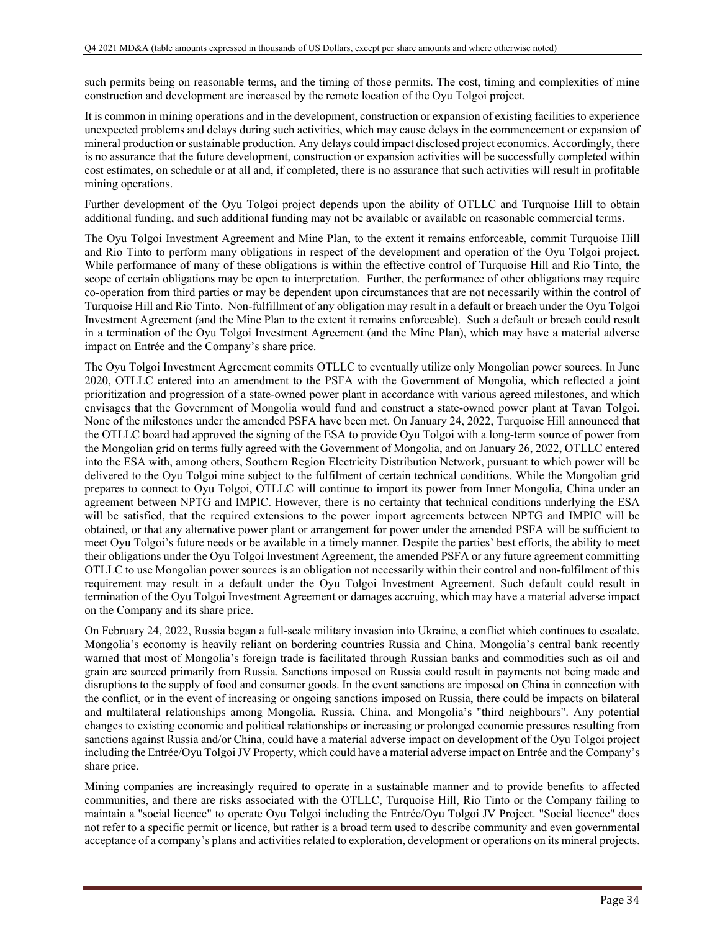such permits being on reasonable terms, and the timing of those permits. The cost, timing and complexities of mine construction and development are increased by the remote location of the Oyu Tolgoi project.

It is common in mining operations and in the development, construction or expansion of existing facilities to experience unexpected problems and delays during such activities, which may cause delays in the commencement or expansion of mineral production or sustainable production. Any delays could impact disclosed project economics. Accordingly, there is no assurance that the future development, construction or expansion activities will be successfully completed within cost estimates, on schedule or at all and, if completed, there is no assurance that such activities will result in profitable mining operations.

Further development of the Oyu Tolgoi project depends upon the ability of OTLLC and Turquoise Hill to obtain additional funding, and such additional funding may not be available or available on reasonable commercial terms.

The Oyu Tolgoi Investment Agreement and Mine Plan, to the extent it remains enforceable, commit Turquoise Hill and Rio Tinto to perform many obligations in respect of the development and operation of the Oyu Tolgoi project. While performance of many of these obligations is within the effective control of Turquoise Hill and Rio Tinto, the scope of certain obligations may be open to interpretation. Further, the performance of other obligations may require co-operation from third parties or may be dependent upon circumstances that are not necessarily within the control of Turquoise Hill and Rio Tinto. Non-fulfillment of any obligation may result in a default or breach under the Oyu Tolgoi Investment Agreement (and the Mine Plan to the extent it remains enforceable). Such a default or breach could result in a termination of the Oyu Tolgoi Investment Agreement (and the Mine Plan), which may have a material adverse impact on Entrée and the Company's share price.

The Oyu Tolgoi Investment Agreement commits OTLLC to eventually utilize only Mongolian power sources. In June 2020, OTLLC entered into an amendment to the PSFA with the Government of Mongolia, which reflected a joint prioritization and progression of a state-owned power plant in accordance with various agreed milestones, and which envisages that the Government of Mongolia would fund and construct a state-owned power plant at Tavan Tolgoi. None of the milestones under the amended PSFA have been met. On January 24, 2022, Turquoise Hill announced that the OTLLC board had approved the signing of the ESA to provide Oyu Tolgoi with a long-term source of power from the Mongolian grid on terms fully agreed with the Government of Mongolia, and on January 26, 2022, OTLLC entered into the ESA with, among others, Southern Region Electricity Distribution Network, pursuant to which power will be delivered to the Oyu Tolgoi mine subject to the fulfilment of certain technical conditions. While the Mongolian grid prepares to connect to Oyu Tolgoi, OTLLC will continue to import its power from Inner Mongolia, China under an agreement between NPTG and IMPIC. However, there is no certainty that technical conditions underlying the ESA will be satisfied, that the required extensions to the power import agreements between NPTG and IMPIC will be obtained, or that any alternative power plant or arrangement for power under the amended PSFA will be sufficient to meet Oyu Tolgoi's future needs or be available in a timely manner. Despite the parties' best efforts, the ability to meet their obligations under the Oyu Tolgoi Investment Agreement, the amended PSFA or any future agreement committing OTLLC to use Mongolian power sources is an obligation not necessarily within their control and non-fulfilment of this requirement may result in a default under the Oyu Tolgoi Investment Agreement. Such default could result in termination of the Oyu Tolgoi Investment Agreement or damages accruing, which may have a material adverse impact on the Company and its share price.

On February 24, 2022, Russia began a full-scale military invasion into Ukraine, a conflict which continues to escalate. Mongolia's economy is heavily reliant on bordering countries Russia and China. Mongolia's central bank recently warned that most of Mongolia's foreign trade is facilitated through Russian banks and commodities such as oil and grain are sourced primarily from Russia. Sanctions imposed on Russia could result in payments not being made and disruptions to the supply of food and consumer goods. In the event sanctions are imposed on China in connection with the conflict, or in the event of increasing or ongoing sanctions imposed on Russia, there could be impacts on bilateral and multilateral relationships among Mongolia, Russia, China, and Mongolia's "third neighbours". Any potential changes to existing economic and political relationships or increasing or prolonged economic pressures resulting from sanctions against Russia and/or China, could have a material adverse impact on development of the Oyu Tolgoi project including the Entrée/Oyu Tolgoi JV Property, which could have a material adverse impact on Entrée and the Company's share price.

Mining companies are increasingly required to operate in a sustainable manner and to provide benefits to affected communities, and there are risks associated with the OTLLC, Turquoise Hill, Rio Tinto or the Company failing to maintain a "social licence" to operate Oyu Tolgoi including the Entrée/Oyu Tolgoi JV Project. "Social licence" does not refer to a specific permit or licence, but rather is a broad term used to describe community and even governmental acceptance of a company's plans and activities related to exploration, development or operations on its mineral projects.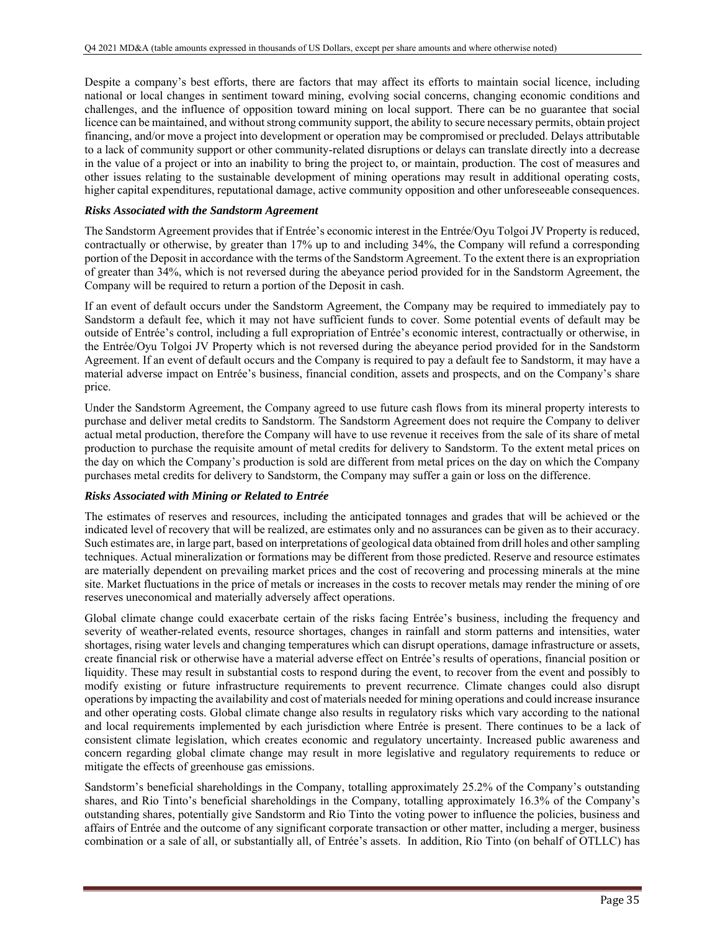Despite a company's best efforts, there are factors that may affect its efforts to maintain social licence, including national or local changes in sentiment toward mining, evolving social concerns, changing economic conditions and challenges, and the influence of opposition toward mining on local support. There can be no guarantee that social licence can be maintained, and without strong community support, the ability to secure necessary permits, obtain project financing, and/or move a project into development or operation may be compromised or precluded. Delays attributable to a lack of community support or other community-related disruptions or delays can translate directly into a decrease in the value of a project or into an inability to bring the project to, or maintain, production. The cost of measures and other issues relating to the sustainable development of mining operations may result in additional operating costs, higher capital expenditures, reputational damage, active community opposition and other unforeseeable consequences.

### *Risks Associated with the Sandstorm Agreement*

The Sandstorm Agreement provides that if Entrée's economic interest in the Entrée/Oyu Tolgoi JV Property is reduced, contractually or otherwise, by greater than 17% up to and including 34%, the Company will refund a corresponding portion of the Deposit in accordance with the terms of the Sandstorm Agreement. To the extent there is an expropriation of greater than 34%, which is not reversed during the abeyance period provided for in the Sandstorm Agreement, the Company will be required to return a portion of the Deposit in cash.

If an event of default occurs under the Sandstorm Agreement, the Company may be required to immediately pay to Sandstorm a default fee, which it may not have sufficient funds to cover. Some potential events of default may be outside of Entrée's control, including a full expropriation of Entrée's economic interest, contractually or otherwise, in the Entrée/Oyu Tolgoi JV Property which is not reversed during the abeyance period provided for in the Sandstorm Agreement. If an event of default occurs and the Company is required to pay a default fee to Sandstorm, it may have a material adverse impact on Entrée's business, financial condition, assets and prospects, and on the Company's share price.

Under the Sandstorm Agreement, the Company agreed to use future cash flows from its mineral property interests to purchase and deliver metal credits to Sandstorm. The Sandstorm Agreement does not require the Company to deliver actual metal production, therefore the Company will have to use revenue it receives from the sale of its share of metal production to purchase the requisite amount of metal credits for delivery to Sandstorm. To the extent metal prices on the day on which the Company's production is sold are different from metal prices on the day on which the Company purchases metal credits for delivery to Sandstorm, the Company may suffer a gain or loss on the difference.

## *Risks Associated with Mining or Related to Entrée*

The estimates of reserves and resources, including the anticipated tonnages and grades that will be achieved or the indicated level of recovery that will be realized, are estimates only and no assurances can be given as to their accuracy. Such estimates are, in large part, based on interpretations of geological data obtained from drill holes and other sampling techniques. Actual mineralization or formations may be different from those predicted. Reserve and resource estimates are materially dependent on prevailing market prices and the cost of recovering and processing minerals at the mine site. Market fluctuations in the price of metals or increases in the costs to recover metals may render the mining of ore reserves uneconomical and materially adversely affect operations.

Global climate change could exacerbate certain of the risks facing Entrée's business, including the frequency and severity of weather-related events, resource shortages, changes in rainfall and storm patterns and intensities, water shortages, rising water levels and changing temperatures which can disrupt operations, damage infrastructure or assets, create financial risk or otherwise have a material adverse effect on Entrée's results of operations, financial position or liquidity. These may result in substantial costs to respond during the event, to recover from the event and possibly to modify existing or future infrastructure requirements to prevent recurrence. Climate changes could also disrupt operations by impacting the availability and cost of materials needed for mining operations and could increase insurance and other operating costs. Global climate change also results in regulatory risks which vary according to the national and local requirements implemented by each jurisdiction where Entrée is present. There continues to be a lack of consistent climate legislation, which creates economic and regulatory uncertainty. Increased public awareness and concern regarding global climate change may result in more legislative and regulatory requirements to reduce or mitigate the effects of greenhouse gas emissions.

Sandstorm's beneficial shareholdings in the Company, totalling approximately 25.2% of the Company's outstanding shares, and Rio Tinto's beneficial shareholdings in the Company, totalling approximately 16.3% of the Company's outstanding shares, potentially give Sandstorm and Rio Tinto the voting power to influence the policies, business and affairs of Entrée and the outcome of any significant corporate transaction or other matter, including a merger, business combination or a sale of all, or substantially all, of Entrée's assets. In addition, Rio Tinto (on behalf of OTLLC) has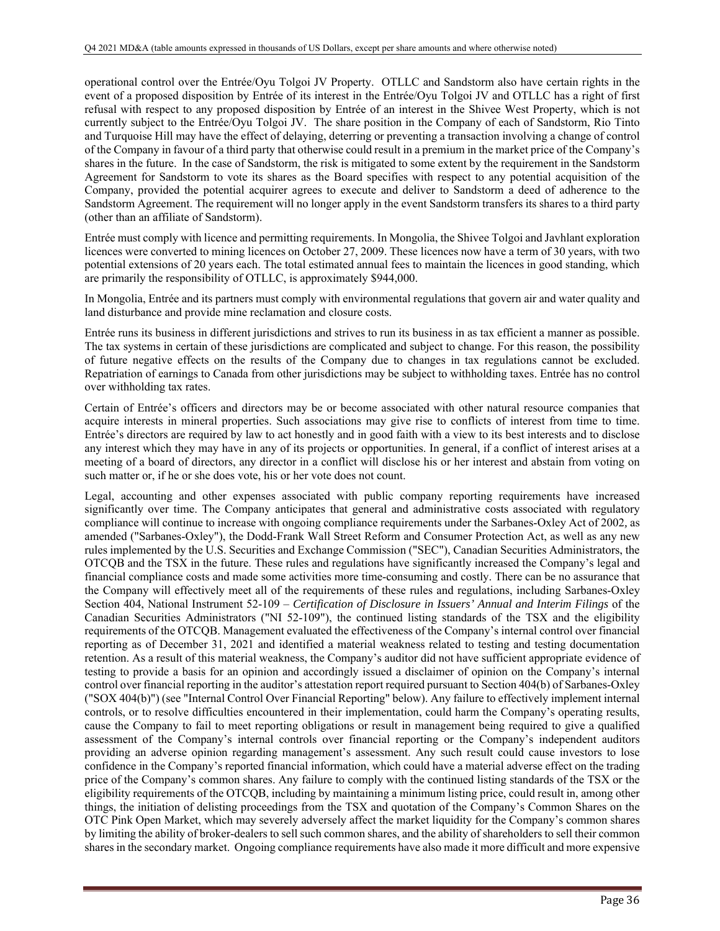operational control over the Entrée/Oyu Tolgoi JV Property. OTLLC and Sandstorm also have certain rights in the event of a proposed disposition by Entrée of its interest in the Entrée/Oyu Tolgoi JV and OTLLC has a right of first refusal with respect to any proposed disposition by Entrée of an interest in the Shivee West Property, which is not currently subject to the Entrée/Oyu Tolgoi JV. The share position in the Company of each of Sandstorm, Rio Tinto and Turquoise Hill may have the effect of delaying, deterring or preventing a transaction involving a change of control of the Company in favour of a third party that otherwise could result in a premium in the market price of the Company's shares in the future. In the case of Sandstorm, the risk is mitigated to some extent by the requirement in the Sandstorm Agreement for Sandstorm to vote its shares as the Board specifies with respect to any potential acquisition of the Company, provided the potential acquirer agrees to execute and deliver to Sandstorm a deed of adherence to the Sandstorm Agreement. The requirement will no longer apply in the event Sandstorm transfers its shares to a third party (other than an affiliate of Sandstorm).

Entrée must comply with licence and permitting requirements. In Mongolia, the Shivee Tolgoi and Javhlant exploration licences were converted to mining licences on October 27, 2009. These licences now have a term of 30 years, with two potential extensions of 20 years each. The total estimated annual fees to maintain the licences in good standing, which are primarily the responsibility of OTLLC, is approximately \$944,000.

In Mongolia, Entrée and its partners must comply with environmental regulations that govern air and water quality and land disturbance and provide mine reclamation and closure costs.

Entrée runs its business in different jurisdictions and strives to run its business in as tax efficient a manner as possible. The tax systems in certain of these jurisdictions are complicated and subject to change. For this reason, the possibility of future negative effects on the results of the Company due to changes in tax regulations cannot be excluded. Repatriation of earnings to Canada from other jurisdictions may be subject to withholding taxes. Entrée has no control over withholding tax rates.

Certain of Entrée's officers and directors may be or become associated with other natural resource companies that acquire interests in mineral properties. Such associations may give rise to conflicts of interest from time to time. Entrée's directors are required by law to act honestly and in good faith with a view to its best interests and to disclose any interest which they may have in any of its projects or opportunities. In general, if a conflict of interest arises at a meeting of a board of directors, any director in a conflict will disclose his or her interest and abstain from voting on such matter or, if he or she does vote, his or her vote does not count.

Legal, accounting and other expenses associated with public company reporting requirements have increased significantly over time. The Company anticipates that general and administrative costs associated with regulatory compliance will continue to increase with ongoing compliance requirements under the Sarbanes-Oxley Act of 2002*,* as amended ("Sarbanes-Oxley"), the Dodd-Frank Wall Street Reform and Consumer Protection Act, as well as any new rules implemented by the U.S. Securities and Exchange Commission ("SEC"), Canadian Securities Administrators, the OTCQB and the TSX in the future. These rules and regulations have significantly increased the Company's legal and financial compliance costs and made some activities more time-consuming and costly. There can be no assurance that the Company will effectively meet all of the requirements of these rules and regulations, including Sarbanes-Oxley Section 404, National Instrument 52-109 – *Certification of Disclosure in Issuers' Annual and Interim Filings* of the Canadian Securities Administrators ("NI 52-109"), the continued listing standards of the TSX and the eligibility requirements of the OTCQB. Management evaluated the effectiveness of the Company's internal control over financial reporting as of December 31, 2021 and identified a material weakness related to testing and testing documentation retention. As a result of this material weakness, the Company's auditor did not have sufficient appropriate evidence of testing to provide a basis for an opinion and accordingly issued a disclaimer of opinion on the Company's internal control over financial reporting in the auditor's attestation report required pursuant to Section 404(b) of Sarbanes-Oxley ("SOX 404(b)") (see "Internal Control Over Financial Reporting" below). Any failure to effectively implement internal controls, or to resolve difficulties encountered in their implementation, could harm the Company's operating results, cause the Company to fail to meet reporting obligations or result in management being required to give a qualified assessment of the Company's internal controls over financial reporting or the Company's independent auditors providing an adverse opinion regarding management's assessment. Any such result could cause investors to lose confidence in the Company's reported financial information, which could have a material adverse effect on the trading price of the Company's common shares. Any failure to comply with the continued listing standards of the TSX or the eligibility requirements of the OTCQB, including by maintaining a minimum listing price, could result in, among other things, the initiation of delisting proceedings from the TSX and quotation of the Company's Common Shares on the OTC Pink Open Market, which may severely adversely affect the market liquidity for the Company's common shares by limiting the ability of broker-dealers to sell such common shares, and the ability of shareholders to sell their common shares in the secondary market. Ongoing compliance requirements have also made it more difficult and more expensive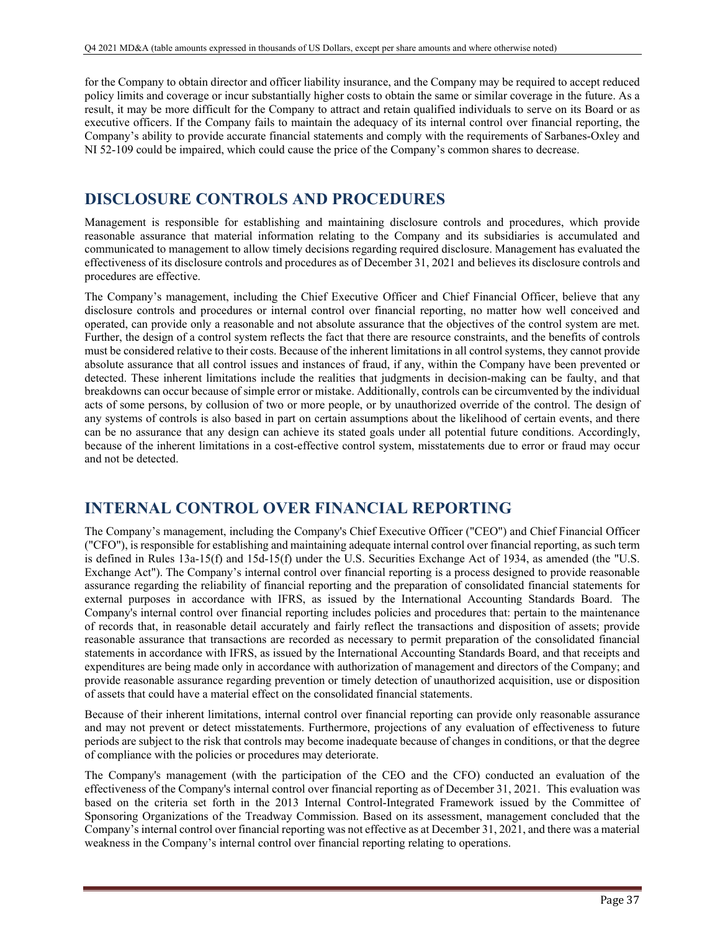for the Company to obtain director and officer liability insurance, and the Company may be required to accept reduced policy limits and coverage or incur substantially higher costs to obtain the same or similar coverage in the future. As a result, it may be more difficult for the Company to attract and retain qualified individuals to serve on its Board or as executive officers. If the Company fails to maintain the adequacy of its internal control over financial reporting, the Company's ability to provide accurate financial statements and comply with the requirements of Sarbanes-Oxley and NI 52-109 could be impaired, which could cause the price of the Company's common shares to decrease.

# **DISCLOSURE CONTROLS AND PROCEDURES**

Management is responsible for establishing and maintaining disclosure controls and procedures, which provide reasonable assurance that material information relating to the Company and its subsidiaries is accumulated and communicated to management to allow timely decisions regarding required disclosure. Management has evaluated the effectiveness of its disclosure controls and procedures as of December 31, 2021 and believes its disclosure controls and procedures are effective.

The Company's management, including the Chief Executive Officer and Chief Financial Officer, believe that any disclosure controls and procedures or internal control over financial reporting, no matter how well conceived and operated, can provide only a reasonable and not absolute assurance that the objectives of the control system are met. Further, the design of a control system reflects the fact that there are resource constraints, and the benefits of controls must be considered relative to their costs. Because of the inherent limitations in all control systems, they cannot provide absolute assurance that all control issues and instances of fraud, if any, within the Company have been prevented or detected. These inherent limitations include the realities that judgments in decision-making can be faulty, and that breakdowns can occur because of simple error or mistake. Additionally, controls can be circumvented by the individual acts of some persons, by collusion of two or more people, or by unauthorized override of the control. The design of any systems of controls is also based in part on certain assumptions about the likelihood of certain events, and there can be no assurance that any design can achieve its stated goals under all potential future conditions. Accordingly, because of the inherent limitations in a cost-effective control system, misstatements due to error or fraud may occur and not be detected.

# **INTERNAL CONTROL OVER FINANCIAL REPORTING**

The Company's management, including the Company's Chief Executive Officer ("CEO") and Chief Financial Officer ("CFO"), is responsible for establishing and maintaining adequate internal control over financial reporting, as such term is defined in Rules 13a-15(f) and 15d-15(f) under the U.S. Securities Exchange Act of 1934, as amended (the "U.S. Exchange Act"). The Company's internal control over financial reporting is a process designed to provide reasonable assurance regarding the reliability of financial reporting and the preparation of consolidated financial statements for external purposes in accordance with IFRS, as issued by the International Accounting Standards Board. The Company's internal control over financial reporting includes policies and procedures that: pertain to the maintenance of records that, in reasonable detail accurately and fairly reflect the transactions and disposition of assets; provide reasonable assurance that transactions are recorded as necessary to permit preparation of the consolidated financial statements in accordance with IFRS, as issued by the International Accounting Standards Board, and that receipts and expenditures are being made only in accordance with authorization of management and directors of the Company; and provide reasonable assurance regarding prevention or timely detection of unauthorized acquisition, use or disposition of assets that could have a material effect on the consolidated financial statements.

Because of their inherent limitations, internal control over financial reporting can provide only reasonable assurance and may not prevent or detect misstatements. Furthermore, projections of any evaluation of effectiveness to future periods are subject to the risk that controls may become inadequate because of changes in conditions, or that the degree of compliance with the policies or procedures may deteriorate.

The Company's management (with the participation of the CEO and the CFO) conducted an evaluation of the effectiveness of the Company's internal control over financial reporting as of December 31, 2021. This evaluation was based on the criteria set forth in the 2013 Internal Control-Integrated Framework issued by the Committee of Sponsoring Organizations of the Treadway Commission. Based on its assessment, management concluded that the Company's internal control over financial reporting was not effective as at December 31, 2021, and there was a material weakness in the Company's internal control over financial reporting relating to operations.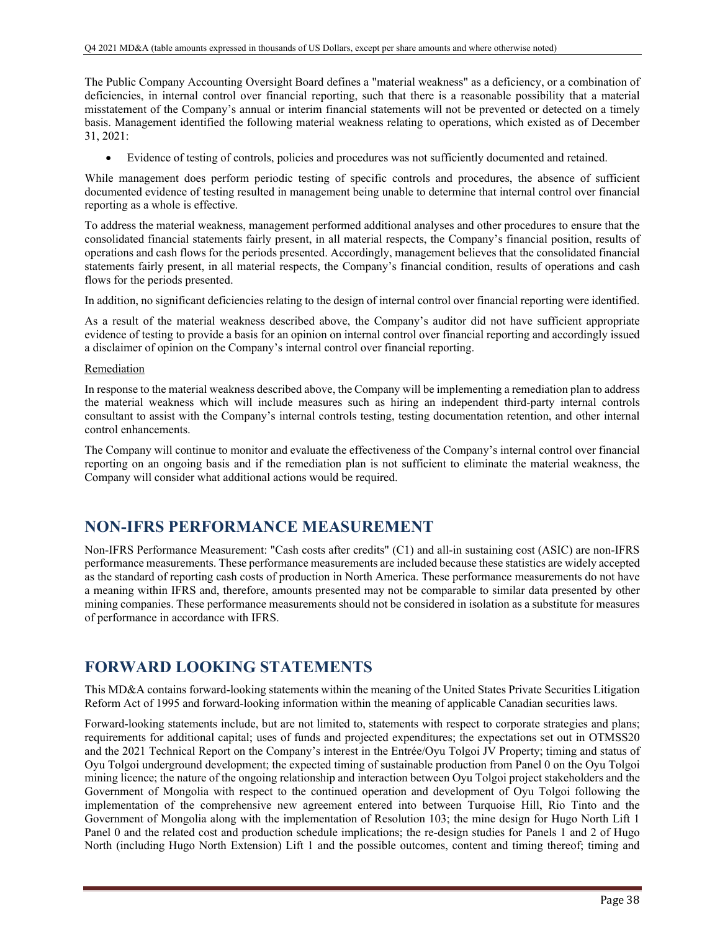The Public Company Accounting Oversight Board defines a "material weakness" as a deficiency, or a combination of deficiencies, in internal control over financial reporting, such that there is a reasonable possibility that a material misstatement of the Company's annual or interim financial statements will not be prevented or detected on a timely basis. Management identified the following material weakness relating to operations, which existed as of December 31, 2021:

Evidence of testing of controls, policies and procedures was not sufficiently documented and retained.

While management does perform periodic testing of specific controls and procedures, the absence of sufficient documented evidence of testing resulted in management being unable to determine that internal control over financial reporting as a whole is effective.

To address the material weakness, management performed additional analyses and other procedures to ensure that the consolidated financial statements fairly present, in all material respects, the Company's financial position, results of operations and cash flows for the periods presented. Accordingly, management believes that the consolidated financial statements fairly present, in all material respects, the Company's financial condition, results of operations and cash flows for the periods presented.

In addition, no significant deficiencies relating to the design of internal control over financial reporting were identified.

As a result of the material weakness described above, the Company's auditor did not have sufficient appropriate evidence of testing to provide a basis for an opinion on internal control over financial reporting and accordingly issued a disclaimer of opinion on the Company's internal control over financial reporting.

### Remediation

In response to the material weakness described above, the Company will be implementing a remediation plan to address the material weakness which will include measures such as hiring an independent third-party internal controls consultant to assist with the Company's internal controls testing, testing documentation retention, and other internal control enhancements.

The Company will continue to monitor and evaluate the effectiveness of the Company's internal control over financial reporting on an ongoing basis and if the remediation plan is not sufficient to eliminate the material weakness, the Company will consider what additional actions would be required.

# **NON-IFRS PERFORMANCE MEASUREMENT**

Non-IFRS Performance Measurement: "Cash costs after credits" (C1) and all-in sustaining cost (ASIC) are non-IFRS performance measurements. These performance measurements are included because these statistics are widely accepted as the standard of reporting cash costs of production in North America. These performance measurements do not have a meaning within IFRS and, therefore, amounts presented may not be comparable to similar data presented by other mining companies. These performance measurements should not be considered in isolation as a substitute for measures of performance in accordance with IFRS.

# **FORWARD LOOKING STATEMENTS**

This MD&A contains forward-looking statements within the meaning of the United States Private Securities Litigation Reform Act of 1995 and forward-looking information within the meaning of applicable Canadian securities laws.

Forward-looking statements include, but are not limited to, statements with respect to corporate strategies and plans; requirements for additional capital; uses of funds and projected expenditures; the expectations set out in OTMSS20 and the 2021 Technical Report on the Company's interest in the Entrée/Oyu Tolgoi JV Property; timing and status of Oyu Tolgoi underground development; the expected timing of sustainable production from Panel 0 on the Oyu Tolgoi mining licence; the nature of the ongoing relationship and interaction between Oyu Tolgoi project stakeholders and the Government of Mongolia with respect to the continued operation and development of Oyu Tolgoi following the implementation of the comprehensive new agreement entered into between Turquoise Hill, Rio Tinto and the Government of Mongolia along with the implementation of Resolution 103; the mine design for Hugo North Lift 1 Panel 0 and the related cost and production schedule implications; the re-design studies for Panels 1 and 2 of Hugo North (including Hugo North Extension) Lift 1 and the possible outcomes, content and timing thereof; timing and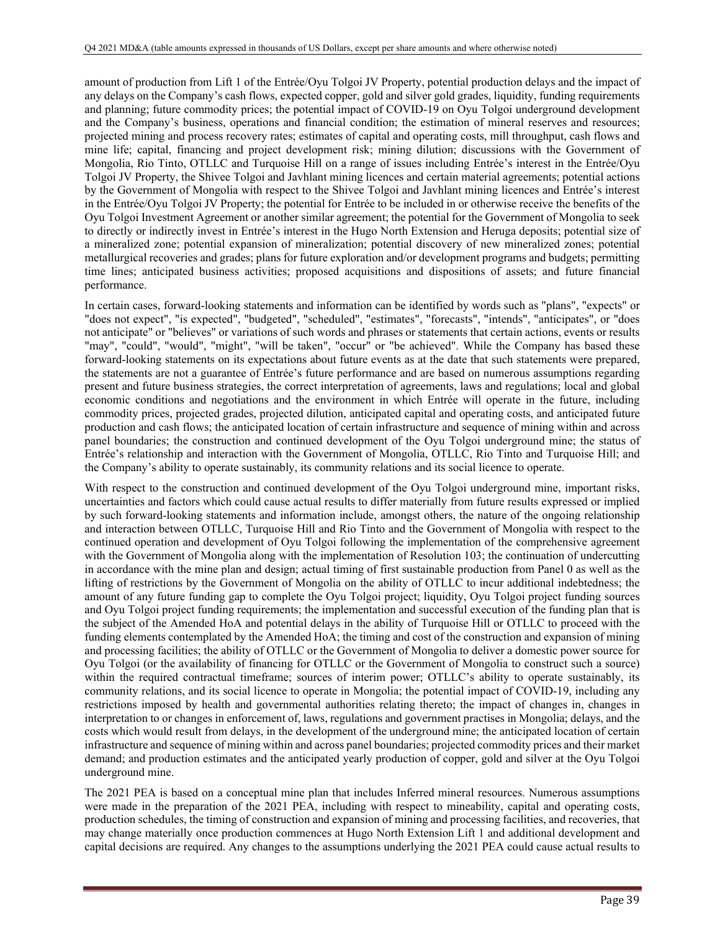amount of production from Lift 1 of the Entrée/Oyu Tolgoi JV Property, potential production delays and the impact of any delays on the Company's cash flows, expected copper, gold and silver gold grades, liquidity, funding requirements and planning; future commodity prices; the potential impact of COVID-19 on Oyu Tolgoi underground development and the Company's business, operations and financial condition; the estimation of mineral reserves and resources; projected mining and process recovery rates; estimates of capital and operating costs, mill throughput, cash flows and mine life; capital, financing and project development risk; mining dilution; discussions with the Government of Mongolia, Rio Tinto, OTLLC and Turquoise Hill on a range of issues including Entrée's interest in the Entrée/Oyu Tolgoi JV Property, the Shivee Tolgoi and Javhlant mining licences and certain material agreements; potential actions by the Government of Mongolia with respect to the Shivee Tolgoi and Javhlant mining licences and Entrée's interest in the Entrée/Oyu Tolgoi JV Property; the potential for Entrée to be included in or otherwise receive the benefits of the Oyu Tolgoi Investment Agreement or another similar agreement; the potential for the Government of Mongolia to seek to directly or indirectly invest in Entrée's interest in the Hugo North Extension and Heruga deposits; potential size of a mineralized zone; potential expansion of mineralization; potential discovery of new mineralized zones; potential metallurgical recoveries and grades; plans for future exploration and/or development programs and budgets; permitting time lines; anticipated business activities; proposed acquisitions and dispositions of assets; and future financial performance.

In certain cases, forward-looking statements and information can be identified by words such as "plans", "expects" or "does not expect", "is expected", "budgeted", "scheduled", "estimates", "forecasts", "intends", "anticipates", or "does not anticipate" or "believes" or variations of such words and phrases or statements that certain actions, events or results "may", "could", "would", "might", "will be taken", "occur" or "be achieved". While the Company has based these forward-looking statements on its expectations about future events as at the date that such statements were prepared, the statements are not a guarantee of Entrée's future performance and are based on numerous assumptions regarding present and future business strategies, the correct interpretation of agreements, laws and regulations; local and global economic conditions and negotiations and the environment in which Entrée will operate in the future, including commodity prices, projected grades, projected dilution, anticipated capital and operating costs, and anticipated future production and cash flows; the anticipated location of certain infrastructure and sequence of mining within and across panel boundaries; the construction and continued development of the Oyu Tolgoi underground mine; the status of Entrée's relationship and interaction with the Government of Mongolia, OTLLC, Rio Tinto and Turquoise Hill; and the Company's ability to operate sustainably, its community relations and its social licence to operate.

With respect to the construction and continued development of the Oyu Tolgoi underground mine, important risks, uncertainties and factors which could cause actual results to differ materially from future results expressed or implied by such forward-looking statements and information include, amongst others, the nature of the ongoing relationship and interaction between OTLLC, Turquoise Hill and Rio Tinto and the Government of Mongolia with respect to the continued operation and development of Oyu Tolgoi following the implementation of the comprehensive agreement with the Government of Mongolia along with the implementation of Resolution 103; the continuation of undercutting in accordance with the mine plan and design; actual timing of first sustainable production from Panel 0 as well as the lifting of restrictions by the Government of Mongolia on the ability of OTLLC to incur additional indebtedness; the amount of any future funding gap to complete the Oyu Tolgoi project; liquidity, Oyu Tolgoi project funding sources and Oyu Tolgoi project funding requirements; the implementation and successful execution of the funding plan that is the subject of the Amended HoA and potential delays in the ability of Turquoise Hill or OTLLC to proceed with the funding elements contemplated by the Amended HoA; the timing and cost of the construction and expansion of mining and processing facilities; the ability of OTLLC or the Government of Mongolia to deliver a domestic power source for Oyu Tolgoi (or the availability of financing for OTLLC or the Government of Mongolia to construct such a source) within the required contractual timeframe; sources of interim power; OTLLC's ability to operate sustainably, its community relations, and its social licence to operate in Mongolia; the potential impact of COVID-19, including any restrictions imposed by health and governmental authorities relating thereto; the impact of changes in, changes in interpretation to or changes in enforcement of, laws, regulations and government practises in Mongolia; delays, and the costs which would result from delays, in the development of the underground mine; the anticipated location of certain infrastructure and sequence of mining within and across panel boundaries; projected commodity prices and their market demand; and production estimates and the anticipated yearly production of copper, gold and silver at the Oyu Tolgoi underground mine.

The 2021 PEA is based on a conceptual mine plan that includes Inferred mineral resources. Numerous assumptions were made in the preparation of the 2021 PEA, including with respect to mineability, capital and operating costs, production schedules, the timing of construction and expansion of mining and processing facilities, and recoveries, that may change materially once production commences at Hugo North Extension Lift 1 and additional development and capital decisions are required. Any changes to the assumptions underlying the 2021 PEA could cause actual results to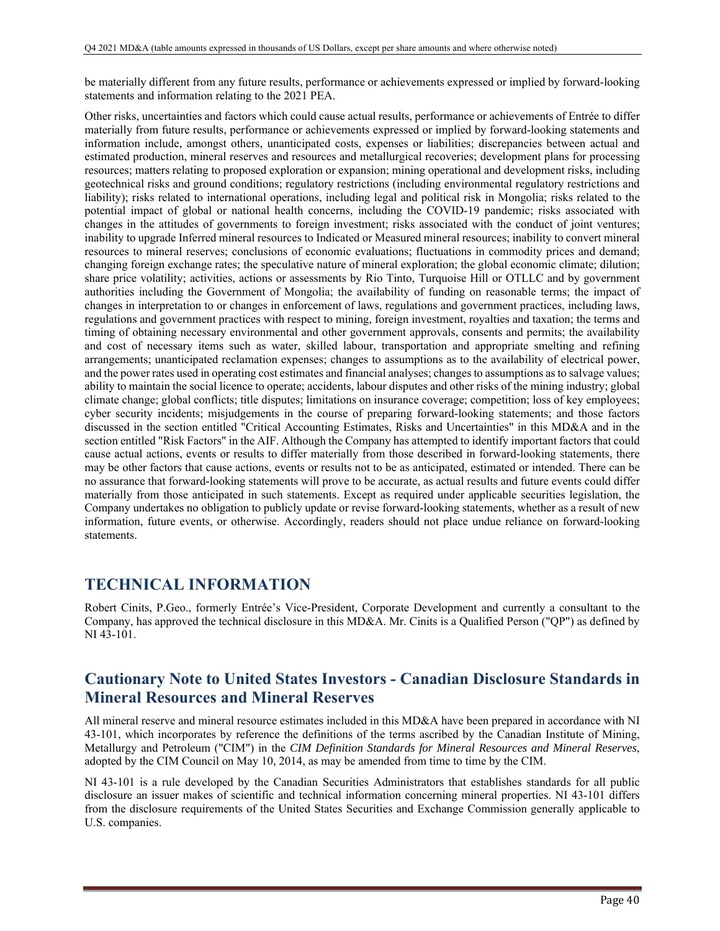be materially different from any future results, performance or achievements expressed or implied by forward-looking statements and information relating to the 2021 PEA.

Other risks, uncertainties and factors which could cause actual results, performance or achievements of Entrée to differ materially from future results, performance or achievements expressed or implied by forward-looking statements and information include, amongst others, unanticipated costs, expenses or liabilities; discrepancies between actual and estimated production, mineral reserves and resources and metallurgical recoveries; development plans for processing resources; matters relating to proposed exploration or expansion; mining operational and development risks, including geotechnical risks and ground conditions; regulatory restrictions (including environmental regulatory restrictions and liability); risks related to international operations, including legal and political risk in Mongolia; risks related to the potential impact of global or national health concerns, including the COVID-19 pandemic; risks associated with changes in the attitudes of governments to foreign investment; risks associated with the conduct of joint ventures; inability to upgrade Inferred mineral resources to Indicated or Measured mineral resources; inability to convert mineral resources to mineral reserves; conclusions of economic evaluations; fluctuations in commodity prices and demand; changing foreign exchange rates; the speculative nature of mineral exploration; the global economic climate; dilution; share price volatility; activities, actions or assessments by Rio Tinto, Turquoise Hill or OTLLC and by government authorities including the Government of Mongolia; the availability of funding on reasonable terms; the impact of changes in interpretation to or changes in enforcement of laws, regulations and government practices, including laws, regulations and government practices with respect to mining, foreign investment, royalties and taxation; the terms and timing of obtaining necessary environmental and other government approvals, consents and permits; the availability and cost of necessary items such as water, skilled labour, transportation and appropriate smelting and refining arrangements; unanticipated reclamation expenses; changes to assumptions as to the availability of electrical power, and the power rates used in operating cost estimates and financial analyses; changes to assumptions as to salvage values; ability to maintain the social licence to operate; accidents, labour disputes and other risks of the mining industry; global climate change; global conflicts; title disputes; limitations on insurance coverage; competition; loss of key employees; cyber security incidents; misjudgements in the course of preparing forward-looking statements; and those factors discussed in the section entitled "Critical Accounting Estimates, Risks and Uncertainties" in this MD&A and in the section entitled "Risk Factors" in the AIF. Although the Company has attempted to identify important factors that could cause actual actions, events or results to differ materially from those described in forward-looking statements, there may be other factors that cause actions, events or results not to be as anticipated, estimated or intended. There can be no assurance that forward-looking statements will prove to be accurate, as actual results and future events could differ materially from those anticipated in such statements. Except as required under applicable securities legislation, the Company undertakes no obligation to publicly update or revise forward-looking statements, whether as a result of new information, future events, or otherwise. Accordingly, readers should not place undue reliance on forward-looking statements.

# **TECHNICAL INFORMATION**

Robert Cinits, P.Geo., formerly Entrée's Vice-President, Corporate Development and currently a consultant to the Company, has approved the technical disclosure in this MD&A. Mr. Cinits is a Qualified Person ("QP") as defined by NI 43-101.

# **Cautionary Note to United States Investors - Canadian Disclosure Standards in Mineral Resources and Mineral Reserves**

All mineral reserve and mineral resource estimates included in this MD&A have been prepared in accordance with NI 43-101, which incorporates by reference the definitions of the terms ascribed by the Canadian Institute of Mining, Metallurgy and Petroleum ("CIM") in the *CIM Definition Standards for Mineral Resources and Mineral Reserves*, adopted by the CIM Council on May 10, 2014, as may be amended from time to time by the CIM.

NI 43-101 is a rule developed by the Canadian Securities Administrators that establishes standards for all public disclosure an issuer makes of scientific and technical information concerning mineral properties. NI 43-101 differs from the disclosure requirements of the United States Securities and Exchange Commission generally applicable to U.S. companies.